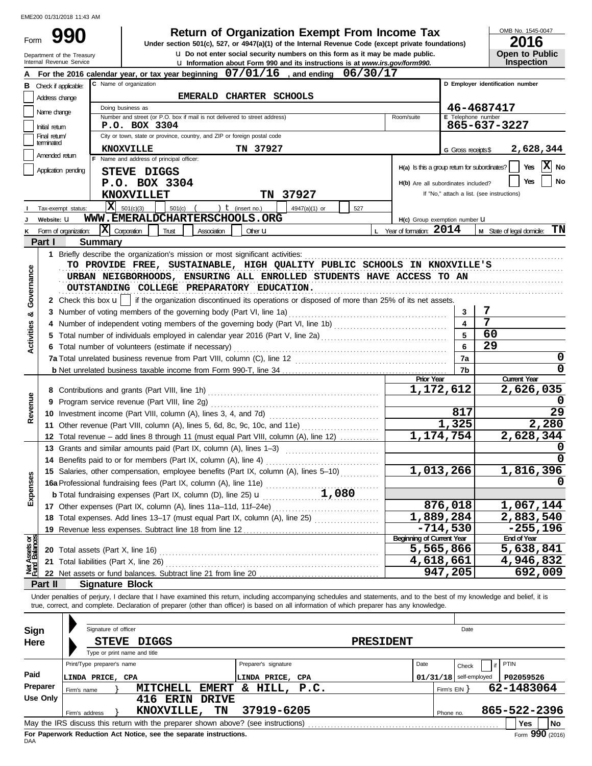Form

**u** Do not enter social security numbers on this form as it may be made public. **990 1990 2016 2016 Depending Solution Solution Solution Solution Space 1947(a)(1) of the Internal Revenue Code (except private foundations) <b>2016** 

OMB No. 1545-0047

| ZUID                  |
|-----------------------|
| <b>Open to Public</b> |
| Inspection            |

| U Do not enter social security numbers on this form as it may be made public.<br><b>Open to Public</b><br>Department of the Treasury<br>Internal Revenue Service<br><b>Inspection</b><br><b>U Information about Form 990 and its instructions is at www.irs.gov/form990.</b> |                             |                                                      |                            |                                          |            |                                                                                   |                    |                      |               |                                                                                                                                                                            |                  |                                                              |                                                                           |                          |                                            |                                  |                                                          |  |
|------------------------------------------------------------------------------------------------------------------------------------------------------------------------------------------------------------------------------------------------------------------------------|-----------------------------|------------------------------------------------------|----------------------------|------------------------------------------|------------|-----------------------------------------------------------------------------------|--------------------|----------------------|---------------|----------------------------------------------------------------------------------------------------------------------------------------------------------------------------|------------------|--------------------------------------------------------------|---------------------------------------------------------------------------|--------------------------|--------------------------------------------|----------------------------------|----------------------------------------------------------|--|
|                                                                                                                                                                                                                                                                              |                             |                                                      |                            |                                          |            | For the 2016 calendar year, or tax year beginning $07/01/16$ , and ending         |                    |                      |               | 06/30/17                                                                                                                                                                   |                  |                                                              |                                                                           |                          |                                            |                                  |                                                          |  |
| в                                                                                                                                                                                                                                                                            | Check if applicable:        |                                                      |                            | C Name of organization                   |            |                                                                                   |                    |                      |               |                                                                                                                                                                            |                  |                                                              |                                                                           |                          |                                            | D Employer identification number |                                                          |  |
|                                                                                                                                                                                                                                                                              | Address change              |                                                      |                            |                                          |            | EMERALD CHARTER SCHOOLS                                                           |                    |                      |               |                                                                                                                                                                            |                  |                                                              |                                                                           |                          |                                            |                                  |                                                          |  |
|                                                                                                                                                                                                                                                                              |                             |                                                      |                            | Doing business as                        |            |                                                                                   |                    |                      |               |                                                                                                                                                                            |                  |                                                              |                                                                           |                          | 46-4687417                                 |                                  |                                                          |  |
|                                                                                                                                                                                                                                                                              | Name change                 |                                                      |                            |                                          |            | Number and street (or P.O. box if mail is not delivered to street address)        |                    |                      |               |                                                                                                                                                                            |                  | Room/suite                                                   |                                                                           |                          | E Telephone number                         |                                  |                                                          |  |
|                                                                                                                                                                                                                                                                              | Initial return              |                                                      |                            | P.O. BOX 3304                            |            |                                                                                   |                    |                      |               |                                                                                                                                                                            |                  |                                                              |                                                                           |                          | 865-637-3227                               |                                  |                                                          |  |
|                                                                                                                                                                                                                                                                              | Final return/<br>terminated |                                                      |                            |                                          |            | City or town, state or province, country, and ZIP or foreign postal code          |                    |                      |               |                                                                                                                                                                            |                  |                                                              |                                                                           |                          |                                            |                                  |                                                          |  |
|                                                                                                                                                                                                                                                                              | Amended return              |                                                      |                            | <b>KNOXVILLE</b>                         |            |                                                                                   |                    | TN 37927             |               |                                                                                                                                                                            |                  |                                                              |                                                                           | G Gross receipts\$       |                                            | 2,628,344                        |                                                          |  |
|                                                                                                                                                                                                                                                                              |                             |                                                      |                            | F Name and address of principal officer: |            |                                                                                   |                    |                      |               |                                                                                                                                                                            |                  |                                                              | $ \mathbf{X} $ No<br>Yes<br>H(a) Is this a group return for subordinates? |                          |                                            |                                  |                                                          |  |
|                                                                                                                                                                                                                                                                              |                             | Application pending                                  |                            | STEVE DIGGS                              |            |                                                                                   |                    |                      |               |                                                                                                                                                                            |                  |                                                              |                                                                           |                          |                                            | Yes                              | No                                                       |  |
|                                                                                                                                                                                                                                                                              |                             |                                                      |                            | P.O. BOX 3304                            |            |                                                                                   |                    |                      |               |                                                                                                                                                                            |                  | H(b) Are all subordinates included?                          |                                                                           |                          | If "No," attach a list. (see instructions) |                                  |                                                          |  |
|                                                                                                                                                                                                                                                                              |                             |                                                      |                            | <b>KNOXVILLET</b>                        |            |                                                                                   |                    |                      | TN 37927      |                                                                                                                                                                            |                  |                                                              |                                                                           |                          |                                            |                                  |                                                          |  |
|                                                                                                                                                                                                                                                                              |                             | Tax-exempt status:                                   |                            | $\overline{\mathbf{X}}$ 501(c)(3)        | $501(c)$ ( | WWW.EMERALDCHARTERSCHOOLS.ORG                                                     | ) $t$ (insert no.) |                      | 4947(a)(1) or | 527                                                                                                                                                                        |                  |                                                              |                                                                           |                          |                                            |                                  |                                                          |  |
|                                                                                                                                                                                                                                                                              | Website: U                  |                                                      |                            | $ \mathbf{X} $ Corporation               | Trust      |                                                                                   |                    |                      |               |                                                                                                                                                                            |                  | H(c) Group exemption number U<br>L Year of formation: $2014$ |                                                                           |                          |                                            |                                  | <b>M</b> State of legal domicile: $\mathbf{T}\mathbf{N}$ |  |
|                                                                                                                                                                                                                                                                              | Part I                      | Form of organization:                                | <b>Summary</b>             |                                          |            | Association                                                                       |                    | Other <b>LI</b>      |               |                                                                                                                                                                            |                  |                                                              |                                                                           |                          |                                            |                                  |                                                          |  |
|                                                                                                                                                                                                                                                                              |                             |                                                      |                            |                                          |            | 1 Briefly describe the organization's mission or most significant activities:     |                    |                      |               |                                                                                                                                                                            |                  |                                                              |                                                                           |                          |                                            |                                  |                                                          |  |
|                                                                                                                                                                                                                                                                              |                             |                                                      |                            |                                          |            |                                                                                   |                    |                      |               | TO PROVIDE FREE, SUSTAINABLE, HIGH QUALITY PUBLIC SCHOOLS IN KNOXVILLE'S                                                                                                   |                  |                                                              |                                                                           |                          |                                            |                                  |                                                          |  |
|                                                                                                                                                                                                                                                                              |                             |                                                      |                            |                                          |            |                                                                                   |                    |                      |               | URBAN NEIGBORHOODS, ENSURING ALL ENROLLED STUDENTS HAVE ACCESS TO AN                                                                                                       |                  |                                                              |                                                                           |                          |                                            |                                  |                                                          |  |
| Governance                                                                                                                                                                                                                                                                   |                             |                                                      |                            |                                          |            | OUTSTANDING COLLEGE PREPARATORY EDUCATION.                                        |                    |                      |               |                                                                                                                                                                            |                  |                                                              |                                                                           |                          |                                            |                                  |                                                          |  |
|                                                                                                                                                                                                                                                                              |                             |                                                      |                            |                                          |            |                                                                                   |                    |                      |               | 2 Check this box $\mathbf{u}$   if the organization discontinued its operations or disposed of more than 25% of its net assets.                                            |                  |                                                              |                                                                           |                          |                                            |                                  |                                                          |  |
|                                                                                                                                                                                                                                                                              |                             |                                                      |                            |                                          |            | 3 Number of voting members of the governing body (Part VI, line 1a)               |                    |                      |               |                                                                                                                                                                            |                  |                                                              |                                                                           | 3                        | 7                                          |                                  |                                                          |  |
| න්                                                                                                                                                                                                                                                                           |                             |                                                      |                            |                                          |            |                                                                                   |                    |                      |               |                                                                                                                                                                            |                  |                                                              |                                                                           | $\blacktriangle$         | $\overline{7}$                             |                                  |                                                          |  |
| <b>Activities</b>                                                                                                                                                                                                                                                            |                             |                                                      |                            |                                          |            |                                                                                   |                    |                      |               |                                                                                                                                                                            |                  |                                                              |                                                                           | 5                        | 60                                         |                                  |                                                          |  |
|                                                                                                                                                                                                                                                                              |                             |                                                      |                            |                                          |            |                                                                                   |                    |                      |               |                                                                                                                                                                            |                  |                                                              |                                                                           | 6                        | 29                                         |                                  |                                                          |  |
|                                                                                                                                                                                                                                                                              |                             | 6 Total number of volunteers (estimate if necessary) |                            |                                          |            |                                                                                   |                    |                      |               |                                                                                                                                                                            |                  |                                                              |                                                                           | 7a                       |                                            |                                  | 0                                                        |  |
|                                                                                                                                                                                                                                                                              |                             |                                                      |                            |                                          |            |                                                                                   |                    |                      |               |                                                                                                                                                                            |                  |                                                              |                                                                           | 7b                       |                                            |                                  | 0                                                        |  |
|                                                                                                                                                                                                                                                                              |                             |                                                      |                            |                                          |            |                                                                                   |                    |                      |               |                                                                                                                                                                            |                  | <b>Prior Year</b>                                            |                                                                           |                          |                                            | <b>Current Year</b>              |                                                          |  |
|                                                                                                                                                                                                                                                                              |                             |                                                      |                            |                                          |            |                                                                                   |                    |                      |               |                                                                                                                                                                            |                  | 1,172,612                                                    |                                                                           |                          |                                            | 2,626,035                        |                                                          |  |
| Revenue                                                                                                                                                                                                                                                                      |                             |                                                      |                            |                                          |            |                                                                                   |                    |                      |               |                                                                                                                                                                            |                  |                                                              |                                                                           |                          |                                            |                                  |                                                          |  |
|                                                                                                                                                                                                                                                                              |                             |                                                      |                            |                                          |            |                                                                                   |                    |                      |               |                                                                                                                                                                            |                  |                                                              |                                                                           | 817                      |                                            |                                  | 29                                                       |  |
|                                                                                                                                                                                                                                                                              |                             |                                                      |                            |                                          |            |                                                                                   |                    |                      |               | 11 Other revenue (Part VIII, column (A), lines 5, 6d, 8c, 9c, 10c, and 11e)                                                                                                |                  |                                                              |                                                                           | 1,325                    |                                            |                                  | 2,280                                                    |  |
|                                                                                                                                                                                                                                                                              |                             |                                                      |                            |                                          |            |                                                                                   |                    |                      |               | 12 Total revenue - add lines 8 through 11 (must equal Part VIII, column (A), line 12)                                                                                      |                  | 1,174,754                                                    |                                                                           |                          |                                            | 2,628,344                        |                                                          |  |
|                                                                                                                                                                                                                                                                              |                             |                                                      |                            |                                          |            | 13 Grants and similar amounts paid (Part IX, column (A), lines 1-3)               |                    |                      |               |                                                                                                                                                                            |                  |                                                              |                                                                           |                          |                                            |                                  |                                                          |  |
|                                                                                                                                                                                                                                                                              |                             |                                                      |                            |                                          |            | 14 Benefits paid to or for members (Part IX, column (A), line 4)                  |                    |                      |               |                                                                                                                                                                            |                  |                                                              |                                                                           |                          |                                            |                                  |                                                          |  |
|                                                                                                                                                                                                                                                                              |                             |                                                      |                            |                                          |            |                                                                                   |                    |                      |               | 15 Salaries, other compensation, employee benefits (Part IX, column (A), lines 5-10)                                                                                       |                  | 1,013,266                                                    |                                                                           |                          |                                            | 1,816,396                        |                                                          |  |
| <b>Ses</b>                                                                                                                                                                                                                                                                   |                             |                                                      |                            |                                          |            | 16a Professional fundraising fees (Part IX, column (A), line 11e)                 |                    |                      |               |                                                                                                                                                                            |                  |                                                              |                                                                           |                          |                                            |                                  |                                                          |  |
| Expen                                                                                                                                                                                                                                                                        |                             |                                                      |                            |                                          |            |                                                                                   |                    |                      |               |                                                                                                                                                                            |                  |                                                              |                                                                           |                          |                                            |                                  |                                                          |  |
|                                                                                                                                                                                                                                                                              |                             |                                                      |                            |                                          |            |                                                                                   |                    |                      |               |                                                                                                                                                                            |                  |                                                              |                                                                           | 876,018                  |                                            | 1,067,144                        |                                                          |  |
|                                                                                                                                                                                                                                                                              |                             |                                                      |                            |                                          |            |                                                                                   |                    |                      |               | 18 Total expenses. Add lines 13-17 (must equal Part IX, column (A), line 25)                                                                                               |                  | 1,889,284                                                    |                                                                           |                          |                                            | 2,883,540                        |                                                          |  |
|                                                                                                                                                                                                                                                                              |                             |                                                      |                            |                                          |            | 19 Revenue less expenses. Subtract line 18 from line 12                           |                    |                      |               |                                                                                                                                                                            |                  |                                                              |                                                                           | $-714,530$               |                                            |                                  | $-255,196$                                               |  |
|                                                                                                                                                                                                                                                                              |                             |                                                      |                            |                                          |            |                                                                                   |                    |                      |               |                                                                                                                                                                            |                  | <b>Beginning of Current Year</b>                             |                                                                           |                          |                                            | <b>End of Year</b>               |                                                          |  |
|                                                                                                                                                                                                                                                                              |                             |                                                      |                            | 20 Total assets (Part X, line 16)        |            |                                                                                   |                    |                      |               |                                                                                                                                                                            |                  | 5,565,866                                                    |                                                                           |                          |                                            | 5,638,841                        |                                                          |  |
| Net Assets or<br>Fund Balances                                                                                                                                                                                                                                               |                             |                                                      |                            | 21 Total liabilities (Part X, line 26)   |            |                                                                                   |                    |                      |               |                                                                                                                                                                            |                  | 4,618,661                                                    |                                                                           | 947,205                  |                                            | 4,946,832                        | 692,009                                                  |  |
|                                                                                                                                                                                                                                                                              | Part II                     |                                                      |                            | <b>Signature Block</b>                   |            |                                                                                   |                    |                      |               |                                                                                                                                                                            |                  |                                                              |                                                                           |                          |                                            |                                  |                                                          |  |
|                                                                                                                                                                                                                                                                              |                             |                                                      |                            |                                          |            |                                                                                   |                    |                      |               | Under penalties of periury, I declare that I have examined this return, including accompanying schedules and statements, and to the best of my knowledge and belief, it is |                  |                                                              |                                                                           |                          |                                            |                                  |                                                          |  |
|                                                                                                                                                                                                                                                                              |                             |                                                      |                            |                                          |            |                                                                                   |                    |                      |               | true, correct, and complete. Declaration of preparer (other than officer) is based on all information of which preparer has any knowledge.                                 |                  |                                                              |                                                                           |                          |                                            |                                  |                                                          |  |
|                                                                                                                                                                                                                                                                              |                             |                                                      |                            |                                          |            |                                                                                   |                    |                      |               |                                                                                                                                                                            |                  |                                                              |                                                                           |                          |                                            |                                  |                                                          |  |
| Sign                                                                                                                                                                                                                                                                         |                             |                                                      | Signature of officer       |                                          |            |                                                                                   |                    |                      |               |                                                                                                                                                                            |                  |                                                              |                                                                           | Date                     |                                            |                                  |                                                          |  |
| Here                                                                                                                                                                                                                                                                         |                             |                                                      |                            | STEVE DIGGS                              |            |                                                                                   |                    |                      |               |                                                                                                                                                                            | <b>PRESIDENT</b> |                                                              |                                                                           |                          |                                            |                                  |                                                          |  |
|                                                                                                                                                                                                                                                                              |                             |                                                      |                            | Type or print name and title             |            |                                                                                   |                    |                      |               |                                                                                                                                                                            |                  |                                                              |                                                                           |                          |                                            |                                  |                                                          |  |
|                                                                                                                                                                                                                                                                              |                             |                                                      | Print/Type preparer's name |                                          |            |                                                                                   |                    | Preparer's signature |               |                                                                                                                                                                            |                  | Date                                                         |                                                                           | Check                    |                                            | <b>PTIN</b>                      |                                                          |  |
| Paid                                                                                                                                                                                                                                                                         |                             | LINDA PRICE, CPA                                     |                            |                                          |            |                                                                                   |                    | LINDA PRICE, CPA     |               |                                                                                                                                                                            |                  |                                                              |                                                                           | $01/31/18$ self-employed |                                            | P02059526                        |                                                          |  |
|                                                                                                                                                                                                                                                                              | Preparer                    | Firm's name                                          |                            |                                          |            | MITCHELL EMERT                                                                    |                    | & HILL,              | P.C.          |                                                                                                                                                                            |                  |                                                              |                                                                           | Firm's $EIN$ }           |                                            | 62-1483064                       |                                                          |  |
|                                                                                                                                                                                                                                                                              | <b>Use Only</b>             |                                                      |                            |                                          |            | 416 ERIN DRIVE                                                                    |                    |                      |               |                                                                                                                                                                            |                  |                                                              |                                                                           |                          |                                            |                                  |                                                          |  |
|                                                                                                                                                                                                                                                                              |                             | Firm's address                                       |                            |                                          | KNOXVILLE, | TN                                                                                |                    | 37919-6205           |               |                                                                                                                                                                            |                  |                                                              | Phone no.                                                                 |                          |                                            | 865-522-2396                     |                                                          |  |
|                                                                                                                                                                                                                                                                              |                             |                                                      |                            |                                          |            | May the IRS discuss this return with the preparer shown above? (see instructions) |                    |                      |               |                                                                                                                                                                            |                  |                                                              |                                                                           |                          |                                            | <b>Yes</b>                       | No                                                       |  |

| Sign     | Signature of officer                                                              |                      |                   | Date                     |              |
|----------|-----------------------------------------------------------------------------------|----------------------|-------------------|--------------------------|--------------|
| Here     | <b>DIGGS</b><br><b>STEVE</b>                                                      | <b>PRESIDENT</b>     |                   |                          |              |
|          | Type or print name and title                                                      |                      |                   |                          |              |
|          | Print/Type preparer's name                                                        | Preparer's signature | Date              | r if J<br>Check          | PTIN         |
| Paid     | LINDA PRICE, CPA                                                                  | LINDA PRICE, CPA     |                   | $01/31/18$ self-employed | P02059526    |
| Preparer | <b>MITCHELL</b><br><b>EMERT</b><br>Firm's name                                    | HILL, P.C.<br>&.     | Firm's $EIN$ $\}$ |                          | 62-1483064   |
| Use Only | 416 ERIN<br><b>DRIVE</b>                                                          |                      |                   |                          |              |
|          | TN<br>KNOXVILLE,<br>Firm's address                                                | 37919-6205           | Phone no.         |                          | 865-522-2396 |
|          | May the IRS discuss this return with the preparer shown above? (see instructions) |                      |                   |                          | l No<br>Yes  |
|          |                                                                                   |                      |                   |                          | $\sim$       |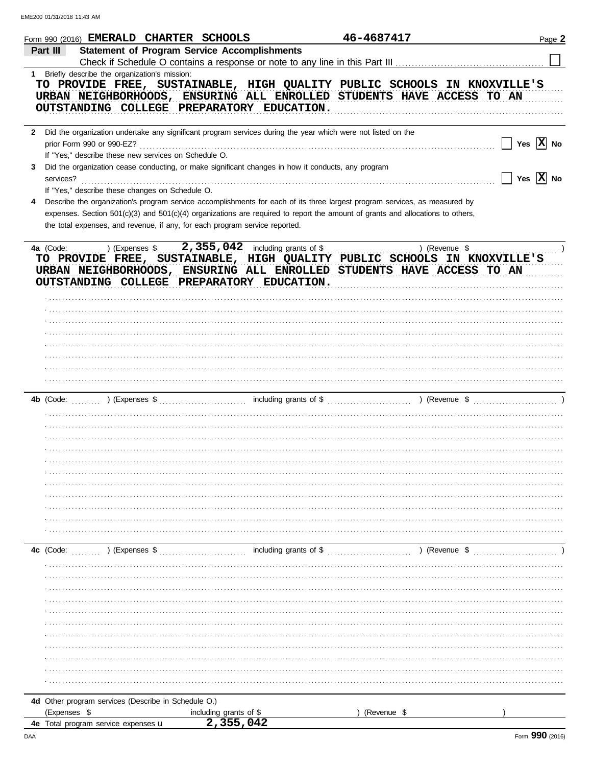|   | Form 990 (2016) EMERALD CHARTER SCHOOLS                                                                                        |                        |                        | 46-4687417                                                                   | Page 2                  |
|---|--------------------------------------------------------------------------------------------------------------------------------|------------------------|------------------------|------------------------------------------------------------------------------|-------------------------|
|   | <b>Statement of Program Service Accomplishments</b><br>Part III                                                                |                        |                        |                                                                              |                         |
|   |                                                                                                                                |                        |                        | Check if Schedule O contains a response or note to any line in this Part III |                         |
|   | 1 Briefly describe the organization's mission:                                                                                 |                        |                        |                                                                              |                         |
|   | TO PROVIDE FREE, SUSTAINABLE, HIGH QUALITY PUBLIC SCHOOLS IN KNOXVILLE'S                                                       |                        |                        |                                                                              |                         |
|   | URBAN NEIGHBORHOODS, ENSURING ALL ENROLLED STUDENTS HAVE ACCESS TO AN                                                          |                        |                        |                                                                              |                         |
|   | OUTSTANDING COLLEGE PREPARATORY EDUCATION.                                                                                     |                        |                        |                                                                              |                         |
|   |                                                                                                                                |                        |                        |                                                                              |                         |
|   | 2 Did the organization undertake any significant program services during the year which were not listed on the                 |                        |                        |                                                                              |                         |
|   | prior Form 990 or 990-EZ?                                                                                                      |                        |                        |                                                                              | Yes $ \overline{X} $ No |
|   | If "Yes," describe these new services on Schedule O.                                                                           |                        |                        |                                                                              |                         |
| 3 | Did the organization cease conducting, or make significant changes in how it conducts, any program                             |                        |                        |                                                                              |                         |
|   | services?                                                                                                                      |                        |                        |                                                                              | Yes $\overline{X}$ No   |
|   | If "Yes," describe these changes on Schedule O.                                                                                |                        |                        |                                                                              |                         |
|   | Describe the organization's program service accomplishments for each of its three largest program services, as measured by     |                        |                        |                                                                              |                         |
|   | expenses. Section 501(c)(3) and 501(c)(4) organizations are required to report the amount of grants and allocations to others, |                        |                        |                                                                              |                         |
|   | the total expenses, and revenue, if any, for each program service reported.                                                    |                        |                        |                                                                              |                         |
|   |                                                                                                                                |                        |                        |                                                                              |                         |
|   | 4a (Code:                                                                                                                      |                        |                        | ) (Revenue \$                                                                |                         |
|   | TO PROVIDE FREE, SUSTAINABLE, HIGH QUALITY PUBLIC SCHOOLS IN KNOXVILLE'S                                                       |                        |                        |                                                                              |                         |
|   | URBAN NEIGHBORHOODS, ENSURING ALL ENROLLED STUDENTS HAVE ACCESS TO AN                                                          |                        |                        |                                                                              |                         |
|   | OUTSTANDING COLLEGE PREPARATORY EDUCATION.                                                                                     |                        |                        |                                                                              |                         |
|   |                                                                                                                                |                        |                        |                                                                              |                         |
|   |                                                                                                                                |                        |                        |                                                                              |                         |
|   |                                                                                                                                |                        |                        |                                                                              |                         |
|   |                                                                                                                                |                        |                        |                                                                              |                         |
|   |                                                                                                                                |                        |                        |                                                                              |                         |
|   |                                                                                                                                |                        |                        |                                                                              |                         |
|   |                                                                                                                                |                        |                        |                                                                              |                         |
|   |                                                                                                                                |                        |                        |                                                                              |                         |
|   |                                                                                                                                |                        |                        |                                                                              |                         |
|   |                                                                                                                                |                        |                        |                                                                              |                         |
|   |                                                                                                                                |                        |                        |                                                                              |                         |
|   |                                                                                                                                |                        |                        |                                                                              |                         |
|   |                                                                                                                                |                        |                        |                                                                              |                         |
|   |                                                                                                                                |                        |                        |                                                                              |                         |
|   |                                                                                                                                |                        |                        |                                                                              |                         |
|   |                                                                                                                                |                        |                        |                                                                              |                         |
|   |                                                                                                                                |                        |                        |                                                                              |                         |
|   |                                                                                                                                |                        |                        |                                                                              |                         |
|   |                                                                                                                                |                        |                        |                                                                              |                         |
|   |                                                                                                                                |                        |                        |                                                                              |                         |
|   |                                                                                                                                |                        |                        |                                                                              |                         |
|   | 4c (Code:<br>(Expenses \$                                                                                                      |                        | including grants of \$ | ) (Revenue \$                                                                |                         |
|   |                                                                                                                                |                        |                        |                                                                              |                         |
|   |                                                                                                                                |                        |                        |                                                                              |                         |
|   |                                                                                                                                |                        |                        |                                                                              |                         |
|   |                                                                                                                                |                        |                        |                                                                              |                         |
|   |                                                                                                                                |                        |                        |                                                                              |                         |
|   |                                                                                                                                |                        |                        |                                                                              |                         |
|   |                                                                                                                                |                        |                        |                                                                              |                         |
|   |                                                                                                                                |                        |                        |                                                                              |                         |
|   |                                                                                                                                |                        |                        |                                                                              |                         |
|   |                                                                                                                                |                        |                        |                                                                              |                         |
|   |                                                                                                                                |                        |                        |                                                                              |                         |
|   |                                                                                                                                |                        |                        |                                                                              |                         |
|   | 4d Other program services (Describe in Schedule O.)                                                                            |                        |                        |                                                                              |                         |
|   | (Expenses \$                                                                                                                   | including grants of \$ |                        | (Revenue \$                                                                  |                         |
|   | 4e Total program service expenses u                                                                                            | 2,355,042              |                        |                                                                              |                         |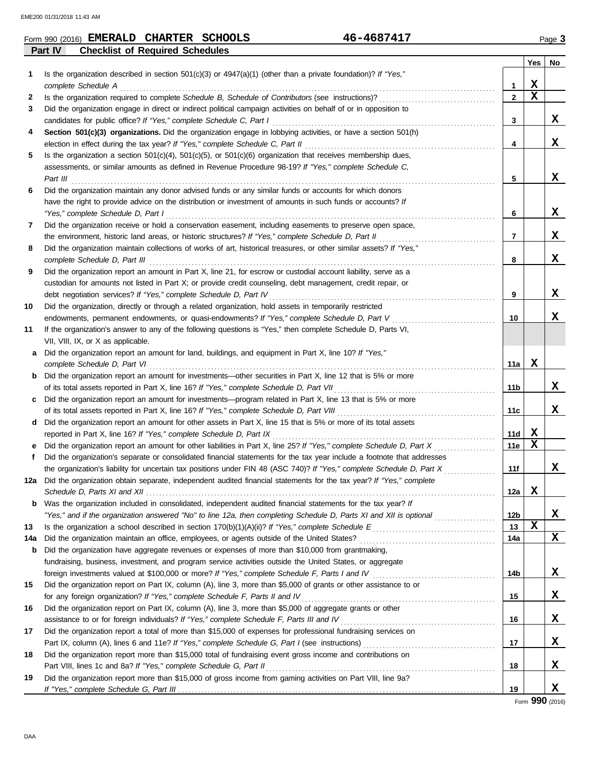| Form 990 (2016) | <b>EMERALD</b>                         | <b>SCHOOLS</b><br><b>CHARTER</b> | 46-4687417 |  | $P$ aqe $\sim$ |
|-----------------|----------------------------------------|----------------------------------|------------|--|----------------|
| Part IV         | <b>Checklist of Required Schedules</b> |                                  |            |  |                |

| Is the organization described in section 501(c)(3) or $4947(a)(1)$ (other than a private foundation)? If "Yes,"<br>1<br>complete Schedule A expression complete schedule A<br>Is the organization required to complete Schedule B, Schedule of Contributors (see instructions)?<br>2<br>Did the organization engage in direct or indirect political campaign activities on behalf of or in opposition to<br>3<br>candidates for public office? If "Yes," complete Schedule C, Part I<br>Section 501(c)(3) organizations. Did the organization engage in lobbying activities, or have a section 501(h)<br>4<br>election in effect during the tax year? If "Yes," complete Schedule C, Part II<br>Is the organization a section $501(c)(4)$ , $501(c)(5)$ , or $501(c)(6)$ organization that receives membership dues,<br>5<br>assessments, or similar amounts as defined in Revenue Procedure 98-19? If "Yes," complete Schedule C,<br>Part III $\ldots$ $\ldots$ $\ldots$ $\ldots$ $\ldots$ $\ldots$ $\ldots$ $\ldots$ $\ldots$ $\ldots$ $\ldots$ $\ldots$ $\ldots$<br>Did the organization maintain any donor advised funds or any similar funds or accounts for which donors<br>6<br>have the right to provide advice on the distribution or investment of amounts in such funds or accounts? If<br>"Yes," complete Schedule D, Part I | 1<br>$\mathbf{2}$<br>3<br>4 | Yes<br>X<br>$\mathbf x$ |   |
|------------------------------------------------------------------------------------------------------------------------------------------------------------------------------------------------------------------------------------------------------------------------------------------------------------------------------------------------------------------------------------------------------------------------------------------------------------------------------------------------------------------------------------------------------------------------------------------------------------------------------------------------------------------------------------------------------------------------------------------------------------------------------------------------------------------------------------------------------------------------------------------------------------------------------------------------------------------------------------------------------------------------------------------------------------------------------------------------------------------------------------------------------------------------------------------------------------------------------------------------------------------------------------------------------------------------------------------|-----------------------------|-------------------------|---|
|                                                                                                                                                                                                                                                                                                                                                                                                                                                                                                                                                                                                                                                                                                                                                                                                                                                                                                                                                                                                                                                                                                                                                                                                                                                                                                                                          |                             |                         |   |
|                                                                                                                                                                                                                                                                                                                                                                                                                                                                                                                                                                                                                                                                                                                                                                                                                                                                                                                                                                                                                                                                                                                                                                                                                                                                                                                                          |                             |                         |   |
|                                                                                                                                                                                                                                                                                                                                                                                                                                                                                                                                                                                                                                                                                                                                                                                                                                                                                                                                                                                                                                                                                                                                                                                                                                                                                                                                          |                             |                         |   |
|                                                                                                                                                                                                                                                                                                                                                                                                                                                                                                                                                                                                                                                                                                                                                                                                                                                                                                                                                                                                                                                                                                                                                                                                                                                                                                                                          |                             |                         |   |
|                                                                                                                                                                                                                                                                                                                                                                                                                                                                                                                                                                                                                                                                                                                                                                                                                                                                                                                                                                                                                                                                                                                                                                                                                                                                                                                                          |                             |                         | X |
|                                                                                                                                                                                                                                                                                                                                                                                                                                                                                                                                                                                                                                                                                                                                                                                                                                                                                                                                                                                                                                                                                                                                                                                                                                                                                                                                          |                             |                         |   |
|                                                                                                                                                                                                                                                                                                                                                                                                                                                                                                                                                                                                                                                                                                                                                                                                                                                                                                                                                                                                                                                                                                                                                                                                                                                                                                                                          |                             |                         | X |
|                                                                                                                                                                                                                                                                                                                                                                                                                                                                                                                                                                                                                                                                                                                                                                                                                                                                                                                                                                                                                                                                                                                                                                                                                                                                                                                                          |                             |                         |   |
|                                                                                                                                                                                                                                                                                                                                                                                                                                                                                                                                                                                                                                                                                                                                                                                                                                                                                                                                                                                                                                                                                                                                                                                                                                                                                                                                          |                             |                         |   |
|                                                                                                                                                                                                                                                                                                                                                                                                                                                                                                                                                                                                                                                                                                                                                                                                                                                                                                                                                                                                                                                                                                                                                                                                                                                                                                                                          | 5                           |                         | X |
|                                                                                                                                                                                                                                                                                                                                                                                                                                                                                                                                                                                                                                                                                                                                                                                                                                                                                                                                                                                                                                                                                                                                                                                                                                                                                                                                          |                             |                         |   |
|                                                                                                                                                                                                                                                                                                                                                                                                                                                                                                                                                                                                                                                                                                                                                                                                                                                                                                                                                                                                                                                                                                                                                                                                                                                                                                                                          |                             |                         |   |
|                                                                                                                                                                                                                                                                                                                                                                                                                                                                                                                                                                                                                                                                                                                                                                                                                                                                                                                                                                                                                                                                                                                                                                                                                                                                                                                                          | 6                           |                         | X |
| Did the organization receive or hold a conservation easement, including easements to preserve open space,<br>7                                                                                                                                                                                                                                                                                                                                                                                                                                                                                                                                                                                                                                                                                                                                                                                                                                                                                                                                                                                                                                                                                                                                                                                                                           |                             |                         |   |
| the environment, historic land areas, or historic structures? If "Yes," complete Schedule D, Part II                                                                                                                                                                                                                                                                                                                                                                                                                                                                                                                                                                                                                                                                                                                                                                                                                                                                                                                                                                                                                                                                                                                                                                                                                                     | 7                           |                         | X |
| Did the organization maintain collections of works of art, historical treasures, or other similar assets? If "Yes,"<br>8                                                                                                                                                                                                                                                                                                                                                                                                                                                                                                                                                                                                                                                                                                                                                                                                                                                                                                                                                                                                                                                                                                                                                                                                                 |                             |                         |   |
| complete Schedule D, Part III                                                                                                                                                                                                                                                                                                                                                                                                                                                                                                                                                                                                                                                                                                                                                                                                                                                                                                                                                                                                                                                                                                                                                                                                                                                                                                            | 8                           |                         | X |
| Did the organization report an amount in Part X, line 21, for escrow or custodial account liability, serve as a<br>9                                                                                                                                                                                                                                                                                                                                                                                                                                                                                                                                                                                                                                                                                                                                                                                                                                                                                                                                                                                                                                                                                                                                                                                                                     |                             |                         |   |
| custodian for amounts not listed in Part X; or provide credit counseling, debt management, credit repair, or                                                                                                                                                                                                                                                                                                                                                                                                                                                                                                                                                                                                                                                                                                                                                                                                                                                                                                                                                                                                                                                                                                                                                                                                                             |                             |                         |   |
|                                                                                                                                                                                                                                                                                                                                                                                                                                                                                                                                                                                                                                                                                                                                                                                                                                                                                                                                                                                                                                                                                                                                                                                                                                                                                                                                          | 9                           |                         | x |
| Did the organization, directly or through a related organization, hold assets in temporarily restricted<br>10                                                                                                                                                                                                                                                                                                                                                                                                                                                                                                                                                                                                                                                                                                                                                                                                                                                                                                                                                                                                                                                                                                                                                                                                                            |                             |                         |   |
| endowments, permanent endowments, or quasi-endowments? If "Yes," complete Schedule D, Part V                                                                                                                                                                                                                                                                                                                                                                                                                                                                                                                                                                                                                                                                                                                                                                                                                                                                                                                                                                                                                                                                                                                                                                                                                                             | 10                          |                         | x |
| If the organization's answer to any of the following questions is "Yes," then complete Schedule D, Parts VI,<br>11                                                                                                                                                                                                                                                                                                                                                                                                                                                                                                                                                                                                                                                                                                                                                                                                                                                                                                                                                                                                                                                                                                                                                                                                                       |                             |                         |   |
| VII, VIII, IX, or X as applicable.                                                                                                                                                                                                                                                                                                                                                                                                                                                                                                                                                                                                                                                                                                                                                                                                                                                                                                                                                                                                                                                                                                                                                                                                                                                                                                       |                             |                         |   |
| a Did the organization report an amount for land, buildings, and equipment in Part X, line 10? If "Yes,"                                                                                                                                                                                                                                                                                                                                                                                                                                                                                                                                                                                                                                                                                                                                                                                                                                                                                                                                                                                                                                                                                                                                                                                                                                 |                             |                         |   |
|                                                                                                                                                                                                                                                                                                                                                                                                                                                                                                                                                                                                                                                                                                                                                                                                                                                                                                                                                                                                                                                                                                                                                                                                                                                                                                                                          | 11a                         | X                       |   |
| <b>b</b> Did the organization report an amount for investments—other securities in Part X, line 12 that is 5% or more                                                                                                                                                                                                                                                                                                                                                                                                                                                                                                                                                                                                                                                                                                                                                                                                                                                                                                                                                                                                                                                                                                                                                                                                                    |                             |                         |   |
|                                                                                                                                                                                                                                                                                                                                                                                                                                                                                                                                                                                                                                                                                                                                                                                                                                                                                                                                                                                                                                                                                                                                                                                                                                                                                                                                          | 11b                         |                         | x |
| c Did the organization report an amount for investments—program related in Part X, line 13 that is 5% or more                                                                                                                                                                                                                                                                                                                                                                                                                                                                                                                                                                                                                                                                                                                                                                                                                                                                                                                                                                                                                                                                                                                                                                                                                            |                             |                         |   |
|                                                                                                                                                                                                                                                                                                                                                                                                                                                                                                                                                                                                                                                                                                                                                                                                                                                                                                                                                                                                                                                                                                                                                                                                                                                                                                                                          | 11c                         |                         | X |
| d Did the organization report an amount for other assets in Part X, line 15 that is 5% or more of its total assets                                                                                                                                                                                                                                                                                                                                                                                                                                                                                                                                                                                                                                                                                                                                                                                                                                                                                                                                                                                                                                                                                                                                                                                                                       |                             |                         |   |
| reported in Part X, line 16? If "Yes," complete Schedule D, Part IX                                                                                                                                                                                                                                                                                                                                                                                                                                                                                                                                                                                                                                                                                                                                                                                                                                                                                                                                                                                                                                                                                                                                                                                                                                                                      | 11d                         | X<br>X                  |   |
| Did the organization report an amount for other liabilities in Part X, line 25? If "Yes," complete Schedule D, Part X                                                                                                                                                                                                                                                                                                                                                                                                                                                                                                                                                                                                                                                                                                                                                                                                                                                                                                                                                                                                                                                                                                                                                                                                                    | 11e                         |                         |   |
| Did the organization's separate or consolidated financial statements for the tax year include a footnote that addresses<br>f                                                                                                                                                                                                                                                                                                                                                                                                                                                                                                                                                                                                                                                                                                                                                                                                                                                                                                                                                                                                                                                                                                                                                                                                             |                             |                         |   |
| the organization's liability for uncertain tax positions under FIN 48 (ASC 740)? If "Yes," complete Schedule D, Part X                                                                                                                                                                                                                                                                                                                                                                                                                                                                                                                                                                                                                                                                                                                                                                                                                                                                                                                                                                                                                                                                                                                                                                                                                   | 11f                         |                         | x |
| 12a Did the organization obtain separate, independent audited financial statements for the tax year? If "Yes," complete                                                                                                                                                                                                                                                                                                                                                                                                                                                                                                                                                                                                                                                                                                                                                                                                                                                                                                                                                                                                                                                                                                                                                                                                                  |                             |                         |   |
|                                                                                                                                                                                                                                                                                                                                                                                                                                                                                                                                                                                                                                                                                                                                                                                                                                                                                                                                                                                                                                                                                                                                                                                                                                                                                                                                          | 12a                         | x                       |   |
| Was the organization included in consolidated, independent audited financial statements for the tax year? If<br>b                                                                                                                                                                                                                                                                                                                                                                                                                                                                                                                                                                                                                                                                                                                                                                                                                                                                                                                                                                                                                                                                                                                                                                                                                        |                             |                         | X |
| "Yes," and if the organization answered "No" to line 12a, then completing Schedule D, Parts XI and XII is optional<br>13                                                                                                                                                                                                                                                                                                                                                                                                                                                                                                                                                                                                                                                                                                                                                                                                                                                                                                                                                                                                                                                                                                                                                                                                                 | 12 <sub>b</sub><br>13       | $\mathbf x$             |   |
| 14a                                                                                                                                                                                                                                                                                                                                                                                                                                                                                                                                                                                                                                                                                                                                                                                                                                                                                                                                                                                                                                                                                                                                                                                                                                                                                                                                      | 14a                         |                         | x |
| Did the organization have aggregate revenues or expenses of more than \$10,000 from grantmaking,<br>b                                                                                                                                                                                                                                                                                                                                                                                                                                                                                                                                                                                                                                                                                                                                                                                                                                                                                                                                                                                                                                                                                                                                                                                                                                    |                             |                         |   |
| fundraising, business, investment, and program service activities outside the United States, or aggregate                                                                                                                                                                                                                                                                                                                                                                                                                                                                                                                                                                                                                                                                                                                                                                                                                                                                                                                                                                                                                                                                                                                                                                                                                                |                             |                         |   |
|                                                                                                                                                                                                                                                                                                                                                                                                                                                                                                                                                                                                                                                                                                                                                                                                                                                                                                                                                                                                                                                                                                                                                                                                                                                                                                                                          | 14b                         |                         | X |
| Did the organization report on Part IX, column (A), line 3, more than \$5,000 of grants or other assistance to or<br>15                                                                                                                                                                                                                                                                                                                                                                                                                                                                                                                                                                                                                                                                                                                                                                                                                                                                                                                                                                                                                                                                                                                                                                                                                  |                             |                         |   |
| for any foreign organization? If "Yes," complete Schedule F, Parts II and IV                                                                                                                                                                                                                                                                                                                                                                                                                                                                                                                                                                                                                                                                                                                                                                                                                                                                                                                                                                                                                                                                                                                                                                                                                                                             | 15                          |                         | X |
| Did the organization report on Part IX, column (A), line 3, more than \$5,000 of aggregate grants or other<br>16                                                                                                                                                                                                                                                                                                                                                                                                                                                                                                                                                                                                                                                                                                                                                                                                                                                                                                                                                                                                                                                                                                                                                                                                                         |                             |                         |   |
|                                                                                                                                                                                                                                                                                                                                                                                                                                                                                                                                                                                                                                                                                                                                                                                                                                                                                                                                                                                                                                                                                                                                                                                                                                                                                                                                          | 16                          |                         | X |
| Did the organization report a total of more than \$15,000 of expenses for professional fundraising services on<br>17                                                                                                                                                                                                                                                                                                                                                                                                                                                                                                                                                                                                                                                                                                                                                                                                                                                                                                                                                                                                                                                                                                                                                                                                                     |                             |                         |   |
|                                                                                                                                                                                                                                                                                                                                                                                                                                                                                                                                                                                                                                                                                                                                                                                                                                                                                                                                                                                                                                                                                                                                                                                                                                                                                                                                          | 17                          |                         | X |
| Did the organization report more than \$15,000 total of fundraising event gross income and contributions on<br>18                                                                                                                                                                                                                                                                                                                                                                                                                                                                                                                                                                                                                                                                                                                                                                                                                                                                                                                                                                                                                                                                                                                                                                                                                        |                             |                         |   |
| Part VIII, lines 1c and 8a? If "Yes," complete Schedule G, Part II                                                                                                                                                                                                                                                                                                                                                                                                                                                                                                                                                                                                                                                                                                                                                                                                                                                                                                                                                                                                                                                                                                                                                                                                                                                                       | 18                          |                         | X |
| Did the organization report more than \$15,000 of gross income from gaming activities on Part VIII, line 9a?<br>19                                                                                                                                                                                                                                                                                                                                                                                                                                                                                                                                                                                                                                                                                                                                                                                                                                                                                                                                                                                                                                                                                                                                                                                                                       |                             |                         |   |
|                                                                                                                                                                                                                                                                                                                                                                                                                                                                                                                                                                                                                                                                                                                                                                                                                                                                                                                                                                                                                                                                                                                                                                                                                                                                                                                                          | 19                          |                         | X |

Form **990** (2016)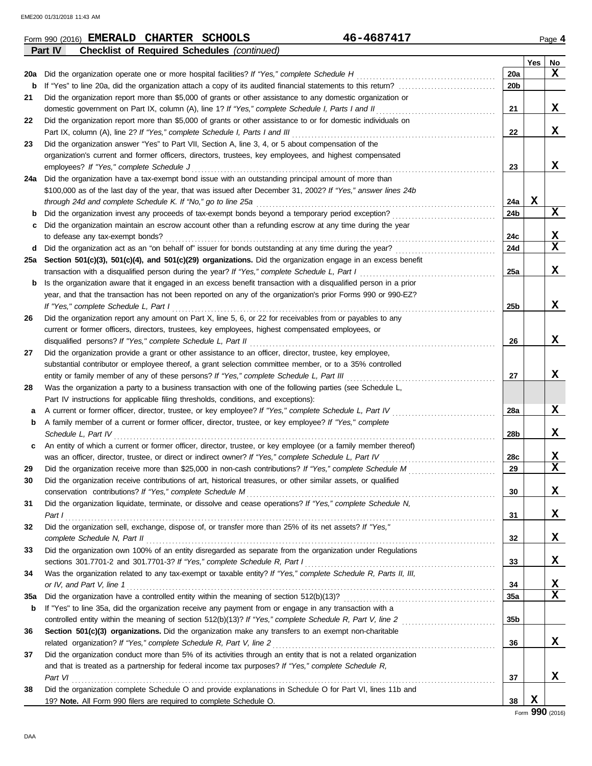|     | 46-4687417<br>Form 990 (2016) EMERALD CHARTER SCHOOLS                                                             |                 |     | Page 4                  |
|-----|-------------------------------------------------------------------------------------------------------------------|-----------------|-----|-------------------------|
|     | Part IV<br><b>Checklist of Required Schedules (continued)</b>                                                     |                 |     |                         |
|     |                                                                                                                   |                 | Yes | No                      |
| 20a | Did the organization operate one or more hospital facilities? If "Yes," complete Schedule H                       | 20a             |     | X                       |
| b   |                                                                                                                   | 20 <sub>b</sub> |     |                         |
| 21  | Did the organization report more than \$5,000 of grants or other assistance to any domestic organization or       |                 |     |                         |
|     | domestic government on Part IX, column (A), line 1? If "Yes," complete Schedule I, Parts I and II                 | 21              |     | X                       |
| 22  | Did the organization report more than \$5,000 of grants or other assistance to or for domestic individuals on     |                 |     |                         |
|     | Part IX, column (A), line 2? If "Yes," complete Schedule I, Parts I and III                                       | 22              |     | X                       |
| 23  | Did the organization answer "Yes" to Part VII, Section A, line 3, 4, or 5 about compensation of the               |                 |     |                         |
|     | organization's current and former officers, directors, trustees, key employees, and highest compensated           |                 |     |                         |
|     | employees? If "Yes," complete Schedule J                                                                          | 23              |     | X                       |
|     | 24a Did the organization have a tax-exempt bond issue with an outstanding principal amount of more than           |                 |     |                         |
|     | \$100,000 as of the last day of the year, that was issued after December 31, 2002? If "Yes," answer lines 24b     |                 |     |                         |
|     | through 24d and complete Schedule K. If "No," go to line 25a                                                      | 24a             | X   |                         |
| b   | Did the organization invest any proceeds of tax-exempt bonds beyond a temporary period exception?                 | 24b             |     | X                       |
| c   | Did the organization maintain an escrow account other than a refunding escrow at any time during the year         |                 |     |                         |
|     | to defease any tax-exempt bonds?                                                                                  | 24с             |     | X                       |
|     | d Did the organization act as an "on behalf of" issuer for bonds outstanding at any time during the year?         | 24d             |     | X                       |
|     | 25a Section 501(c)(3), 501(c)(4), and 501(c)(29) organizations. Did the organization engage in an excess benefit  |                 |     |                         |
|     | transaction with a disqualified person during the year? If "Yes," complete Schedule L, Part I                     | 25a             |     | X                       |
| b   | Is the organization aware that it engaged in an excess benefit transaction with a disqualified person in a prior  |                 |     |                         |
|     | year, and that the transaction has not been reported on any of the organization's prior Forms 990 or 990-EZ?      |                 |     |                         |
|     | If "Yes," complete Schedule L, Part I                                                                             | 25b             |     | X                       |
| 26  | Did the organization report any amount on Part X, line 5, 6, or 22 for receivables from or payables to any        |                 |     |                         |
|     | current or former officers, directors, trustees, key employees, highest compensated employees, or                 |                 |     |                         |
|     | disqualified persons? If "Yes," complete Schedule L, Part II                                                      | 26              |     | X                       |
| 27  | Did the organization provide a grant or other assistance to an officer, director, trustee, key employee,          |                 |     |                         |
|     | substantial contributor or employee thereof, a grant selection committee member, or to a 35% controlled           |                 |     |                         |
|     | entity or family member of any of these persons? If "Yes," complete Schedule L, Part III                          | 27              |     | X                       |
| 28  | Was the organization a party to a business transaction with one of the following parties (see Schedule L,         |                 |     |                         |
|     | Part IV instructions for applicable filing thresholds, conditions, and exceptions):                               |                 |     |                         |
| a   | A current or former officer, director, trustee, or key employee? If "Yes," complete Schedule L, Part IV           | 28a             |     | X                       |
| b   | A family member of a current or former officer, director, trustee, or key employee? If "Yes," complete            |                 |     |                         |
|     | Schedule L. Part IV                                                                                               | 28b             |     | X                       |
| c   | An entity of which a current or former officer, director, trustee, or key employee (or a family member thereof)   |                 |     |                         |
|     | was an officer, director, trustee, or direct or indirect owner? If "Yes," complete Schedule L, Part IV            | 28c             |     | X                       |
|     | Did the organization receive more than \$25,000 in non-cash contributions? If "Yes," complete Schedule M          | 29              |     | $\overline{\textbf{X}}$ |
| 30  | Did the organization receive contributions of art, historical treasures, or other similar assets, or qualified    |                 |     |                         |
|     |                                                                                                                   |                 |     | X                       |
|     | conservation contributions? If "Yes," complete Schedule M                                                         | 30              |     |                         |
| 31  | Did the organization liquidate, terminate, or dissolve and cease operations? If "Yes," complete Schedule N,       |                 |     | X                       |
|     | Part I<br>Did the organization sell, exchange, dispose of, or transfer more than 25% of its net assets? If "Yes," | 31              |     |                         |
| 32  |                                                                                                                   |                 |     | X                       |
|     | complete Schedule N, Part II                                                                                      | 32              |     |                         |
| 33  | Did the organization own 100% of an entity disregarded as separate from the organization under Regulations        |                 |     | X                       |
|     | sections 301.7701-2 and 301.7701-3? If "Yes," complete Schedule R, Part I                                         | 33              |     |                         |
| 34  | Was the organization related to any tax-exempt or taxable entity? If "Yes," complete Schedule R, Parts II, III,   |                 |     |                         |
|     | or IV, and Part V, line 1                                                                                         | 34              |     | X                       |
| 35a | Did the organization have a controlled entity within the meaning of section 512(b)(13)?                           | 35a             |     | $\mathbf x$             |
| b   | If "Yes" to line 35a, did the organization receive any payment from or engage in any transaction with a           |                 |     |                         |
|     | controlled entity within the meaning of section 512(b)(13)? If "Yes," complete Schedule R, Part V, line 2         | 35b             |     |                         |
| 36  | Section 501(c)(3) organizations. Did the organization make any transfers to an exempt non-charitable              |                 |     |                         |
|     | related organization? If "Yes," complete Schedule R, Part V, line 2                                               | 36              |     | X                       |
| 37  | Did the organization conduct more than 5% of its activities through an entity that is not a related organization  |                 |     |                         |
|     | and that is treated as a partnership for federal income tax purposes? If "Yes," complete Schedule R,              |                 |     |                         |
|     | Part VI                                                                                                           | 37              |     | X                       |
| 38  | Did the organization complete Schedule O and provide explanations in Schedule O for Part VI, lines 11b and        |                 |     |                         |
|     | 19? Note. All Form 990 filers are required to complete Schedule O.                                                | 38              | X   |                         |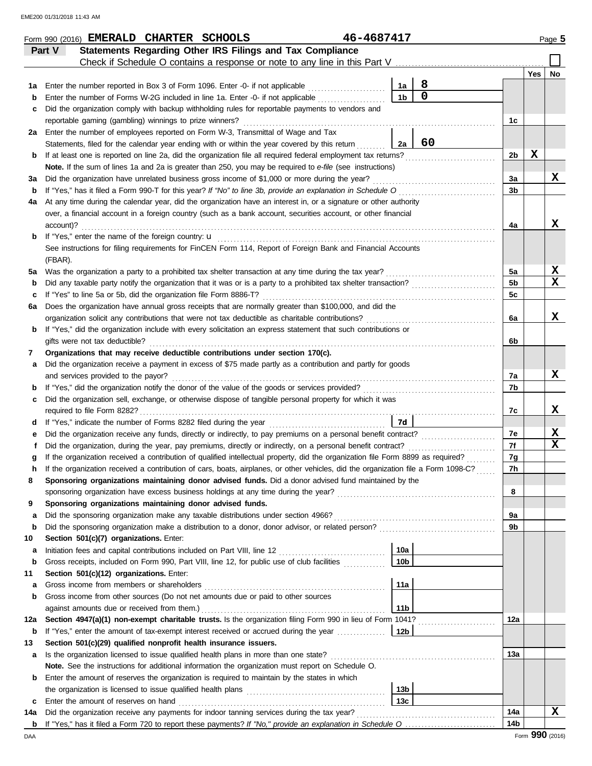|     | Form 990 (2016) EMERALD CHARTER SCHOOLS                                                                                                                                                                                                          | 46-4687417      |                                                                                                                       |                |     | Page 5           |
|-----|--------------------------------------------------------------------------------------------------------------------------------------------------------------------------------------------------------------------------------------------------|-----------------|-----------------------------------------------------------------------------------------------------------------------|----------------|-----|------------------|
|     | Statements Regarding Other IRS Filings and Tax Compliance<br>Part V                                                                                                                                                                              |                 |                                                                                                                       |                |     |                  |
|     | Check if Schedule O contains a response or note to any line in this Part V                                                                                                                                                                       |                 |                                                                                                                       |                |     |                  |
|     |                                                                                                                                                                                                                                                  |                 |                                                                                                                       |                | Yes | No               |
| 1a  | Enter the number reported in Box 3 of Form 1096. Enter -0- if not applicable                                                                                                                                                                     | 1a              | 8<br>$\overline{0}$                                                                                                   |                |     |                  |
| b   | Enter the number of Forms W-2G included in line 1a. Enter -0- if not applicable                                                                                                                                                                  | 1 <sub>b</sub>  |                                                                                                                       |                |     |                  |
| c   | Did the organization comply with backup withholding rules for reportable payments to vendors and                                                                                                                                                 |                 |                                                                                                                       |                |     |                  |
|     | reportable gaming (gambling) winnings to prize winners?                                                                                                                                                                                          |                 |                                                                                                                       | 1c             |     |                  |
|     | 2a Enter the number of employees reported on Form W-3, Transmittal of Wage and Tax                                                                                                                                                               |                 | 60                                                                                                                    |                |     |                  |
|     | Statements, filed for the calendar year ending with or within the year covered by this return<br>If at least one is reported on line 2a, did the organization file all required federal employment tax returns?                                  | 2a              |                                                                                                                       | 2b             | X   |                  |
| b   | Note. If the sum of lines 1a and 2a is greater than 250, you may be required to e-file (see instructions)                                                                                                                                        |                 |                                                                                                                       |                |     |                  |
| За  | Did the organization have unrelated business gross income of \$1,000 or more during the year?                                                                                                                                                    |                 |                                                                                                                       | За             |     | x                |
| b   | If "Yes," has it filed a Form 990-T for this year? If "No" to line 3b, provide an explanation in Schedule O                                                                                                                                      |                 |                                                                                                                       | 3b             |     |                  |
| 4a  | At any time during the calendar year, did the organization have an interest in, or a signature or other authority                                                                                                                                |                 |                                                                                                                       |                |     |                  |
|     | over, a financial account in a foreign country (such as a bank account, securities account, or other financial                                                                                                                                   |                 |                                                                                                                       |                |     |                  |
|     | account)?                                                                                                                                                                                                                                        |                 |                                                                                                                       | 4a             |     | X                |
| b   | If "Yes," enter the name of the foreign country: <b>u</b>                                                                                                                                                                                        |                 |                                                                                                                       |                |     |                  |
|     | See instructions for filing requirements for FinCEN Form 114, Report of Foreign Bank and Financial Accounts                                                                                                                                      |                 |                                                                                                                       |                |     |                  |
|     | (FBAR).                                                                                                                                                                                                                                          |                 |                                                                                                                       |                |     |                  |
| 5a  | Was the organization a party to a prohibited tax shelter transaction at any time during the tax year?                                                                                                                                            |                 |                                                                                                                       | 5a             |     | X                |
| b   | Did any taxable party notify the organization that it was or is a party to a prohibited tax shelter transaction?                                                                                                                                 |                 |                                                                                                                       | 5 <sub>b</sub> |     | X                |
| c   | If "Yes" to line 5a or 5b, did the organization file Form 8886-T?                                                                                                                                                                                |                 |                                                                                                                       | 5c             |     |                  |
| 6а  | Does the organization have annual gross receipts that are normally greater than \$100,000, and did the                                                                                                                                           |                 |                                                                                                                       |                |     |                  |
|     | organization solicit any contributions that were not tax deductible as charitable contributions?                                                                                                                                                 |                 |                                                                                                                       | 6a             |     | X                |
| b   | If "Yes," did the organization include with every solicitation an express statement that such contributions or                                                                                                                                   |                 |                                                                                                                       |                |     |                  |
|     | gifts were not tax deductible?                                                                                                                                                                                                                   |                 |                                                                                                                       | 6b             |     |                  |
| 7   | Organizations that may receive deductible contributions under section 170(c).                                                                                                                                                                    |                 |                                                                                                                       |                |     |                  |
| а   | Did the organization receive a payment in excess of \$75 made partly as a contribution and partly for goods                                                                                                                                      |                 |                                                                                                                       |                |     |                  |
|     | and services provided to the payor?                                                                                                                                                                                                              |                 |                                                                                                                       | 7a             |     | X                |
| b   | If "Yes," did the organization notify the donor of the value of the goods or services provided?                                                                                                                                                  |                 | <u> 1986 - Johann Stoff, deur de Frankryk fan de Fryslân fan de Fryslân fan de Fryslân fan de Fryslân fan de Frys</u> | 7b             |     |                  |
| c   | Did the organization sell, exchange, or otherwise dispose of tangible personal property for which it was                                                                                                                                         |                 |                                                                                                                       |                |     |                  |
|     | required to file Form 8282?                                                                                                                                                                                                                      |                 |                                                                                                                       | 7c             |     | X                |
| d   |                                                                                                                                                                                                                                                  | 7d              |                                                                                                                       |                |     |                  |
| е   | Did the organization receive any funds, directly or indirectly, to pay premiums on a personal benefit contract?                                                                                                                                  |                 |                                                                                                                       | 7e             |     | X<br>$\mathbf x$ |
|     | Did the organization, during the year, pay premiums, directly or indirectly, on a personal benefit contract?<br>If the organization received a contribution of qualified intellectual property, did the organization file Form 8899 as required? |                 |                                                                                                                       | 7f             |     |                  |
|     | If the organization received a contribution of cars, boats, airplanes, or other vehicles, did the organization file a Form 1098-C?                                                                                                               |                 |                                                                                                                       | 7g<br>7h       |     |                  |
| 8   | Sponsoring organizations maintaining donor advised funds. Did a donor advised fund maintained by the                                                                                                                                             |                 |                                                                                                                       |                |     |                  |
|     | sponsoring organization have excess business holdings at any time during the year?                                                                                                                                                               |                 |                                                                                                                       | 8              |     |                  |
| 9   | Sponsoring organizations maintaining donor advised funds.                                                                                                                                                                                        |                 |                                                                                                                       |                |     |                  |
| a   | Did the sponsoring organization make any taxable distributions under section 4966?                                                                                                                                                               |                 |                                                                                                                       | 9а             |     |                  |
| b   | Did the sponsoring organization make a distribution to a donor, donor advisor, or related person?                                                                                                                                                |                 |                                                                                                                       | 9b             |     |                  |
| 10  | Section 501(c)(7) organizations. Enter:                                                                                                                                                                                                          |                 |                                                                                                                       |                |     |                  |
| а   | Initiation fees and capital contributions included on Part VIII, line 12 [11] [11] [12] [11] [12] [11] [12] [1                                                                                                                                   | 10a             |                                                                                                                       |                |     |                  |
| b   | Gross receipts, included on Form 990, Part VIII, line 12, for public use of club facilities                                                                                                                                                      | 10 <sub>b</sub> |                                                                                                                       |                |     |                  |
| 11  | Section 501(c)(12) organizations. Enter:                                                                                                                                                                                                         |                 |                                                                                                                       |                |     |                  |
| а   | Gross income from members or shareholders                                                                                                                                                                                                        | 11a             |                                                                                                                       |                |     |                  |
| b   | Gross income from other sources (Do not net amounts due or paid to other sources                                                                                                                                                                 |                 |                                                                                                                       |                |     |                  |
|     | against amounts due or received from them.)                                                                                                                                                                                                      | 11 <sub>b</sub> |                                                                                                                       |                |     |                  |
| 12a | Section 4947(a)(1) non-exempt charitable trusts. Is the organization filing Form 990 in lieu of Form 1041?                                                                                                                                       |                 |                                                                                                                       | 12a            |     |                  |
| b   | If "Yes," enter the amount of tax-exempt interest received or accrued during the year <i>[[COSTERRY]</i>                                                                                                                                         | 12b             |                                                                                                                       |                |     |                  |
| 13  | Section 501(c)(29) qualified nonprofit health insurance issuers.                                                                                                                                                                                 |                 |                                                                                                                       |                |     |                  |
| a   | Is the organization licensed to issue qualified health plans in more than one state?                                                                                                                                                             |                 |                                                                                                                       | 13а            |     |                  |
|     | Note. See the instructions for additional information the organization must report on Schedule O.                                                                                                                                                |                 |                                                                                                                       |                |     |                  |
| b   | Enter the amount of reserves the organization is required to maintain by the states in which                                                                                                                                                     |                 |                                                                                                                       |                |     |                  |
|     |                                                                                                                                                                                                                                                  | 13b             |                                                                                                                       |                |     |                  |
| c   | Enter the amount of reserves on hand                                                                                                                                                                                                             | 13 <sub>c</sub> |                                                                                                                       |                |     | X                |
| 14a | Did the organization receive any payments for indoor tanning services during the tax year?                                                                                                                                                       |                 |                                                                                                                       | 14a<br>14b     |     |                  |
|     |                                                                                                                                                                                                                                                  |                 |                                                                                                                       |                |     |                  |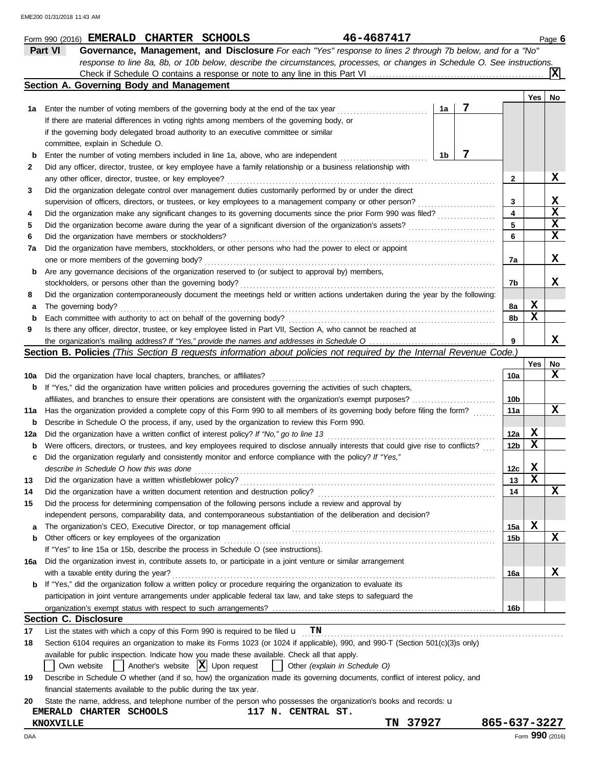|     | 46-4687417<br>Form 990 (2016) EMERALD CHARTER SCHOOLS                                                                                                            |                |   |                 |             | Page 6      |
|-----|------------------------------------------------------------------------------------------------------------------------------------------------------------------|----------------|---|-----------------|-------------|-------------|
|     | Part VI<br>Governance, Management, and Disclosure For each "Yes" response to lines 2 through 7b below, and for a "No"                                            |                |   |                 |             |             |
|     | response to line 8a, 8b, or 10b below, describe the circumstances, processes, or changes in Schedule O. See instructions.                                        |                |   |                 |             |             |
|     |                                                                                                                                                                  |                |   |                 |             | ΙXΙ         |
|     | Section A. Governing Body and Management                                                                                                                         |                |   |                 |             |             |
|     |                                                                                                                                                                  |                |   |                 | Yes         | No          |
| 1а  | Enter the number of voting members of the governing body at the end of the tax year                                                                              | 1a             | 7 |                 |             |             |
|     | If there are material differences in voting rights among members of the governing body, or                                                                       |                |   |                 |             |             |
|     | if the governing body delegated broad authority to an executive committee or similar                                                                             |                |   |                 |             |             |
|     | committee, explain in Schedule O.                                                                                                                                |                |   |                 |             |             |
| b   | Enter the number of voting members included in line 1a, above, who are independent                                                                               | 1 <sub>b</sub> | 7 |                 |             |             |
| 2   | Did any officer, director, trustee, or key employee have a family relationship or a business relationship with                                                   |                |   |                 |             |             |
|     | any other officer, director, trustee, or key employee?                                                                                                           |                |   | 2               |             | X           |
| 3   | Did the organization delegate control over management duties customarily performed by or under the direct                                                        |                |   |                 |             |             |
|     | supervision of officers, directors, or trustees, or key employees to a management company or other person?                                                       |                |   | 3               |             | X           |
| 4   | Did the organization make any significant changes to its governing documents since the prior Form 990 was filed?                                                 |                |   | 4               |             | $\mathbf x$ |
| 5   |                                                                                                                                                                  |                |   | 5               |             | X           |
|     | Did the organization become aware during the year of a significant diversion of the organization's assets?<br>Did the organization have members or stockholders? |                |   | 6               |             | $\mathbf x$ |
| 6   |                                                                                                                                                                  |                |   |                 |             |             |
| 7а  | Did the organization have members, stockholders, or other persons who had the power to elect or appoint                                                          |                |   |                 |             | X           |
|     | one or more members of the governing body?                                                                                                                       |                |   | 7a              |             |             |
| b   | Are any governance decisions of the organization reserved to (or subject to approval by) members,                                                                |                |   |                 |             |             |
|     | stockholders, or persons other than the governing body?                                                                                                          |                |   | 7b              |             | x           |
| 8   | Did the organization contemporaneously document the meetings held or written actions undertaken during the year by the following:                                |                |   |                 |             |             |
| а   | The governing body?                                                                                                                                              |                |   | 8а              | x           |             |
| b   | Each committee with authority to act on behalf of the governing body?                                                                                            |                |   | 8b              | X           |             |
| 9   | Is there any officer, director, trustee, or key employee listed in Part VII, Section A, who cannot be reached at                                                 |                |   |                 |             |             |
|     |                                                                                                                                                                  |                |   | 9               |             | x           |
|     | <b>Section B. Policies</b> (This Section B requests information about policies not required by the Internal Revenue Code.)                                       |                |   |                 |             |             |
|     |                                                                                                                                                                  |                |   |                 | Yes         | No          |
| 10a | Did the organization have local chapters, branches, or affiliates?                                                                                               |                |   | 10a             |             | x           |
| b   | If "Yes," did the organization have written policies and procedures governing the activities of such chapters,                                                   |                |   |                 |             |             |
|     | affiliates, and branches to ensure their operations are consistent with the organization's exempt purposes?                                                      |                |   | 10b             |             |             |
| 11a | Has the organization provided a complete copy of this Form 990 to all members of its governing body before filing the form?                                      |                |   | 11a             |             | X           |
| b   | Describe in Schedule O the process, if any, used by the organization to review this Form 990.                                                                    |                |   |                 |             |             |
| 12a | Did the organization have a written conflict of interest policy? If "No," go to line 13                                                                          |                |   | 12a             | X           |             |
| b   | Were officers, directors, or trustees, and key employees required to disclose annually interests that could give rise to conflicts?                              |                |   | 12b             | X           |             |
|     | Did the organization regularly and consistently monitor and enforce compliance with the policy? If "Yes,"                                                        |                |   |                 |             |             |
|     | describe in Schedule O how this was done                                                                                                                         |                |   | 12 <sub>c</sub> | $\mathbf x$ |             |
| 13  | Did the organization have a written whistleblower policy?                                                                                                        |                |   | 13              | $\mathbf x$ |             |
| 14  | Did the organization have a written document retention and destruction policy?                                                                                   |                |   | 14              |             | x           |
| 15  | Did the process for determining compensation of the following persons include a review and approval by                                                           |                |   |                 |             |             |
|     | independent persons, comparability data, and contemporaneous substantiation of the deliberation and decision?                                                    |                |   |                 |             |             |
| a   | The organization's CEO, Executive Director, or top management official                                                                                           |                |   | 15a             | X           |             |
| b   | Other officers or key employees of the organization                                                                                                              |                |   | 15b             |             | X           |
|     | If "Yes" to line 15a or 15b, describe the process in Schedule O (see instructions).                                                                              |                |   |                 |             |             |
| 16a | Did the organization invest in, contribute assets to, or participate in a joint venture or similar arrangement                                                   |                |   |                 |             |             |
|     | with a taxable entity during the year?                                                                                                                           |                |   | 16a             |             | X           |
|     | <b>b</b> If "Yes," did the organization follow a written policy or procedure requiring the organization to evaluate its                                          |                |   |                 |             |             |
|     | participation in joint venture arrangements under applicable federal tax law, and take steps to safeguard the                                                    |                |   |                 |             |             |
|     |                                                                                                                                                                  |                |   | 16b             |             |             |
|     | <b>Section C. Disclosure</b>                                                                                                                                     |                |   |                 |             |             |
| 17  | List the states with which a copy of this Form 990 is required to be filed $\mathbf{u}$ TN                                                                       |                |   |                 |             |             |
| 18  | Section 6104 requires an organization to make its Forms 1023 (or 1024 if applicable), 990, and 990-T (Section 501(c)(3)s only)                                   |                |   |                 |             |             |
|     | available for public inspection. Indicate how you made these available. Check all that apply.                                                                    |                |   |                 |             |             |
|     | Another's website $ \mathbf{X} $ Upon request<br>Own website<br>Other (explain in Schedule O)                                                                    |                |   |                 |             |             |
| 19  | Describe in Schedule O whether (and if so, how) the organization made its governing documents, conflict of interest policy, and                                  |                |   |                 |             |             |
|     | financial statements available to the public during the tax year.                                                                                                |                |   |                 |             |             |
| 20  | State the name, address, and telephone number of the person who possesses the organization's books and records: u                                                |                |   |                 |             |             |
|     | 117 N. CENTRAL ST.<br>EMERALD CHARTER SCHOOLS                                                                                                                    |                |   |                 |             |             |
|     | TN 37927<br><b>KNOXVILLE</b>                                                                                                                                     |                |   | 865-637-3227    |             |             |
|     |                                                                                                                                                                  |                |   |                 |             |             |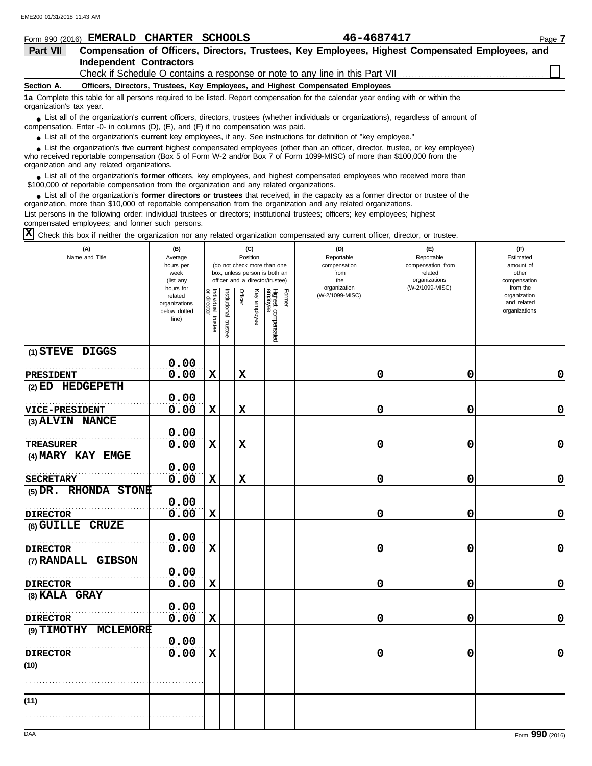| Form 990 (2016)          |                                                                                           | EMERALD CHARTER SCHOOLS | 46-4687417                                                                                                                                    | Page 7 |
|--------------------------|-------------------------------------------------------------------------------------------|-------------------------|-----------------------------------------------------------------------------------------------------------------------------------------------|--------|
| Part VII                 |                                                                                           |                         | Compensation of Officers, Directors, Trustees, Key Employees, Highest Compensated Employees, and                                              |        |
|                          |                                                                                           | Independent Contractors |                                                                                                                                               |        |
|                          |                                                                                           |                         | Check if Schedule O contains a response or note to any line in this Part VII                                                                  |        |
| Section A.               |                                                                                           |                         | Officers, Directors, Trustees, Key Employees, and Highest Compensated Employees                                                               |        |
| organization's tax year. |                                                                                           |                         | 1a Complete this table for all persons required to be listed. Report compensation for the calendar year ending with or within the             |        |
|                          | compensation. Enter -0- in columns $(D)$ , $(E)$ , and $(F)$ if no compensation was paid. |                         | • List all of the organization's <b>current</b> officers, directors, trustees (whether individuals or organizations), regardless of amount of |        |
|                          |                                                                                           |                         | • List all of the organization's current key employees, if any. See instructions for definition of "key employee."                            |        |

**•** List all of the organization's **current** key employees, if any. See instructions for definition of "key employee."<br>• List the organization's five **current** highest compensated employees (other than an officer, director **•**

who received reportable compensation (Box 5 of Form W-2 and/or Box 7 of Form 1099-MISC) of more than \$100,000 from the organization and any related organizations.

■ List all of the organization's **former** officers, key employees, and highest compensated employees who received more than<br> **•** 00.000 of reportable compensation from the ergonization and any related ergonizations \$100,000 of reportable compensation from the organization and any related organizations.

■ List all of the organization's **former directors or trustees** that received, in the capacity as a former director or trustee of the property is a former director or trustee of the property of the organization and any re organization, more than \$10,000 of reportable compensation from the organization and any related organizations. List persons in the following order: individual trustees or directors; institutional trustees; officers; key employees; highest

compensated employees; and former such persons.

 $\overline{X}$  Check this box if neither the organization nor any related organization compensated any current officer, director, or trustee.

| (A)<br>Name and Title        | (B)<br>Average<br>hours per<br>week<br>(list any               |                                   |                          | Position    | (C)          | (do not check more than one<br>box, unless person is both an<br>officer and a director/trustee) |        | (D)<br>Reportable<br>compensation<br>from<br>the | (E)<br>Reportable<br>compensation from<br>related<br>organizations | (F)<br>Estimated<br>amount of<br>other<br>compensation   |
|------------------------------|----------------------------------------------------------------|-----------------------------------|--------------------------|-------------|--------------|-------------------------------------------------------------------------------------------------|--------|--------------------------------------------------|--------------------------------------------------------------------|----------------------------------------------------------|
|                              | hours for<br>related<br>organizations<br>below dotted<br>line) | Individual trustee<br>or director | Institutional<br>trustee | Officer     | Key employee | Highest compenseited<br>employee                                                                | Former | organization<br>(W-2/1099-MISC)                  | (W-2/1099-MISC)                                                    | from the<br>organization<br>and related<br>organizations |
| (1) STEVE DIGGS              |                                                                |                                   |                          |             |              |                                                                                                 |        |                                                  |                                                                    |                                                          |
| PRESIDENT                    | 0.00<br>0.00                                                   | $\mathbf x$                       |                          | $\mathbf x$ |              |                                                                                                 |        | 0                                                | 0                                                                  | $\mathbf 0$                                              |
| <b>HEDGEPETH</b><br>$(2)$ ED |                                                                |                                   |                          |             |              |                                                                                                 |        |                                                  |                                                                    |                                                          |
|                              | 0.00                                                           |                                   |                          |             |              |                                                                                                 |        |                                                  |                                                                    |                                                          |
| <b>VICE-PRESIDENT</b>        | 0.00                                                           | X                                 |                          | $\mathbf x$ |              |                                                                                                 |        | 0                                                | 0                                                                  | $\mathbf 0$                                              |
| (3) ALVIN NANCE              |                                                                |                                   |                          |             |              |                                                                                                 |        |                                                  |                                                                    |                                                          |
| TREASURER                    | 0.00<br>0.00                                                   | X                                 |                          | $\mathbf x$ |              |                                                                                                 |        | 0                                                | 0                                                                  | 0                                                        |
| (4) MARY KAY EMGE            |                                                                |                                   |                          |             |              |                                                                                                 |        |                                                  |                                                                    |                                                          |
|                              | 0.00                                                           |                                   |                          |             |              |                                                                                                 |        |                                                  |                                                                    |                                                          |
| <b>SECRETARY</b>             | 0.00                                                           | $\mathbf x$                       |                          | $\mathbf x$ |              |                                                                                                 |        | 0                                                | 0                                                                  | 0                                                        |
| (5) DR. RHONDA STONE         |                                                                |                                   |                          |             |              |                                                                                                 |        |                                                  |                                                                    |                                                          |
|                              | 0.00                                                           |                                   |                          |             |              |                                                                                                 |        |                                                  |                                                                    |                                                          |
| <b>DIRECTOR</b>              | 0.00                                                           | $\mathbf x$                       |                          |             |              |                                                                                                 |        | 0                                                | 0                                                                  | $\mathbf 0$                                              |
| (6) GUILLE CRUZE             | 0.00                                                           |                                   |                          |             |              |                                                                                                 |        |                                                  |                                                                    |                                                          |
| <b>DIRECTOR</b>              | 0.00                                                           | $\mathbf x$                       |                          |             |              |                                                                                                 |        | 0                                                | 0                                                                  | $\mathbf 0$                                              |
| (7) RANDALL GIBSON           |                                                                |                                   |                          |             |              |                                                                                                 |        |                                                  |                                                                    |                                                          |
|                              | 0.00                                                           |                                   |                          |             |              |                                                                                                 |        |                                                  |                                                                    |                                                          |
| <b>DIRECTOR</b>              | 0.00                                                           | $\mathbf x$                       |                          |             |              |                                                                                                 |        | 0                                                | 0                                                                  | 0                                                        |
| (8) KALA GRAY                |                                                                |                                   |                          |             |              |                                                                                                 |        |                                                  |                                                                    |                                                          |
|                              | 0.00                                                           |                                   |                          |             |              |                                                                                                 |        |                                                  |                                                                    |                                                          |
| <b>DIRECTOR</b>              | 0.00                                                           | $\mathbf x$                       |                          |             |              |                                                                                                 |        | 0                                                | 0                                                                  | $\mathbf 0$                                              |
| (9) TIMOTHY MCLEMORE         |                                                                |                                   |                          |             |              |                                                                                                 |        |                                                  |                                                                    |                                                          |
| <b>DIRECTOR</b>              | 0.00<br>0.00                                                   | $\mathbf x$                       |                          |             |              |                                                                                                 |        | 0                                                | 0                                                                  | $\mathbf 0$                                              |
| (10)                         |                                                                |                                   |                          |             |              |                                                                                                 |        |                                                  |                                                                    |                                                          |
|                              |                                                                |                                   |                          |             |              |                                                                                                 |        |                                                  |                                                                    |                                                          |
| (11)                         |                                                                |                                   |                          |             |              |                                                                                                 |        |                                                  |                                                                    |                                                          |
|                              |                                                                |                                   |                          |             |              |                                                                                                 |        |                                                  |                                                                    |                                                          |
|                              |                                                                |                                   |                          |             |              |                                                                                                 |        |                                                  |                                                                    |                                                          |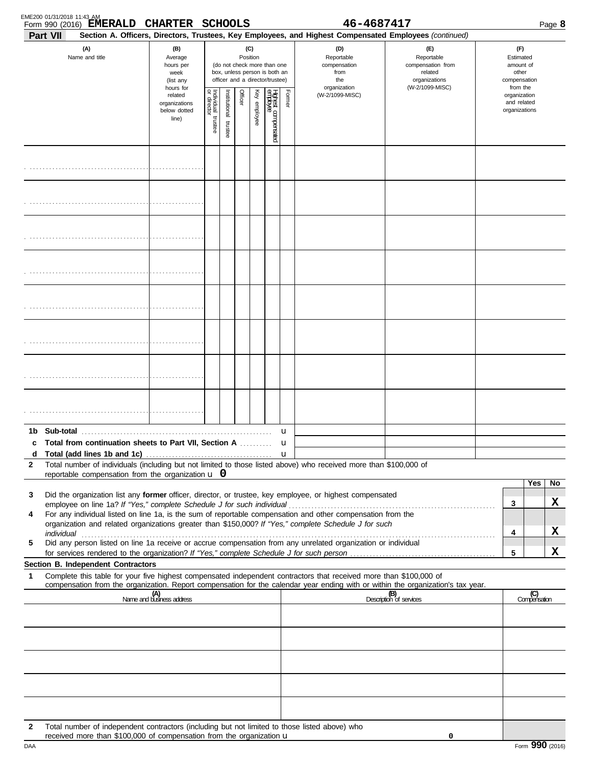| Part VII     | Form 990 (2016) EMERALD CHARTER SCHOOLS                                                       |                                                               |                         |                       |         |                 |                                                                                                 |             | 46-4687417<br>Section A. Officers, Directors, Trustees, Key Employees, and Highest Compensated Employees (continued)                                                                                                                                                                                                             |                                                                                                                                                                                                                               |                                                                    | Page 8              |
|--------------|-----------------------------------------------------------------------------------------------|---------------------------------------------------------------|-------------------------|-----------------------|---------|-----------------|-------------------------------------------------------------------------------------------------|-------------|----------------------------------------------------------------------------------------------------------------------------------------------------------------------------------------------------------------------------------------------------------------------------------------------------------------------------------|-------------------------------------------------------------------------------------------------------------------------------------------------------------------------------------------------------------------------------|--------------------------------------------------------------------|---------------------|
|              | (A)<br>Name and title                                                                         | (B)<br>Average<br>hours per<br>week<br>(list any<br>hours for |                         |                       |         | (C)<br>Position | (do not check more than one<br>box, unless person is both an<br>officer and a director/trustee) |             | (D)<br>Reportable<br>compensation<br>from<br>the<br>organization                                                                                                                                                                                                                                                                 | (E)<br>Reportable<br>compensation from<br>related<br>organizations<br>(W-2/1099-MISC)                                                                                                                                         | (F)<br>Estimated<br>amount of<br>other<br>compensation<br>from the |                     |
|              |                                                                                               | related<br>organizations<br>below dotted<br>line)             | Individual 1<br>trustee | Institutional trustee | Officer | Key employee    | Highest compensated<br>employee                                                                 | Former      | (W-2/1099-MISC)                                                                                                                                                                                                                                                                                                                  |                                                                                                                                                                                                                               | organization<br>and related<br>organizations                       |                     |
|              |                                                                                               |                                                               |                         |                       |         |                 |                                                                                                 |             |                                                                                                                                                                                                                                                                                                                                  |                                                                                                                                                                                                                               |                                                                    |                     |
|              |                                                                                               |                                                               |                         |                       |         |                 |                                                                                                 |             |                                                                                                                                                                                                                                                                                                                                  |                                                                                                                                                                                                                               |                                                                    |                     |
|              |                                                                                               |                                                               |                         |                       |         |                 |                                                                                                 |             |                                                                                                                                                                                                                                                                                                                                  |                                                                                                                                                                                                                               |                                                                    |                     |
|              |                                                                                               |                                                               |                         |                       |         |                 |                                                                                                 |             |                                                                                                                                                                                                                                                                                                                                  |                                                                                                                                                                                                                               |                                                                    |                     |
|              |                                                                                               |                                                               |                         |                       |         |                 |                                                                                                 |             |                                                                                                                                                                                                                                                                                                                                  |                                                                                                                                                                                                                               |                                                                    |                     |
|              |                                                                                               |                                                               |                         |                       |         |                 |                                                                                                 |             |                                                                                                                                                                                                                                                                                                                                  |                                                                                                                                                                                                                               |                                                                    |                     |
|              |                                                                                               |                                                               |                         |                       |         |                 |                                                                                                 |             |                                                                                                                                                                                                                                                                                                                                  |                                                                                                                                                                                                                               |                                                                    |                     |
|              |                                                                                               |                                                               |                         |                       |         |                 |                                                                                                 |             |                                                                                                                                                                                                                                                                                                                                  |                                                                                                                                                                                                                               |                                                                    |                     |
| d            | c Total from continuation sheets to Part VII. Section A                                       |                                                               |                         |                       |         |                 |                                                                                                 | u<br>u<br>u |                                                                                                                                                                                                                                                                                                                                  |                                                                                                                                                                                                                               |                                                                    |                     |
| $\mathbf{2}$ | reportable compensation from the organization $\mathbf u$ 0                                   |                                                               |                         |                       |         |                 |                                                                                                 |             | Total number of individuals (including but not limited to those listed above) who received more than \$100,000 of                                                                                                                                                                                                                |                                                                                                                                                                                                                               |                                                                    |                     |
| 3<br>4       |                                                                                               |                                                               |                         |                       |         |                 |                                                                                                 |             | Did the organization list any former officer, director, or trustee, key employee, or highest compensated<br>For any individual listed on line 1a, is the sum of reportable compensation and other compensation from the<br>organization and related organizations greater than \$150,000? If "Yes," complete Schedule J for such | employee on line 1a? If "Yes," complete Schedule J for such individual [11][11] content to the set on line 1a? If "Yes," complete Schedule J for such individual [11][11] content to the set of the set of the set of the set | 3                                                                  | Yes<br>No<br>x      |
| 5            |                                                                                               |                                                               |                         |                       |         |                 |                                                                                                 |             | Did any person listed on line 1a receive or accrue compensation from any unrelated organization or individual                                                                                                                                                                                                                    |                                                                                                                                                                                                                               | 4<br>5                                                             | X<br>X              |
| 1            | Section B. Independent Contractors                                                            |                                                               |                         |                       |         |                 |                                                                                                 |             | Complete this table for your five highest compensated independent contractors that received more than \$100,000 of                                                                                                                                                                                                               | compensation from the organization. Report compensation for the calendar year ending with or within the organization's tax year.                                                                                              |                                                                    |                     |
|              |                                                                                               | (A)<br>Name and business address                              |                         |                       |         |                 |                                                                                                 |             |                                                                                                                                                                                                                                                                                                                                  | (B)<br>Description of services                                                                                                                                                                                                |                                                                    | (C)<br>Compensation |
|              |                                                                                               |                                                               |                         |                       |         |                 |                                                                                                 |             |                                                                                                                                                                                                                                                                                                                                  |                                                                                                                                                                                                                               |                                                                    |                     |
|              |                                                                                               |                                                               |                         |                       |         |                 |                                                                                                 |             |                                                                                                                                                                                                                                                                                                                                  |                                                                                                                                                                                                                               |                                                                    |                     |
| 2            | Total number of independent contractors (including but not limited to those listed above) who |                                                               |                         |                       |         |                 |                                                                                                 |             |                                                                                                                                                                                                                                                                                                                                  |                                                                                                                                                                                                                               |                                                                    |                     |
| DAA          | received more than \$100,000 of compensation from the organization u                          |                                                               |                         |                       |         |                 |                                                                                                 |             |                                                                                                                                                                                                                                                                                                                                  | 0                                                                                                                                                                                                                             |                                                                    | Form 990 (2016)     |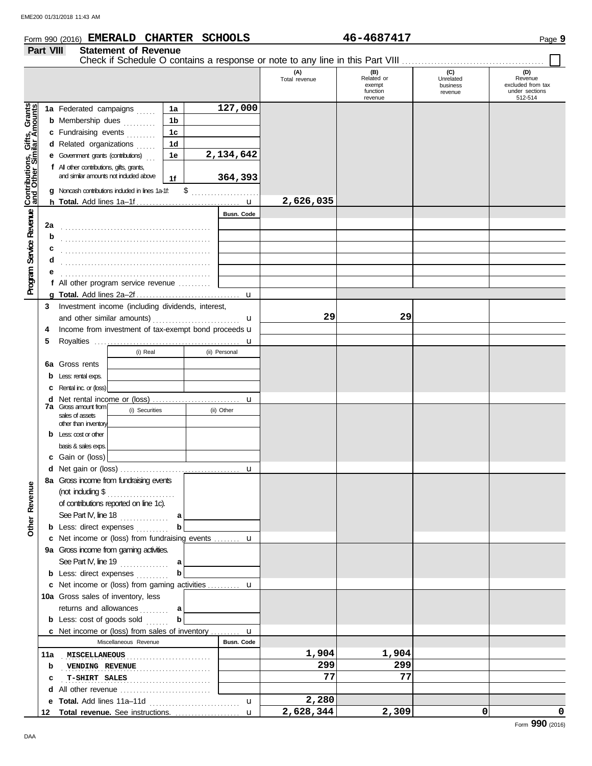## Form 990 (2016) Page **9 EMERALD CHARTER SCHOOLS 46-4687417 Part VIII Statement of Revenue**

#### Check if Schedule O contains a response or note to any line in this Part VIII ........... **(A) (B) (C) (D)** Unrelated<br>business Total revenue **Related or CONFORT CONFORT CONFORT REVENUE**<br>
exempt business excluded from tax exempt function under sections revenue 512-514 revenue fts, Grants **127,000 Contributions, Gifts, Grants and Other Similar Amounts 1a 1a** Federated campaigns ...... **1b b** Membership dues *. . . . .* . . . . **1c c** Fundraising events **. . . . . . .** ិ៍<u>ដ</u>ំ **1d d** Related organizations ...... **2,134,642 1e** Program Service Revenue Contributions,<br>Program Service Revenue and Other Sim **e** Government grants (contributions) . . . **f** All other contributions, gifts, grants, and similar amounts not included above **364,393 1f** \$ . . . . . . . . . . . . . . . . . . . . . **g** Noncash contributions included in lines 1a-1f: **2,626,035** u **h Total.** Add lines 1a–1f . . . . . . . . . . . . . . . . . . . . . . . . . . . . . . . . **Program Service Revenue Busn. Code 2a** . . . . . . . . . . . . . . . . . . . . . . . . . . . . . . . . . . . . . . . . . . . . . . **b c d** . . . . . . . . . . . . . . . . . . . . . . . . . . . . . . . . . . . . . . . . . . . . . . **e** . . . . . . . . . . . . . . . . . . . . . . . . . . . . . . . . . . . . . . . . . . . . . . **f** All other program service revenue . . . . . . . . . . **g Total.** Add lines 2a–2f . . . . . . . . . . . . . . . . . . . . . . . . . . . . . . . . u **3** Investment income (including dividends, interest, **29 29** and other similar amounts) . . . . . . . . . . . . . . . . . . . . . . . . . . . u 4 Income from investment of tax-exempt bond proceeds **u 5** Royalties . . . . . . . . . . . . . . . . . . . . . . . . . . . . . . . . . . . . . . . . . . . . . u (i) Real (ii) Personal **6a** Gross rents **b** Less: rental exps. **c** Rental inc. or (loss) u **d** Net rental income or (loss) ............................. **7a** Gross amount from (i) Securities (ii) Other sales of assets other than inventory **b** Less: cost or other basis & sales exps. **c** Gain or (loss) **d** u Net gain or (loss) . . . . . . . . . . . . . . . . . . . . . . . . . . . . . . . . . . . . . **8a** Gross income from fundraising events **Other Revenue Other Revenue** (not including \$ . . . . . . . . . . . . . . . . . . . . . of contributions reported on line 1c). See Part IV, line 18 **a b b** Less: direct expenses . . . . . . . . . u **c** Net income or (loss) from fundraising events . . . . . . . . Gross income from gaming activities. **9a** See Part IV, line 19 **a b b** Less: direct expenses **........**.. u Net income or (loss) from gaming activities . . . . . . . . . . **c** 10a Gross sales of inventory, less returns and allowances . . . . . . . . . **a b b** Less: cost of goods sold ....... u Net income or (loss) from sales of inventory . . . . . . . . . **c** Miscellaneous Revenue **Busn. Code 11a** . . . . . . . . . . . . . . . . . . . . . . . . . . . . . . . . . . . . . . . . . . . . . . **MISCELLANEOUS 1,904 1,904** . . . . . . . . . . . . . . . . . . . . . . . . . . . . . . . . . . . . . . . . . . . . . . **VENDING REVENUE 299 299 b c** . . . . . . . . . . . . . . . . . . . . . . . . . . . . . . . . . . . . . . . . . . . . . . **T-SHIRT SALES 77 77 d** All other revenue .............................. **2,280** u **e Total.** Add lines 11a–11d . . . . . . . . . . . . . . . . . . . . . . . . . . . . **2,628,344 2,309 0 0**

u

**Total revenue.** See instructions. . . . . . . . . . . . . . . . . . . . . **12**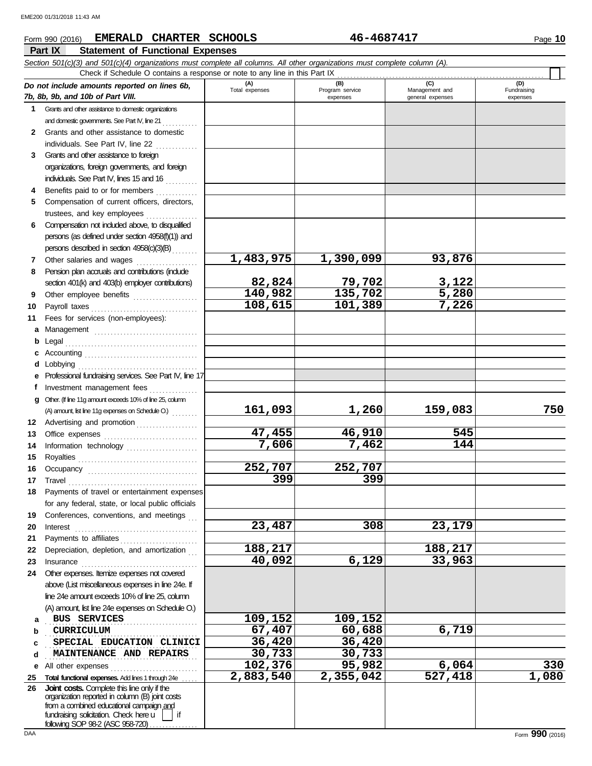#### **Part IX Statement of Functional Expenses** Form 990 (2016) Page **10 EMERALD CHARTER SCHOOLS 46-4687417** *Section 501(c)(3) and 501(c)(4) organizations must complete all columns. All other organizations must complete column (A). Do not include amounts reported on lines 6b, 7b, 8b, 9b, and 10b of Part VIII.* **1 2 3** Grants and other assistance to foreign **4 5 6 7 8 9 10 11** Fees for services (non-employees): **a** Management ................................. **b** Legal . . . . . . . . . . . . . . . . . . . . . . . . . . . . . . . . . . . . . . . . . **c** Accounting . . . . . . . . . . . . . . . . . . . . . . . . . . . . . . . . . . . **d** Lobbying . . . . . . . . . . . . . . . . . . . . . . . . . . . . . . . . . . . . . **e** Professional fundraising services. See Part IV, line 17 **f g** Other. (If line 11g amount exceeds 10% of line 25, column **12** Advertising and promotion . . . . . . . . . . . . . . . . . . **13 14 15 16 17 18 19 20 21 22** Depreciation, depletion, and amortization . . . **23 24** Other expenses. Itemize expenses not covered **a b** Grants and other assistance to domestic organizations and domestic governments. See Part IV, line 21 . . . . . . . . . . . Grants and other assistance to domestic individuals. See Part IV, line 22 . . . . . . . . . . . . . organizations, foreign governments, and foreign individuals. See Part IV, lines 15 and 16 Benefits paid to or for members . . . . . . . . . . . . . Compensation of current officers, directors, trustees, and key employees ................ Compensation not included above, to disqualified persons (as defined under section 4958(f)(1)) and persons described in section 4958(c)(3)(B) . . . . . . . . Other salaries and wages ................... Pension plan accruals and contributions (include section 401(k) and 403(b) employer contributions) Other employee benefits .................... Payroll taxes . . . . . . . . . . . . . . . . . . . . . . . . . . . . . . . . . Investment management fees ................ Office expenses . . . . . . . . . . . . . . . . . . . . . . . . . . . . . Information technology ...................... Royalties . . . . . . . . . . . . . . . . . . . . . . . . . . . . . . . . . . . . . Occupancy . . . . . . . . . . . . . . . . . . . . . . . . . . . . . . . . . . Travel . . . . . . . . . . . . . . . . . . . . . . . . . . . . . . . . . . . . . . . . Payments of travel or entertainment expenses for any federal, state, or local public officials Conferences, conventions, and meetings Interest . . . . . . . . . . . . . . . . . . . . . . . . . . . . . . . . . . . . . . Payments to affiliates . . . . . . . . . . . . . . . . . . . . . . . . Insurance . . . . . . . . . . . . . . . . . . . . . . . . . . . . . . . . . . . . above (List miscellaneous expenses in line 24e. If line 24e amount exceeds 10% of line 25, column (A) amount, list line 24e expenses on Schedule O.) **(A) (B) (C) (C) (C) Total expenses Program service Management** Total expenses Program service<br>
expenses Program service<br>  $\frac{1}{2}$  Management and<br>
general expenses expenses general expenses (D)<br>Fundraising expenses **BUS SERVICES 109,152 109,152** CURRICULUM Check if Schedule O contains a response or note to any line in this Part IX (A) amount, list line 11g expenses on Schedule O.)  $\ldots \ldots$ **1,483,975 1,390,099 93,876 82,824 79,702 3,122 140,982 135,702 5,280 108,615 101,389 7,226 161,093 1,260 159,083 750 47,455 46,910 545 7,606 7,462 144 252,707 252,707 399 399 23,487 308 23,179 188,217 188,217 40,092 6,129 33,963**

### **c d e** All other expenses . . . . . . . . . . . . . . . . . . . . . . . . . . . **25 Total functional expenses.** Add lines 1 through 24e . . . . . **26** fundraising solicitation. Check here  $\mathsf{u}$ organization reported in column (B) joint costs from a combined educational campaign and . . . . . . . . . . . . . . . . . . . . . . . . . . . . . . . . . . . . . . . . . . . . . . . **SPECIAL EDUCATION CLINICI 36,420 36,420 MAINTENANCE AND REPAIRS 10,733** 30,733 **Joint costs.** Complete this line only if the **CURRICULUM 67,407 60,688 6,719 102,376 95,982 6,064 330 2,883,540 2,355,042 527,418 1,080**

following SOP 98-2 (ASC 958-720) .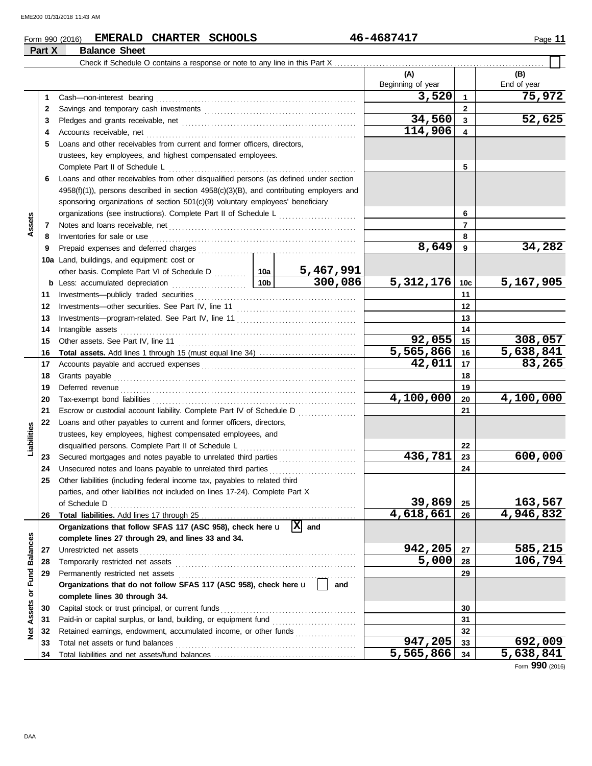## Form 990 (2016) Page **11 EMERALD CHARTER SCHOOLS 46-4687417 Part X Balance Sheet**

#### Check if Schedule O contains a response or note to any line in this Part X. **(A) (B)** Beginning of year | End of year **3,520 75,972** Cash—non-interest bearing . . . . . . . . . . . . . . . . . . . . . . . . . . . . . . . . . . . . . . . . . . . . . . . . . . . . . . . . . . . . . . **1 1 2 2** Savings and temporary cash investments . . . . . . . . . . . . . . . . . . . . . . . . . . . . . . . . . . . . . . . . . . . . . . . **34,560 52,625 3 3** Pledges and grants receivable, net . . . . . . . . . . . . . . . . . . . . . . . . . . . . . . . . . . . . . . . . . . . . . . . . . . . . . . **114,906 4 4** Accounts receivable, net . . . . . . . . . . . . . . . . . . . . . . . . . . . . . . . . . . . . . . . . . . . . . . . . . . . . . . . . . . . . . . . . . **5** Loans and other receivables from current and former officers, directors, trustees, key employees, and highest compensated employees. Complete Part II of Schedule L . . . . . . . . . . . . . . . . . . . . . . . . . . . . . . . . . . . . . . . . . . . . . . . . . . . . . . . . . . **5 6** Loans and other receivables from other disqualified persons (as defined under section 4958(f)(1)), persons described in section 4958(c)(3)(B), and contributing employers and sponsoring organizations of section 501(c)(9) voluntary employees' beneficiary organizations (see instructions). Complete Part II of Schedule L . . . . . . . . . . . . . . . . . . . . . . . . **6 Assets 7 7** Notes and loans receivable, net . . . . . . . . . . . . . . . . . . . . . . . . . . . . . . . . . . . . . . . . . . . . . . . . . . . . . . . . . . **8 8** Inventories for sale or use . . . . . . . . . . . . . . . . . . . . . . . . . . . . . . . . . . . . . . . . . . . . . . . . . . . . . . . . . . . . . . . . **8,649 34,282 9 9** Prepaid expenses and deferred charges . . . . . . . . . . . . . . . . . . . . . . . . . . . . . . . . . . . . . . . . . . . . . . . . . **10a** Land, buildings, and equipment: cost or **5,467,991** other basis. Complete Part VI of Schedule D . . . . . . . . 10a **300,086 5,312,176 5,167,905 10c b** Less: accumulated depreciation . . . . . . . . . . . . . . . . . . 10b Investments—publicly traded securities . . . . . . . . . . . . . . . . . . . . . . . . . . . . . . . . . . . . . . . . . . . . . . . . . . **11 11 12 12** Investments—other securities. See Part IV, line 11 . . . . . . . . . . . . . . . . . . . . . . . . . . . . . . . . . . . . . **13 13** Investments—program-related. See Part IV, line 11 . . . . . . . . . . . . . . . . . . . . . . . . . . . . . . . . . . . . . **14 14** Intangible assets . . . . . . . . . . . . . . . . . . . . . . . . . . . . . . . . . . . . . . . . . . . . . . . . . . . . . . . . . . . . . . . . . . . . . . . . . **92,055 308,057 15 15** Other assets. See Part IV, line 11 . . . . . . . . . . . . . . . . . . . . . . . . . . . . . . . . . . . . . . . . . . . . . . . . . . . . . . . **5,565,866 5,638,841 16 16 Total assets.** Add lines 1 through 15 (must equal line 34) . . . . . . . . . . . . . . . . . . . . . . . . . . . . . . Accounts payable and accrued expenses . . . . . . . . . . . . . . . . . . . . . . . . . . . . . . . . . . . . . . . . . . . . . . . . **42,011 83,265 17 17 18 18** Grants payable . . . . . . . . . . . . . . . . . . . . . . . . . . . . . . . . . . . . . . . . . . . . . . . . . . . . . . . . . . . . . . . . . . . . . . . . . . . **19 19** Deferred revenue . . . . . . . . . . . . . . . . . . . . . . . . . . . . . . . . . . . . . . . . . . . . . . . . . . . . . . . . . . . . . . . . . . . . . . . . . Tax-exempt bond liabilities . . . . . . . . . . . . . . . . . . . . . . . . . . . . . . . . . . . . . . . . . . . . . . . . . . . . . . . . . . . . . . . **4,100,000 4,100,000 20 20 21 21** Escrow or custodial account liability. Complete Part IV of Schedule D . . . . . . . . . . . . . . . . . . **22** Loans and other payables to current and former officers, directors, **Liabilities** trustees, key employees, highest compensated employees, and disqualified persons. Complete Part II of Schedule L . . . . . . . . . . . . . . . . . . . . . . . . . . . . . . . . . . . . **22** Secured mortgages and notes payable to unrelated third parties . . . . . . . . . . . . . . . . . . . . . . . . **436,781 600,000 23 23 24 24** Unsecured notes and loans payable to unrelated third parties . . . . . . . . . . . . . . . . . . . . . . . . . . . **25** Other liabilities (including federal income tax, payables to related third parties, and other liabilities not included on lines 17-24). Complete Part X of Schedule D . . . . . . . . . . . . . . . . . . . . . . . . . . . . . . . . . . . . . . . . . . . . . . . . . . . . . . . . . . . . . . . . . . . . . . . . . . . . **39,869 163,567 25 4,618,661 4,946,832 26** Total liabilities. Add lines 17 through 25 **26** Organizations that follow SFAS 117 (ASC 958), check here  $u \left[ \text{X} \right]$  and Net Assets or Fund Balances **Net Assets or Fund Balances complete lines 27 through 29, and lines 33 and 34.** Unrestricted net assets . . . . . . . . . . . . . . . . . . . . . . . . . . . . . . . . . . . . . . . . . . . . . . . . . . . . . . . . . . . . . . . . . . . **942,205** 27 585,215<br>5,000 28 106,794 **27 27** Temporarily restricted net assets . . . . . . . . . . . . . . . . . . . . . . . . . . . . . . . . . . . . . . . . . . . . . . . . . . . . . . . . **5,000 106,794 28 28 29 29** Permanently restricted net assets . . . . . . . . . . . . . . . . . . . . . . . . . . . . . . . . . . . . . . . . . . . . . . . . . . . . . . . **Organizations that do not follow SFAS 117 (ASC 958), check here** u **and complete lines 30 through 34.** Capital stock or trust principal, or current funds . . . . . . . . . . . . . . . . . . . . . . . . . . . . . . . . . . . . . . . . . . **30 30** Paid-in or capital surplus, or land, building, or equipment fund ............................ **31 31** Retained earnings, endowment, accumulated income, or other funds ................ **32 32 33** Total net assets or fund balances . . . . . . . . . . . . . . . . . . . . . . . . . . . . . . . . . . . . . . . . . . . . . . . . . . . . . . . . **947,205 692,009 33** Total liabilities and net assets/fund balances ................................. **5,565,866 5,638,841 34 34**

Form **990** (2016)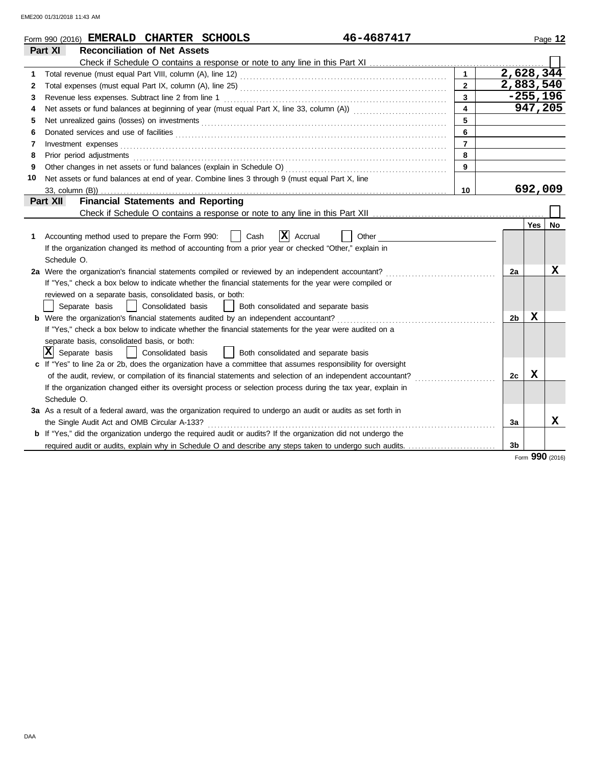|    | 46-4687417<br>Form 990 (2016) EMERALD CHARTER SCHOOLS                                                                                                                                                                          |                         |           |         | Page 12    |
|----|--------------------------------------------------------------------------------------------------------------------------------------------------------------------------------------------------------------------------------|-------------------------|-----------|---------|------------|
|    | Part XI<br><b>Reconciliation of Net Assets</b>                                                                                                                                                                                 |                         |           |         |            |
|    |                                                                                                                                                                                                                                |                         |           |         |            |
| 1  |                                                                                                                                                                                                                                | $\mathbf{1}$            | 2,628,344 |         |            |
| 2  |                                                                                                                                                                                                                                | $\overline{2}$          | 2,883,540 |         |            |
| 3  | Revenue less expenses. Subtract line 2 from line 1                                                                                                                                                                             | $\overline{\mathbf{3}}$ |           |         | $-255,196$ |
| 4  |                                                                                                                                                                                                                                | $\overline{\mathbf{4}}$ |           | 947,205 |            |
| 5  |                                                                                                                                                                                                                                | 5                       |           |         |            |
| 6  |                                                                                                                                                                                                                                | 6                       |           |         |            |
| 7  | Investment expenses                                                                                                                                                                                                            | $\overline{7}$          |           |         |            |
| 8  | Prior period adjustments entertainments and adjustments and account of the contract of the contract of the contract of the contract of the contract of the contract of the contract of the contract of the contract of the con | 8                       |           |         |            |
| 9  |                                                                                                                                                                                                                                | 9                       |           |         |            |
| 10 | Net assets or fund balances at end of year. Combine lines 3 through 9 (must equal Part X, line                                                                                                                                 |                         |           |         |            |
|    |                                                                                                                                                                                                                                | 10                      |           | 692,009 |            |
|    | <b>Financial Statements and Reporting</b><br>Part XII                                                                                                                                                                          |                         |           |         |            |
|    |                                                                                                                                                                                                                                |                         |           |         |            |
|    |                                                                                                                                                                                                                                |                         |           | Yes     | No         |
| 1  | $ \mathbf{X} $ Accrual<br>Accounting method used to prepare the Form 990:<br>Cash<br>Other                                                                                                                                     |                         |           |         |            |
|    | If the organization changed its method of accounting from a prior year or checked "Other," explain in                                                                                                                          |                         |           |         |            |
|    | Schedule O.                                                                                                                                                                                                                    |                         |           |         |            |
|    | 2a Were the organization's financial statements compiled or reviewed by an independent accountant?                                                                                                                             |                         | 2a        |         | x          |
|    | If "Yes," check a box below to indicate whether the financial statements for the year were compiled or                                                                                                                         |                         |           |         |            |
|    | reviewed on a separate basis, consolidated basis, or both:                                                                                                                                                                     |                         |           |         |            |
|    | Separate basis<br>  Consolidated basis<br>  Both consolidated and separate basis                                                                                                                                               |                         |           |         |            |
|    | <b>b</b> Were the organization's financial statements audited by an independent accountant?                                                                                                                                    |                         | 2b        | X       |            |
|    | If "Yes," check a box below to indicate whether the financial statements for the year were audited on a                                                                                                                        |                         |           |         |            |
|    | separate basis, consolidated basis, or both:                                                                                                                                                                                   |                         |           |         |            |
|    | $X$ Separate basis<br>  Consolidated basis<br>  Both consolidated and separate basis                                                                                                                                           |                         |           |         |            |
|    | c If "Yes" to line 2a or 2b, does the organization have a committee that assumes responsibility for oversight                                                                                                                  |                         |           |         |            |
|    | of the audit, review, or compilation of its financial statements and selection of an independent accountant?                                                                                                                   |                         | 2c        | X       |            |
|    | If the organization changed either its oversight process or selection process during the tax year, explain in                                                                                                                  |                         |           |         |            |
|    | Schedule O.                                                                                                                                                                                                                    |                         |           |         |            |
|    | 3a As a result of a federal award, was the organization required to undergo an audit or audits as set forth in                                                                                                                 |                         |           |         |            |
|    | the Single Audit Act and OMB Circular A-133?                                                                                                                                                                                   |                         | За        |         | x          |
|    | <b>b</b> If "Yes," did the organization undergo the required audit or audits? If the organization did not undergo the                                                                                                          |                         |           |         |            |
|    | required audit or audits, explain why in Schedule O and describe any steps taken to undergo such audits.                                                                                                                       |                         | 3b        |         |            |
|    |                                                                                                                                                                                                                                |                         |           | $\sim$  |            |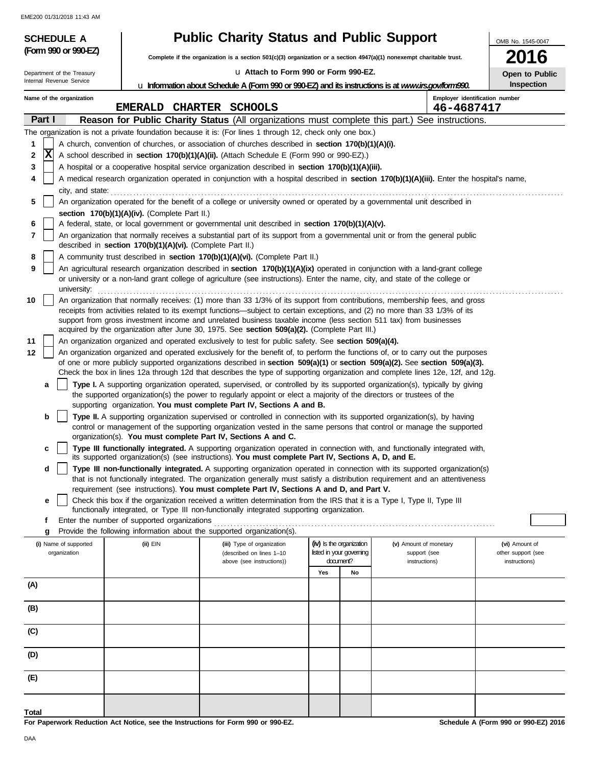| <b>SCHEDULE A</b>                                                                                              |                                                            | <b>Public Charity Status and Public Support</b>                                                                                                                                                                                                                 |                                                      |    |                                        | OMB No. 1545-0047                    |
|----------------------------------------------------------------------------------------------------------------|------------------------------------------------------------|-----------------------------------------------------------------------------------------------------------------------------------------------------------------------------------------------------------------------------------------------------------------|------------------------------------------------------|----|----------------------------------------|--------------------------------------|
| (Form 990 or 990-EZ)                                                                                           |                                                            | Complete if the organization is a section 501(c)(3) organization or a section 4947(a)(1) nonexempt charitable trust.                                                                                                                                            |                                                      |    |                                        | 16                                   |
| Department of the Treasury                                                                                     |                                                            | U Attach to Form 990 or Form 990-EZ.                                                                                                                                                                                                                            |                                                      |    |                                        | Open to Public                       |
| Internal Revenue Service                                                                                       |                                                            | La Information about Schedule A (Form 990 or 990-EZ) and its instructions is at www.irs.gov/form990.                                                                                                                                                            |                                                      |    |                                        | Inspection                           |
| Name of the organization                                                                                       |                                                            |                                                                                                                                                                                                                                                                 |                                                      |    | Employer identification number         |                                      |
|                                                                                                                | EMERALD CHARTER SCHOOLS                                    |                                                                                                                                                                                                                                                                 |                                                      |    | 46-4687417                             |                                      |
| Part I                                                                                                         |                                                            | Reason for Public Charity Status (All organizations must complete this part.) See instructions.                                                                                                                                                                 |                                                      |    |                                        |                                      |
|                                                                                                                |                                                            | The organization is not a private foundation because it is: (For lines 1 through 12, check only one box.)                                                                                                                                                       |                                                      |    |                                        |                                      |
| A church, convention of churches, or association of churches described in <b>section 170(b)(1)(A)(i).</b><br>1 |                                                            |                                                                                                                                                                                                                                                                 |                                                      |    |                                        |                                      |
| X<br>2                                                                                                         |                                                            | A school described in section 170(b)(1)(A)(ii). (Attach Schedule E (Form 990 or 990-EZ).)                                                                                                                                                                       |                                                      |    |                                        |                                      |
| 3                                                                                                              |                                                            | A hospital or a cooperative hospital service organization described in section 170(b)(1)(A)(iii).                                                                                                                                                               |                                                      |    |                                        |                                      |
| 4                                                                                                              |                                                            | A medical research organization operated in conjunction with a hospital described in section 170(b)(1)(A)(iii). Enter the hospital's name,                                                                                                                      |                                                      |    |                                        |                                      |
|                                                                                                                |                                                            | city, and state:                                                                                                                                                                                                                                                |                                                      |    |                                        |                                      |
| 5                                                                                                              | section 170(b)(1)(A)(iv). (Complete Part II.)              | An organization operated for the benefit of a college or university owned or operated by a governmental unit described in                                                                                                                                       |                                                      |    |                                        |                                      |
| 6                                                                                                              |                                                            | A federal, state, or local government or governmental unit described in section 170(b)(1)(A)(v).                                                                                                                                                                |                                                      |    |                                        |                                      |
| 7                                                                                                              |                                                            | An organization that normally receives a substantial part of its support from a governmental unit or from the general public                                                                                                                                    |                                                      |    |                                        |                                      |
|                                                                                                                | described in section 170(b)(1)(A)(vi). (Complete Part II.) |                                                                                                                                                                                                                                                                 |                                                      |    |                                        |                                      |
| 8                                                                                                              |                                                            | A community trust described in section 170(b)(1)(A)(vi). (Complete Part II.)                                                                                                                                                                                    |                                                      |    |                                        |                                      |
| 9<br>university:                                                                                               |                                                            | An agricultural research organization described in section 170(b)(1)(A)(ix) operated in conjunction with a land-grant college<br>or university or a non-land grant college of agriculture (see instructions). Enter the name, city, and state of the college or |                                                      |    |                                        |                                      |
| 10                                                                                                             |                                                            | An organization that normally receives: (1) more than 33 1/3% of its support from contributions, membership fees, and gross                                                                                                                                     |                                                      |    |                                        |                                      |
|                                                                                                                |                                                            | receipts from activities related to its exempt functions—subject to certain exceptions, and (2) no more than 33 1/3% of its                                                                                                                                     |                                                      |    |                                        |                                      |
|                                                                                                                |                                                            | support from gross investment income and unrelated business taxable income (less section 511 tax) from businesses                                                                                                                                               |                                                      |    |                                        |                                      |
|                                                                                                                |                                                            | acquired by the organization after June 30, 1975. See section 509(a)(2). (Complete Part III.)                                                                                                                                                                   |                                                      |    |                                        |                                      |
| 11<br>12                                                                                                       |                                                            | An organization organized and operated exclusively to test for public safety. See section 509(a)(4).<br>An organization organized and operated exclusively for the benefit of, to perform the functions of, or to carry out the purposes                        |                                                      |    |                                        |                                      |
|                                                                                                                |                                                            | of one or more publicly supported organizations described in section 509(a)(1) or section 509(a)(2). See section 509(a)(3).                                                                                                                                     |                                                      |    |                                        |                                      |
|                                                                                                                |                                                            | Check the box in lines 12a through 12d that describes the type of supporting organization and complete lines 12e, 12f, and 12g.                                                                                                                                 |                                                      |    |                                        |                                      |
| a                                                                                                              |                                                            | Type I. A supporting organization operated, supervised, or controlled by its supported organization(s), typically by giving                                                                                                                                     |                                                      |    |                                        |                                      |
|                                                                                                                |                                                            | the supported organization(s) the power to regularly appoint or elect a majority of the directors or trustees of the                                                                                                                                            |                                                      |    |                                        |                                      |
|                                                                                                                |                                                            | supporting organization. You must complete Part IV, Sections A and B.                                                                                                                                                                                           |                                                      |    |                                        |                                      |
| b                                                                                                              |                                                            | Type II. A supporting organization supervised or controlled in connection with its supported organization(s), by having<br>control or management of the supporting organization vested in the same persons that control or manage the supported                 |                                                      |    |                                        |                                      |
|                                                                                                                |                                                            | organization(s). You must complete Part IV, Sections A and C.                                                                                                                                                                                                   |                                                      |    |                                        |                                      |
| c                                                                                                              |                                                            | Type III functionally integrated. A supporting organization operated in connection with, and functionally integrated with,                                                                                                                                      |                                                      |    |                                        |                                      |
|                                                                                                                |                                                            | its supported organization(s) (see instructions). You must complete Part IV, Sections A, D, and E.                                                                                                                                                              |                                                      |    |                                        |                                      |
| d                                                                                                              |                                                            | Type III non-functionally integrated. A supporting organization operated in connection with its supported organization(s)                                                                                                                                       |                                                      |    |                                        |                                      |
|                                                                                                                |                                                            | that is not functionally integrated. The organization generally must satisfy a distribution requirement and an attentiveness<br>requirement (see instructions). You must complete Part IV, Sections A and D, and Part V.                                        |                                                      |    |                                        |                                      |
| е                                                                                                              |                                                            | Check this box if the organization received a written determination from the IRS that it is a Type I, Type II, Type III                                                                                                                                         |                                                      |    |                                        |                                      |
|                                                                                                                |                                                            | functionally integrated, or Type III non-functionally integrated supporting organization.                                                                                                                                                                       |                                                      |    |                                        |                                      |
| f                                                                                                              | Enter the number of supported organizations                |                                                                                                                                                                                                                                                                 |                                                      |    |                                        |                                      |
| g                                                                                                              |                                                            | Provide the following information about the supported organization(s).                                                                                                                                                                                          |                                                      |    |                                        |                                      |
| (i) Name of supported<br>organization                                                                          | (ii) EIN                                                   | (iii) Type of organization<br>(described on lines 1-10                                                                                                                                                                                                          | (iv) Is the organization<br>listed in your governing |    | (v) Amount of monetary<br>support (see | (vi) Amount of<br>other support (see |
|                                                                                                                |                                                            | above (see instructions))                                                                                                                                                                                                                                       | document?                                            |    | instructions)                          | instructions)                        |
|                                                                                                                |                                                            |                                                                                                                                                                                                                                                                 | Yes                                                  | No |                                        |                                      |
| (A)                                                                                                            |                                                            |                                                                                                                                                                                                                                                                 |                                                      |    |                                        |                                      |
|                                                                                                                |                                                            |                                                                                                                                                                                                                                                                 |                                                      |    |                                        |                                      |
| (B)                                                                                                            |                                                            |                                                                                                                                                                                                                                                                 |                                                      |    |                                        |                                      |
|                                                                                                                |                                                            |                                                                                                                                                                                                                                                                 |                                                      |    |                                        |                                      |
| (C)                                                                                                            |                                                            |                                                                                                                                                                                                                                                                 |                                                      |    |                                        |                                      |
| (D)                                                                                                            |                                                            |                                                                                                                                                                                                                                                                 |                                                      |    |                                        |                                      |
|                                                                                                                |                                                            |                                                                                                                                                                                                                                                                 |                                                      |    |                                        |                                      |
| (E)                                                                                                            |                                                            |                                                                                                                                                                                                                                                                 |                                                      |    |                                        |                                      |
|                                                                                                                |                                                            |                                                                                                                                                                                                                                                                 |                                                      |    |                                        |                                      |
| Total                                                                                                          |                                                            |                                                                                                                                                                                                                                                                 |                                                      |    |                                        |                                      |

**For Paperwork Reduction Act Notice, see the Instructions for Form 990 or 990-EZ.**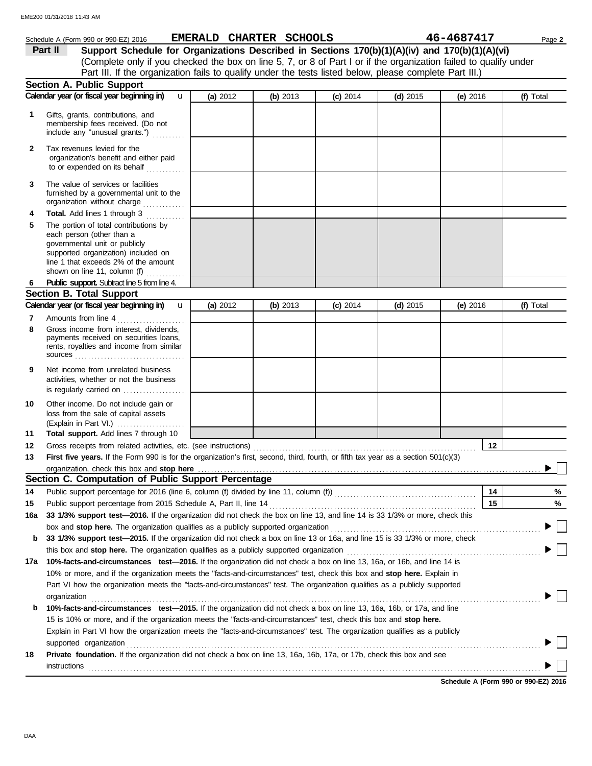|          | Schedule A (Form 990 or 990-EZ) 2016                                                                                                                                                                               |          | EMERALD CHARTER SCHOOLS |                                   |            | 46-4687417 |    | Page 2    |
|----------|--------------------------------------------------------------------------------------------------------------------------------------------------------------------------------------------------------------------|----------|-------------------------|-----------------------------------|------------|------------|----|-----------|
|          | Support Schedule for Organizations Described in Sections 170(b)(1)(A)(iv) and 170(b)(1)(A)(vi)<br>Part II                                                                                                          |          |                         |                                   |            |            |    |           |
|          | (Complete only if you checked the box on line 5, 7, or 8 of Part I or if the organization failed to qualify under                                                                                                  |          |                         |                                   |            |            |    |           |
|          | Part III. If the organization fails to qualify under the tests listed below, please complete Part III.)                                                                                                            |          |                         |                                   |            |            |    |           |
|          | <b>Section A. Public Support</b>                                                                                                                                                                                   |          |                         |                                   |            |            |    |           |
|          | Calendar year (or fiscal year beginning in)<br>u                                                                                                                                                                   | (a) 2012 | (b) 2013                | $(c)$ 2014                        | $(d)$ 2015 | (e) $2016$ |    | (f) Total |
| 1        | Gifts, grants, contributions, and<br>membership fees received. (Do not<br>include any "unusual grants.")                                                                                                           |          |                         |                                   |            |            |    |           |
| 2        | Tax revenues levied for the<br>organization's benefit and either paid<br>to or expended on its behalf                                                                                                              |          |                         |                                   |            |            |    |           |
| 3        | The value of services or facilities<br>furnished by a governmental unit to the<br>organization without charge                                                                                                      |          |                         |                                   |            |            |    |           |
| 4        | Total. Add lines 1 through 3                                                                                                                                                                                       |          |                         |                                   |            |            |    |           |
| 5        | The portion of total contributions by<br>each person (other than a<br>governmental unit or publicly<br>supported organization) included on<br>line 1 that exceeds 2% of the amount<br>shown on line 11, column (f) |          |                         |                                   |            |            |    |           |
|          | <b>Public support.</b> Subtract line 5 from line 4.                                                                                                                                                                |          |                         |                                   |            |            |    |           |
|          | <b>Section B. Total Support</b>                                                                                                                                                                                    |          |                         |                                   |            |            |    |           |
|          | Calendar year (or fiscal year beginning in)<br>u                                                                                                                                                                   | (a) 2012 | (b) 2013                | $(c)$ 2014                        | $(d)$ 2015 | (e) 2016   |    | (f) Total |
| 7        | Amounts from line 4                                                                                                                                                                                                |          |                         |                                   |            |            |    |           |
| 8        | Gross income from interest, dividends,<br>payments received on securities loans,<br>rents, royalties and income from similar                                                                                       |          |                         |                                   |            |            |    |           |
|          | Net income from unrelated business<br>activities, whether or not the business<br>is regularly carried on                                                                                                           |          |                         |                                   |            |            |    |           |
| 10       | Other income. Do not include gain or<br>loss from the sale of capital assets<br>(Explain in Part VI.)                                                                                                              |          |                         |                                   |            |            |    |           |
| 11       | Total support. Add lines 7 through 10                                                                                                                                                                              |          |                         | the control of the control of the |            |            |    |           |
| 12       |                                                                                                                                                                                                                    |          |                         |                                   |            |            | 12 |           |
| 13       | First five years. If the Form 990 is for the organization's first, second, third, fourth, or fifth tax year as a section 501(c)(3)                                                                                 |          |                         |                                   |            |            |    |           |
|          | organization, check this box and stop here<br>Section C. Computation of Public Support Percentage                                                                                                                  |          |                         |                                   |            |            |    |           |
|          |                                                                                                                                                                                                                    |          |                         |                                   |            |            |    |           |
| 14<br>15 | Public support percentage for 2016 (line 6, column (f) divided by line 11, column (f)) [[[[[[[[[[[[[[[[[[[[[[                                                                                                      |          |                         |                                   |            |            | 14 | %         |
|          | 33 1/3% support test-2016. If the organization did not check the box on line 13, and line 14 is 33 1/3% or more, check this                                                                                        |          |                         |                                   |            |            | 15 | %         |
| 16a      | box and stop here. The organization qualifies as a publicly supported organization                                                                                                                                 |          |                         |                                   |            |            |    |           |
| b        | 33 1/3% support test-2015. If the organization did not check a box on line 13 or 16a, and line 15 is 33 1/3% or more, check                                                                                        |          |                         |                                   |            |            |    |           |
|          |                                                                                                                                                                                                                    |          |                         |                                   |            |            |    |           |
| 17a      | 10%-facts-and-circumstances test-2016. If the organization did not check a box on line 13, 16a, or 16b, and line 14 is                                                                                             |          |                         |                                   |            |            |    |           |
|          | 10% or more, and if the organization meets the "facts-and-circumstances" test, check this box and stop here. Explain in                                                                                            |          |                         |                                   |            |            |    |           |
|          | Part VI how the organization meets the "facts-and-circumstances" test. The organization qualifies as a publicly supported                                                                                          |          |                         |                                   |            |            |    |           |
|          | organization                                                                                                                                                                                                       |          |                         |                                   |            |            |    |           |
| b        | 10%-facts-and-circumstances test-2015. If the organization did not check a box on line 13, 16a, 16b, or 17a, and line                                                                                              |          |                         |                                   |            |            |    |           |
|          | 15 is 10% or more, and if the organization meets the "facts-and-circumstances" test, check this box and stop here.                                                                                                 |          |                         |                                   |            |            |    |           |

|    | Explain in Part VI how the organization meets the "facts-and-circumstances" test. The organization qualifies as a publicly   |  |
|----|------------------------------------------------------------------------------------------------------------------------------|--|
|    | supported organization                                                                                                       |  |
| 18 | <b>Private foundation.</b> If the organization did not check a box on line 13, 16a, 16b, 17a, or 17b, check this box and see |  |
|    | instructions                                                                                                                 |  |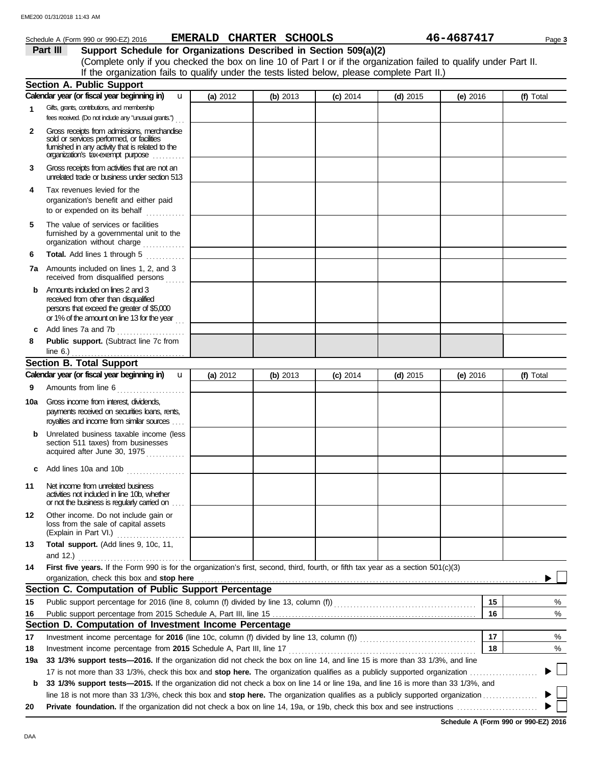## **Section B. Total Support** unrelated trade or business under section 513 **Part III Support Schedule for Organizations Described in Section 509(a)(2)** (Complete only if you checked the box on line 10 of Part I or if the organization failed to qualify under Part II. **1 2 3 6 8** Schedule A (Form 990 or 990-EZ) 2016 Page **3 EMERALD CHARTER SCHOOLS 46-4687417** Gifts, grants, contributions, and membership fees received. (Do not include any "unusual grants.") . . . **Public support.** (Subtract line 7c from Gross receipts from admissions, merchandise sold or services performed, or facilities furnished in any activity that is related to the Gross receipts from activities that are not an **Total.** Add lines 1 through 5 **Section A. Public Support** organization's tax-exempt purpose .......... **4** Tax revenues levied for the organization's benefit and either paid to or expended on its behalf when  $\cdots$ organization without charge .............. furnished by a governmental unit to the **5** The value of services or facilities **7a** Amounts included on lines 1, 2, and 3 received from disqualified persons **b** Amounts included on lines 2 and 3 received from other than disqualified persons that exceed the greater of \$5,000 or 1% of the amount on line 13 for the year  $\frac{1}{1+\epsilon}$ **c** Add lines 7a and 7b . . . . . . . . . . . . . . . . . . . . . Amounts from line 6 . . . . . . . . . . . . . . . . . . . . . **9** royalties and income from similar sources . . . . payments received on securities loans, rents, **10a** Gross income from interest, dividends, **b** Unrelated business taxable income (less section 511 taxes) from businesses acquired after June 30, 1975 **c** Add lines 10a and 10b . . . . . . . . . . . . . . . . . . **11** Net income from unrelated business activities not included in line 10b, whether or not the business is regularly carried on . . . . (Explain in Part VI.) . . . . . . . . . . . . . . . . . . . . . loss from the sale of capital assets **12** Other income. Do not include gain or **13 Total support.** (Add lines 9, 10c, 11, **14 First five years.** If the Form 990 is for the organization's first, second, third, fourth, or fifth tax year as a section 501(c)(3) organization, check this box and stop here **Section C. Computation of Public Support Percentage** Public support percentage from 2015 Schedule A, Part III, line 15 . . . . . . . . . . . . . . . . . . . . . . . . . . . . . . . . . . . . . . . . . . . . . . . . . . . . . . . . . . . . . . . **15** Public support percentage for 2016 (line 8, column (f) divided by line 13, column (f)) . . . . . . . . . . . . . . . . . . . . . . . . . . . . . . . . . . . . . . . . . . . . **16 Section D. Computation of Investment Income Percentage 18** Investment income percentage for **2016** (line 10c, column (f) divided by line 13, column (f)) . . . . . . . . . . . . . . . . . . . . . . . . . . . . . . . . . . . . **17** Investment income percentage from **2015** Schedule A, Part III, line 17 . . . . . . . . . . . . . . . . . . . . . . . . . . . . . . . . . . . . . . . . . . . . . . . . . . . . . . . . . . 17 is not more than 33 1/3%, check this box and **stop here.** The organization qualifies as a publicly supported organization . . . . . . . . . . . . . . . . . . . . . **19a 33 1/3% support tests—2016.** If the organization did not check the box on line 14, and line 15 is more than 33 1/3%, and line % % **16 15 17 18** % % **(a)** 2012 **(b)** 2013 **(c)** 2014 **(d)** 2015 **(e)** 2016 **(f)** Total **(f)** Total line 6.) . . . . . . . . . . . . . . . . . . . . . . . . . . . . . . . . . . . **Calendar year (or fiscal year beginning in) Calendar year (or fiscal year beginning in)**  u and 12.) . . . . . . . . . . . . . . . . . . . . . . . . . . . . . . . . . If the organization fails to qualify under the tests listed below, please complete Part II.) **(a)** 2012 **(b)** 2013 **(c)** 2014 **(d)** 2015 **(e)** 2016 u

**b 33 1/3% support tests—2015.** If the organization did not check a box on line 14 or line 19a, and line 16 is more than 33 1/3%, and line 18 is not more than 33 1/3%, check this box and **stop here.** The organization qualifies as a publicly supported organization . . . . . . . . . . . . . . . . . **20 Private foundation.** If the organization did not check a box on line 14, 19a, or 19b, check this box and see instructions . . . . . . . . . . . . . . . . . . . . . . . . .

**Schedule A (Form 990 or 990-EZ) 2016**

DAA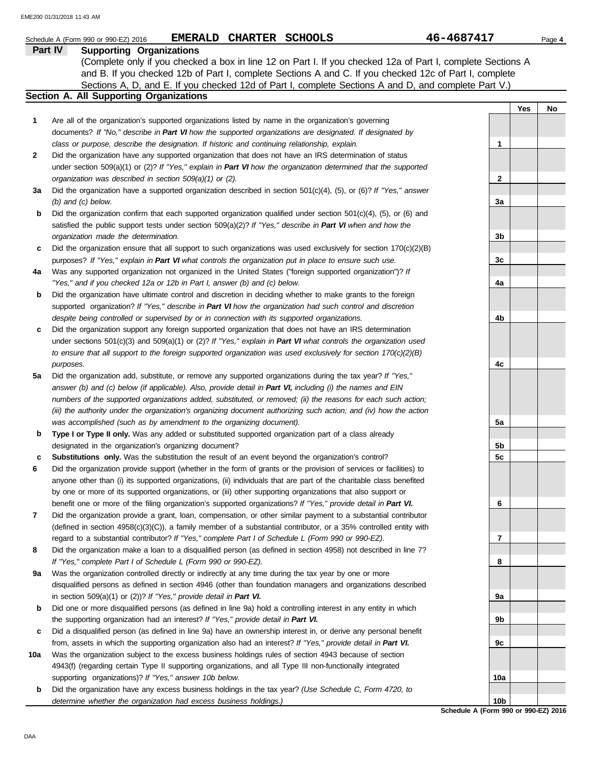|     | <b>EMERALD</b><br>CHARTER SCHOOLS<br>Schedule A (Form 990 or 990-EZ) 2016                                                                                                                                                               | 46-4687417      |     | Page 4 |
|-----|-----------------------------------------------------------------------------------------------------------------------------------------------------------------------------------------------------------------------------------------|-----------------|-----|--------|
|     | <b>Supporting Organizations</b><br>Part IV                                                                                                                                                                                              |                 |     |        |
|     | (Complete only if you checked a box in line 12 on Part I. If you checked 12a of Part I, complete Sections A                                                                                                                             |                 |     |        |
|     | and B. If you checked 12b of Part I, complete Sections A and C. If you checked 12c of Part I, complete<br>Sections A, D, and E. If you checked 12d of Part I, complete Sections A and D, and complete Part V.)                          |                 |     |        |
|     | Section A. All Supporting Organizations                                                                                                                                                                                                 |                 |     |        |
|     |                                                                                                                                                                                                                                         |                 | Yes | No     |
| 1   | Are all of the organization's supported organizations listed by name in the organization's governing                                                                                                                                    |                 |     |        |
|     | documents? If "No," describe in Part VI how the supported organizations are designated. If designated by                                                                                                                                |                 |     |        |
|     | class or purpose, describe the designation. If historic and continuing relationship, explain.                                                                                                                                           | 1               |     |        |
| 2   | Did the organization have any supported organization that does not have an IRS determination of status                                                                                                                                  |                 |     |        |
|     | under section 509(a)(1) or (2)? If "Yes," explain in Part VI how the organization determined that the supported                                                                                                                         |                 |     |        |
|     | organization was described in section $509(a)(1)$ or (2).                                                                                                                                                                               | 2               |     |        |
| За  | Did the organization have a supported organization described in section $501(c)(4)$ , (5), or (6)? If "Yes," answer                                                                                                                     |                 |     |        |
|     | $(b)$ and $(c)$ below.                                                                                                                                                                                                                  | 3a              |     |        |
| b   | Did the organization confirm that each supported organization qualified under section $501(c)(4)$ , $(5)$ , or $(6)$ and                                                                                                                |                 |     |        |
|     | satisfied the public support tests under section 509(a)(2)? If "Yes," describe in Part VI when and how the<br>organization made the determination.                                                                                      | 3b              |     |        |
| c   | Did the organization ensure that all support to such organizations was used exclusively for section $170(c)(2)(B)$                                                                                                                      |                 |     |        |
|     | purposes? If "Yes," explain in Part VI what controls the organization put in place to ensure such use.                                                                                                                                  | 3c              |     |        |
| 4a  | Was any supported organization not organized in the United States ("foreign supported organization")? If                                                                                                                                |                 |     |        |
|     | "Yes," and if you checked 12a or 12b in Part I, answer (b) and (c) below.                                                                                                                                                               | 4a              |     |        |
| b   | Did the organization have ultimate control and discretion in deciding whether to make grants to the foreign                                                                                                                             |                 |     |        |
|     | supported organization? If "Yes," describe in Part VI how the organization had such control and discretion                                                                                                                              |                 |     |        |
|     | despite being controlled or supervised by or in connection with its supported organizations.                                                                                                                                            | 4b              |     |        |
| c   | Did the organization support any foreign supported organization that does not have an IRS determination                                                                                                                                 |                 |     |        |
|     | under sections $501(c)(3)$ and $509(a)(1)$ or (2)? If "Yes," explain in Part VI what controls the organization used                                                                                                                     |                 |     |        |
|     | to ensure that all support to the foreign supported organization was used exclusively for section $170(c)(2)(B)$                                                                                                                        |                 |     |        |
|     | purposes.                                                                                                                                                                                                                               | 4c              |     |        |
| 5a  | Did the organization add, substitute, or remove any supported organizations during the tax year? If "Yes,"<br>answer (b) and (c) below (if applicable). Also, provide detail in Part VI, including (i) the names and EIN                |                 |     |        |
|     | numbers of the supported organizations added, substituted, or removed; (ii) the reasons for each such action;                                                                                                                           |                 |     |        |
|     | (iii) the authority under the organization's organizing document authorizing such action; and (iv) how the action                                                                                                                       |                 |     |        |
|     | was accomplished (such as by amendment to the organizing document).                                                                                                                                                                     | 5a              |     |        |
| b   | Type I or Type II only. Was any added or substituted supported organization part of a class already                                                                                                                                     |                 |     |        |
|     | designated in the organization's organizing document?                                                                                                                                                                                   | 5b              |     |        |
| с   | Substitutions only. Was the substitution the result of an event beyond the organization's control?                                                                                                                                      | 5c              |     |        |
| 6   | Did the organization provide support (whether in the form of grants or the provision of services or facilities) to                                                                                                                      |                 |     |        |
|     | anyone other than (i) its supported organizations, (ii) individuals that are part of the charitable class benefited                                                                                                                     |                 |     |        |
|     | by one or more of its supported organizations, or (iii) other supporting organizations that also support or                                                                                                                             |                 |     |        |
|     | benefit one or more of the filing organization's supported organizations? If "Yes," provide detail in Part VI.                                                                                                                          | 6               |     |        |
| 7   | Did the organization provide a grant, loan, compensation, or other similar payment to a substantial contributor<br>(defined in section $4958(c)(3)(C)$ ), a family member of a substantial contributor, or a 35% controlled entity with |                 |     |        |
|     | regard to a substantial contributor? If "Yes," complete Part I of Schedule L (Form 990 or 990-EZ).                                                                                                                                      | 7               |     |        |
| 8   | Did the organization make a loan to a disqualified person (as defined in section 4958) not described in line 7?                                                                                                                         |                 |     |        |
|     | If "Yes," complete Part I of Schedule L (Form 990 or 990-EZ).                                                                                                                                                                           | 8               |     |        |
| 9a  | Was the organization controlled directly or indirectly at any time during the tax year by one or more                                                                                                                                   |                 |     |        |
|     | disqualified persons as defined in section 4946 (other than foundation managers and organizations described                                                                                                                             |                 |     |        |
|     | in section $509(a)(1)$ or (2))? If "Yes," provide detail in Part VI.                                                                                                                                                                    | 9а              |     |        |
| b   | Did one or more disqualified persons (as defined in line 9a) hold a controlling interest in any entity in which                                                                                                                         |                 |     |        |
|     | the supporting organization had an interest? If "Yes," provide detail in Part VI.                                                                                                                                                       | 9b              |     |        |
| c   | Did a disqualified person (as defined in line 9a) have an ownership interest in, or derive any personal benefit                                                                                                                         |                 |     |        |
|     | from, assets in which the supporting organization also had an interest? If "Yes," provide detail in Part VI.                                                                                                                            | 9c              |     |        |
| 10a | Was the organization subject to the excess business holdings rules of section 4943 because of section<br>4943(f) (regarding certain Type II supporting organizations, and all Type III non-functionally integrated                      |                 |     |        |
|     | supporting organizations)? If "Yes," answer 10b below.                                                                                                                                                                                  | 10a             |     |        |
| b   | Did the organization have any excess business holdings in the tax year? (Use Schedule C, Form 4720, to                                                                                                                                  |                 |     |        |
|     | determine whether the organization had excess business holdings.)                                                                                                                                                                       | 10 <sub>b</sub> |     |        |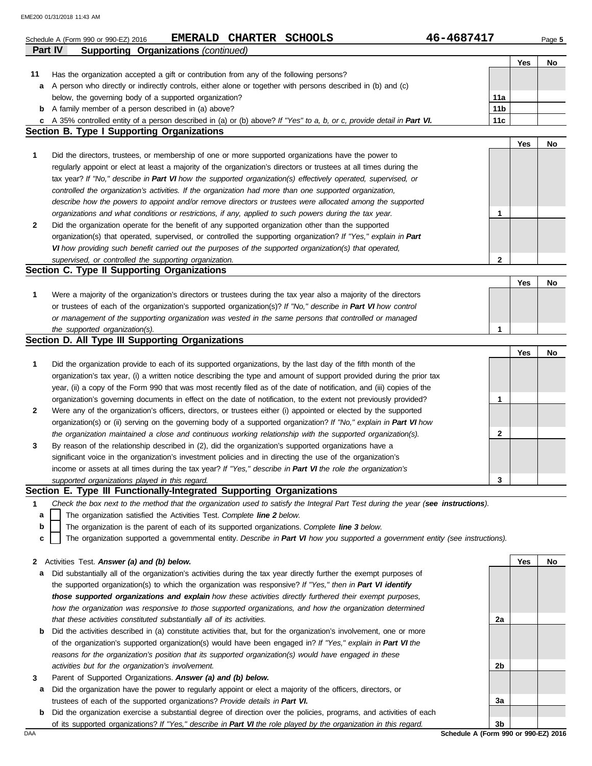|    | <b>SCHOOLS</b><br>46-4687417<br><b>EMERALD</b><br><b>CHARTER</b><br>Schedule A (Form 990 or 990-EZ) 2016                                                                                                               |                 |     | Page 5 |
|----|------------------------------------------------------------------------------------------------------------------------------------------------------------------------------------------------------------------------|-----------------|-----|--------|
|    | Part IV<br><b>Supporting Organizations (continued)</b>                                                                                                                                                                 |                 |     |        |
|    |                                                                                                                                                                                                                        |                 | Yes | No     |
| 11 | Has the organization accepted a gift or contribution from any of the following persons?                                                                                                                                |                 |     |        |
| а  | A person who directly or indirectly controls, either alone or together with persons described in (b) and (c)                                                                                                           |                 |     |        |
|    | below, the governing body of a supported organization?                                                                                                                                                                 | 11a             |     |        |
|    | <b>b</b> A family member of a person described in (a) above?                                                                                                                                                           | 11 <sub>b</sub> |     |        |
|    | c A 35% controlled entity of a person described in (a) or (b) above? If "Yes" to a, b, or c, provide detail in Part VI.                                                                                                | 11c             |     |        |
|    | <b>Section B. Type I Supporting Organizations</b>                                                                                                                                                                      |                 |     |        |
|    |                                                                                                                                                                                                                        |                 | Yes | No     |
| 1  | Did the directors, trustees, or membership of one or more supported organizations have the power to                                                                                                                    |                 |     |        |
|    | regularly appoint or elect at least a majority of the organization's directors or trustees at all times during the                                                                                                     |                 |     |        |
|    | tax year? If "No," describe in Part VI how the supported organization(s) effectively operated, supervised, or                                                                                                          |                 |     |        |
|    | controlled the organization's activities. If the organization had more than one supported organization,                                                                                                                |                 |     |        |
|    | describe how the powers to appoint and/or remove directors or trustees were allocated among the supported                                                                                                              |                 |     |        |
| 2  | organizations and what conditions or restrictions, if any, applied to such powers during the tax year.                                                                                                                 | 1               |     |        |
|    | Did the organization operate for the benefit of any supported organization other than the supported<br>organization(s) that operated, supervised, or controlled the supporting organization? If "Yes," explain in Part |                 |     |        |
|    | VI how providing such benefit carried out the purposes of the supported organization(s) that operated,                                                                                                                 |                 |     |        |
|    | supervised, or controlled the supporting organization.                                                                                                                                                                 | 2               |     |        |
|    | Section C. Type II Supporting Organizations                                                                                                                                                                            |                 |     |        |
|    |                                                                                                                                                                                                                        |                 | Yes | No     |
| 1  | Were a majority of the organization's directors or trustees during the tax year also a majority of the directors                                                                                                       |                 |     |        |
|    | or trustees of each of the organization's supported organization(s)? If "No," describe in Part VI how control                                                                                                          |                 |     |        |
|    | or management of the supporting organization was vested in the same persons that controlled or managed                                                                                                                 |                 |     |        |
|    | the supported organization(s).                                                                                                                                                                                         | 1               |     |        |
|    | Section D. All Type III Supporting Organizations                                                                                                                                                                       |                 |     |        |
|    |                                                                                                                                                                                                                        |                 | Yes | No     |
| 1  | Did the organization provide to each of its supported organizations, by the last day of the fifth month of the                                                                                                         |                 |     |        |
|    | organization's tax year, (i) a written notice describing the type and amount of support provided during the prior tax                                                                                                  |                 |     |        |
|    | year, (ii) a copy of the Form 990 that was most recently filed as of the date of notification, and (iii) copies of the                                                                                                 |                 |     |        |
|    | organization's governing documents in effect on the date of notification, to the extent not previously provided?                                                                                                       | 1               |     |        |
| 2  | Were any of the organization's officers, directors, or trustees either (i) appointed or elected by the supported                                                                                                       |                 |     |        |
|    | organization(s) or (ii) serving on the governing body of a supported organization? If "No," explain in Part VI how                                                                                                     |                 |     |        |
|    | the organization maintained a close and continuous working relationship with the supported organization(s).                                                                                                            | 2               |     |        |
| 3  | By reason of the relationship described in (2), did the organization's supported organizations have a                                                                                                                  |                 |     |        |
|    | significant voice in the organization's investment policies and in directing the use of the organization's                                                                                                             |                 |     |        |
|    | income or assets at all times during the tax year? If "Yes," describe in Part VI the role the organization's                                                                                                           |                 |     |        |
|    | supported organizations played in this regard.                                                                                                                                                                         | 3               |     |        |
|    | Section E. Type III Functionally-Integrated Supporting Organizations                                                                                                                                                   |                 |     |        |
| 1  | Check the box next to the method that the organization used to satisfy the Integral Part Test during the year (see instructions).                                                                                      |                 |     |        |
| a  | The organization satisfied the Activities Test. Complete line 2 below.                                                                                                                                                 |                 |     |        |
| b  | The organization is the parent of each of its supported organizations. Complete line 3 below.                                                                                                                          |                 |     |        |
| c  | The organization supported a governmental entity. Describe in Part VI how you supported a government entity (see instructions).                                                                                        |                 |     |        |
|    |                                                                                                                                                                                                                        |                 |     |        |
| 2  | Activities Test. Answer (a) and (b) below.                                                                                                                                                                             |                 | Yes | No     |
| а  | Did substantially all of the organization's activities during the tax year directly further the exempt purposes of                                                                                                     |                 |     |        |
|    | the supported organization(s) to which the organization was responsive? If "Yes," then in Part VI identify                                                                                                             |                 |     |        |
|    | those supported organizations and explain how these activities directly furthered their exempt purposes,                                                                                                               |                 |     |        |
|    | how the organization was responsive to those supported organizations, and how the organization determined                                                                                                              |                 |     |        |
|    | that these activities constituted substantially all of its activities.                                                                                                                                                 | 2a              |     |        |
| b  | Did the activities described in (a) constitute activities that, but for the organization's involvement, one or more                                                                                                    |                 |     |        |
|    | of the organization's supported organization(s) would have been engaged in? If "Yes," explain in Part VI the                                                                                                           |                 |     |        |
|    | reasons for the organization's position that its supported organization(s) would have engaged in these                                                                                                                 |                 |     |        |
|    | activities but for the organization's involvement.                                                                                                                                                                     | 2b              |     |        |
| 3  | Parent of Supported Organizations. Answer (a) and (b) below.                                                                                                                                                           |                 |     |        |

- **a** Did the organization have the power to regularly appoint or elect a majority of the officers, directors, or trustees of each of the supported organizations? *Provide details in Part VI.*
- **b** Did the organization exercise a substantial degree of direction over the policies, programs, and activities of each of its supported organizations? *If "Yes," describe in Part VI the role played by the organization in this regard.*

DAA **Schedule A (Form 990 or 990-EZ) 2016 3b**

**3a**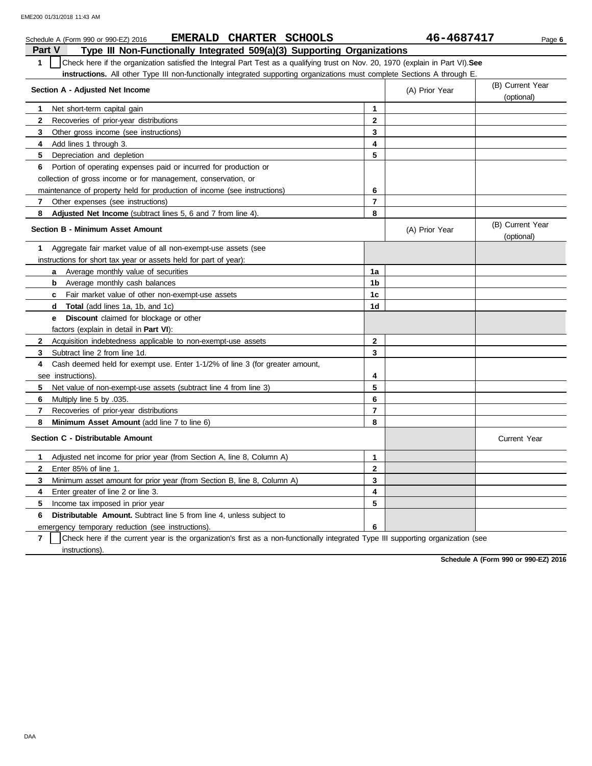|               | EMERALD CHARTER SCHOOLS<br>Schedule A (Form 990 or 990-EZ) 2016                                                                  |                | 46-4687417       | Page 6                         |
|---------------|----------------------------------------------------------------------------------------------------------------------------------|----------------|------------------|--------------------------------|
| <b>Part V</b> | Type III Non-Functionally Integrated 509(a)(3) Supporting Organizations                                                          |                |                  |                                |
| $\mathbf{1}$  | Check here if the organization satisfied the Integral Part Test as a qualifying trust on Nov. 20, 1970 (explain in Part VI). See |                |                  |                                |
|               | instructions. All other Type III non-functionally integrated supporting organizations must complete Sections A through E.        |                |                  |                                |
|               | Section A - Adjusted Net Income                                                                                                  | (A) Prior Year | (B) Current Year |                                |
|               |                                                                                                                                  |                |                  | (optional)                     |
| 1             | Net short-term capital gain                                                                                                      | 1              |                  |                                |
| 2             | Recoveries of prior-year distributions                                                                                           | $\mathbf{2}$   |                  |                                |
| 3             | Other gross income (see instructions)                                                                                            | 3              |                  |                                |
| 4             | Add lines 1 through 3.                                                                                                           | 4              |                  |                                |
| 5             | Depreciation and depletion                                                                                                       | 5              |                  |                                |
| 6             | Portion of operating expenses paid or incurred for production or                                                                 |                |                  |                                |
|               | collection of gross income or for management, conservation, or                                                                   |                |                  |                                |
|               | maintenance of property held for production of income (see instructions)                                                         | 6              |                  |                                |
| 7             | Other expenses (see instructions)                                                                                                | $\overline{7}$ |                  |                                |
| 8             | <b>Adjusted Net Income</b> (subtract lines 5, 6 and 7 from line 4).                                                              | 8              |                  |                                |
|               | <b>Section B - Minimum Asset Amount</b>                                                                                          |                | (A) Prior Year   | (B) Current Year<br>(optional) |
| 1             | Aggregate fair market value of all non-exempt-use assets (see                                                                    |                |                  |                                |
|               | instructions for short tax year or assets held for part of year):                                                                |                |                  |                                |
|               | Average monthly value of securities<br>a                                                                                         | 1a             |                  |                                |
|               | Average monthly cash balances<br>b                                                                                               | 1b             |                  |                                |
|               | Fair market value of other non-exempt-use assets<br>C                                                                            | 1 <sub>c</sub> |                  |                                |
|               | <b>d</b> Total (add lines 1a, 1b, and 1c)                                                                                        | 1d             |                  |                                |
|               | <b>Discount</b> claimed for blockage or other<br>e                                                                               |                |                  |                                |
|               | factors (explain in detail in <b>Part VI</b> ):                                                                                  |                |                  |                                |
| 2             | Acquisition indebtedness applicable to non-exempt-use assets                                                                     | $\mathbf{2}$   |                  |                                |
| 3             | Subtract line 2 from line 1d.                                                                                                    | 3              |                  |                                |
| 4             | Cash deemed held for exempt use. Enter 1-1/2% of line 3 (for greater amount,                                                     |                |                  |                                |
|               | see instructions)                                                                                                                | 4              |                  |                                |
| 5             | Net value of non-exempt-use assets (subtract line 4 from line 3)                                                                 | 5              |                  |                                |
| 6             | Multiply line 5 by .035.                                                                                                         | 6              |                  |                                |
| 7             | Recoveries of prior-year distributions                                                                                           | $\overline{7}$ |                  |                                |
| 8             | Minimum Asset Amount (add line 7 to line 6)                                                                                      | 8              |                  |                                |
|               | Section C - Distributable Amount                                                                                                 |                |                  | <b>Current Year</b>            |
| 1             | Adjusted net income for prior year (from Section A, line 8, Column A)                                                            | 1              |                  |                                |
| $\mathbf{2}$  | Enter 85% of line 1.                                                                                                             | $\mathbf{2}$   |                  |                                |
| 3             | Minimum asset amount for prior year (from Section B, line 8, Column A)                                                           | 3              |                  |                                |
| 4             | Enter greater of line 2 or line 3.                                                                                               | 4              |                  |                                |
| 5             | Income tax imposed in prior year                                                                                                 | 5              |                  |                                |
| 6             | <b>Distributable Amount.</b> Subtract line 5 from line 4, unless subject to                                                      |                |                  |                                |
|               | emergency temporary reduction (see instructions).                                                                                | 6              |                  |                                |

**7** | Check here if the current year is the organization's first as a non-functionally integrated Type III supporting organization (see instructions).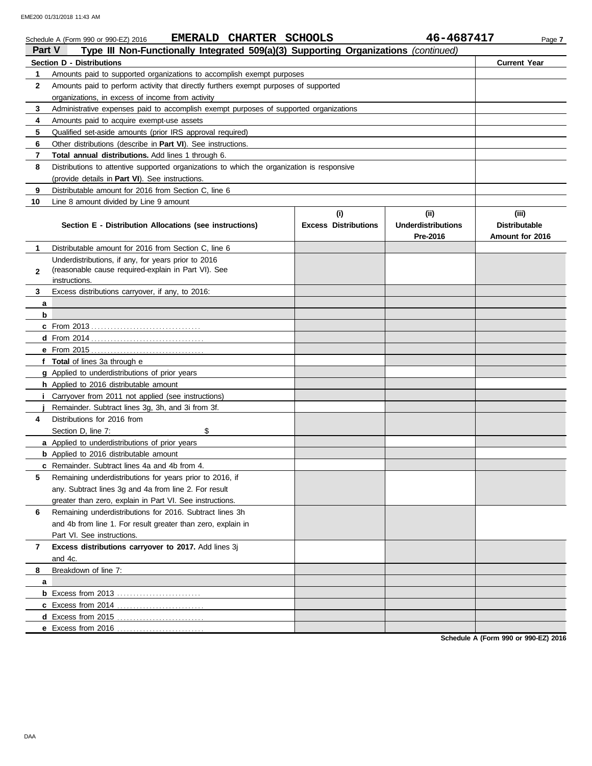|               | EMERALD CHARTER SCHOOLS<br>Schedule A (Form 990 or 990-EZ) 2016                                                                                         |                                    | 46-4687417                                    | Page 7                                           |
|---------------|---------------------------------------------------------------------------------------------------------------------------------------------------------|------------------------------------|-----------------------------------------------|--------------------------------------------------|
| <b>Part V</b> | Type III Non-Functionally Integrated 509(a)(3) Supporting Organizations (continued)                                                                     |                                    |                                               |                                                  |
|               | <b>Section D - Distributions</b>                                                                                                                        |                                    |                                               | <b>Current Year</b>                              |
| 1             | Amounts paid to supported organizations to accomplish exempt purposes                                                                                   |                                    |                                               |                                                  |
| $\mathbf{2}$  | Amounts paid to perform activity that directly furthers exempt purposes of supported                                                                    |                                    |                                               |                                                  |
|               | organizations, in excess of income from activity                                                                                                        |                                    |                                               |                                                  |
| 3<br>4        | Administrative expenses paid to accomplish exempt purposes of supported organizations                                                                   |                                    |                                               |                                                  |
| 5             | Amounts paid to acquire exempt-use assets                                                                                                               |                                    |                                               |                                                  |
| 6             | Qualified set-aside amounts (prior IRS approval required)<br>Other distributions (describe in Part VI). See instructions.                               |                                    |                                               |                                                  |
|               |                                                                                                                                                         |                                    |                                               |                                                  |
| 7<br>8        | <b>Total annual distributions.</b> Add lines 1 through 6.<br>Distributions to attentive supported organizations to which the organization is responsive |                                    |                                               |                                                  |
|               | (provide details in Part VI). See instructions.                                                                                                         |                                    |                                               |                                                  |
|               |                                                                                                                                                         |                                    |                                               |                                                  |
| 9             | Distributable amount for 2016 from Section C, line 6                                                                                                    |                                    |                                               |                                                  |
| 10            | Line 8 amount divided by Line 9 amount<br>Section E - Distribution Allocations (see instructions)                                                       | (i)<br><b>Excess Distributions</b> | (ii)<br><b>Underdistributions</b><br>Pre-2016 | (iii)<br><b>Distributable</b><br>Amount for 2016 |
| 1             | Distributable amount for 2016 from Section C. line 6                                                                                                    |                                    |                                               |                                                  |
| 2             | Underdistributions, if any, for years prior to 2016<br>(reasonable cause required-explain in Part VI). See<br>instructions.                             |                                    |                                               |                                                  |
| 3             | Excess distributions carryover, if any, to 2016:                                                                                                        |                                    |                                               |                                                  |
| a             |                                                                                                                                                         |                                    |                                               |                                                  |
| b             |                                                                                                                                                         |                                    |                                               |                                                  |
|               |                                                                                                                                                         |                                    |                                               |                                                  |
|               |                                                                                                                                                         |                                    |                                               |                                                  |
|               |                                                                                                                                                         |                                    |                                               |                                                  |
|               | f Total of lines 3a through e                                                                                                                           |                                    |                                               |                                                  |
|               | g Applied to underdistributions of prior years                                                                                                          |                                    |                                               |                                                  |
|               | h Applied to 2016 distributable amount                                                                                                                  |                                    |                                               |                                                  |
|               | Carryover from 2011 not applied (see instructions)                                                                                                      |                                    |                                               |                                                  |
|               | Remainder. Subtract lines 3g, 3h, and 3i from 3f.                                                                                                       |                                    |                                               |                                                  |
| 4             | Distributions for 2016 from                                                                                                                             |                                    |                                               |                                                  |
|               | \$<br>Section D, line 7:                                                                                                                                |                                    |                                               |                                                  |
|               | a Applied to underdistributions of prior years                                                                                                          |                                    |                                               |                                                  |
|               | <b>b</b> Applied to 2016 distributable amount                                                                                                           |                                    |                                               |                                                  |
|               | c Remainder. Subtract lines 4a and 4b from 4.                                                                                                           |                                    |                                               |                                                  |
| 5             | Remaining underdistributions for years prior to 2016, if                                                                                                |                                    |                                               |                                                  |
|               | any. Subtract lines 3g and 4a from line 2. For result                                                                                                   |                                    |                                               |                                                  |
|               | greater than zero, explain in Part VI. See instructions.                                                                                                |                                    |                                               |                                                  |
| 6             | Remaining underdistributions for 2016. Subtract lines 3h                                                                                                |                                    |                                               |                                                  |
|               | and 4b from line 1. For result greater than zero, explain in                                                                                            |                                    |                                               |                                                  |
|               | Part VI. See instructions.                                                                                                                              |                                    |                                               |                                                  |
| 7             | Excess distributions carryover to 2017. Add lines 3j                                                                                                    |                                    |                                               |                                                  |
|               | and 4c.                                                                                                                                                 |                                    |                                               |                                                  |
| 8             | Breakdown of line 7:                                                                                                                                    |                                    |                                               |                                                  |
| a             |                                                                                                                                                         |                                    |                                               |                                                  |
|               |                                                                                                                                                         |                                    |                                               |                                                  |
|               |                                                                                                                                                         |                                    |                                               |                                                  |
|               |                                                                                                                                                         |                                    |                                               |                                                  |
|               |                                                                                                                                                         |                                    |                                               |                                                  |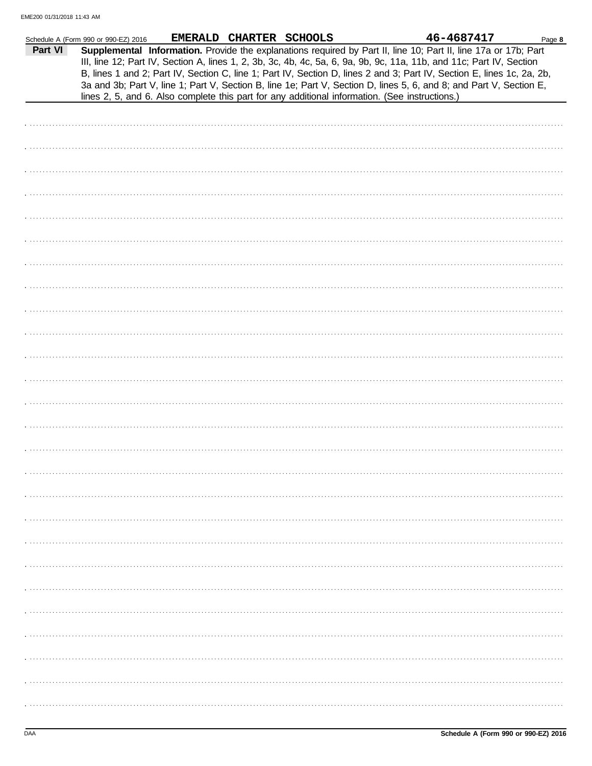|         | Schedule A (Form 990 or 990-EZ) 2016 |  | EMERALD CHARTER SCHOOLS | 46-4687417                                                                                                                                                                                                                                                                                                                                                                                                                                                                                                                                                                                 | Page 8 |
|---------|--------------------------------------|--|-------------------------|--------------------------------------------------------------------------------------------------------------------------------------------------------------------------------------------------------------------------------------------------------------------------------------------------------------------------------------------------------------------------------------------------------------------------------------------------------------------------------------------------------------------------------------------------------------------------------------------|--------|
| Part VI |                                      |  |                         | Supplemental Information. Provide the explanations required by Part II, line 10; Part II, line 17a or 17b; Part<br>III, line 12; Part IV, Section A, lines 1, 2, 3b, 3c, 4b, 4c, 5a, 6, 9a, 9b, 9c, 11a, 11b, and 11c; Part IV, Section<br>B, lines 1 and 2; Part IV, Section C, line 1; Part IV, Section D, lines 2 and 3; Part IV, Section E, lines 1c, 2a, 2b,<br>3a and 3b; Part V, line 1; Part V, Section B, line 1e; Part V, Section D, lines 5, 6, and 8; and Part V, Section E,<br>lines 2, 5, and 6. Also complete this part for any additional information. (See instructions.) |        |
|         |                                      |  |                         |                                                                                                                                                                                                                                                                                                                                                                                                                                                                                                                                                                                            |        |
|         |                                      |  |                         |                                                                                                                                                                                                                                                                                                                                                                                                                                                                                                                                                                                            |        |
|         |                                      |  |                         |                                                                                                                                                                                                                                                                                                                                                                                                                                                                                                                                                                                            |        |
|         |                                      |  |                         |                                                                                                                                                                                                                                                                                                                                                                                                                                                                                                                                                                                            |        |
|         |                                      |  |                         |                                                                                                                                                                                                                                                                                                                                                                                                                                                                                                                                                                                            |        |
|         |                                      |  |                         |                                                                                                                                                                                                                                                                                                                                                                                                                                                                                                                                                                                            |        |
|         |                                      |  |                         |                                                                                                                                                                                                                                                                                                                                                                                                                                                                                                                                                                                            |        |
|         |                                      |  |                         |                                                                                                                                                                                                                                                                                                                                                                                                                                                                                                                                                                                            |        |
|         |                                      |  |                         |                                                                                                                                                                                                                                                                                                                                                                                                                                                                                                                                                                                            |        |
|         |                                      |  |                         |                                                                                                                                                                                                                                                                                                                                                                                                                                                                                                                                                                                            |        |
|         |                                      |  |                         |                                                                                                                                                                                                                                                                                                                                                                                                                                                                                                                                                                                            |        |
|         |                                      |  |                         |                                                                                                                                                                                                                                                                                                                                                                                                                                                                                                                                                                                            |        |
|         |                                      |  |                         |                                                                                                                                                                                                                                                                                                                                                                                                                                                                                                                                                                                            |        |
|         |                                      |  |                         |                                                                                                                                                                                                                                                                                                                                                                                                                                                                                                                                                                                            |        |
|         |                                      |  |                         |                                                                                                                                                                                                                                                                                                                                                                                                                                                                                                                                                                                            |        |
|         |                                      |  |                         |                                                                                                                                                                                                                                                                                                                                                                                                                                                                                                                                                                                            |        |
|         |                                      |  |                         |                                                                                                                                                                                                                                                                                                                                                                                                                                                                                                                                                                                            |        |
|         |                                      |  |                         |                                                                                                                                                                                                                                                                                                                                                                                                                                                                                                                                                                                            |        |
|         |                                      |  |                         |                                                                                                                                                                                                                                                                                                                                                                                                                                                                                                                                                                                            |        |
|         |                                      |  |                         |                                                                                                                                                                                                                                                                                                                                                                                                                                                                                                                                                                                            |        |
|         |                                      |  |                         |                                                                                                                                                                                                                                                                                                                                                                                                                                                                                                                                                                                            |        |
|         |                                      |  |                         |                                                                                                                                                                                                                                                                                                                                                                                                                                                                                                                                                                                            |        |
|         |                                      |  |                         |                                                                                                                                                                                                                                                                                                                                                                                                                                                                                                                                                                                            |        |
|         |                                      |  |                         |                                                                                                                                                                                                                                                                                                                                                                                                                                                                                                                                                                                            |        |
|         |                                      |  |                         |                                                                                                                                                                                                                                                                                                                                                                                                                                                                                                                                                                                            |        |
|         |                                      |  |                         |                                                                                                                                                                                                                                                                                                                                                                                                                                                                                                                                                                                            |        |
|         |                                      |  |                         |                                                                                                                                                                                                                                                                                                                                                                                                                                                                                                                                                                                            |        |
|         |                                      |  |                         |                                                                                                                                                                                                                                                                                                                                                                                                                                                                                                                                                                                            |        |
|         |                                      |  |                         |                                                                                                                                                                                                                                                                                                                                                                                                                                                                                                                                                                                            |        |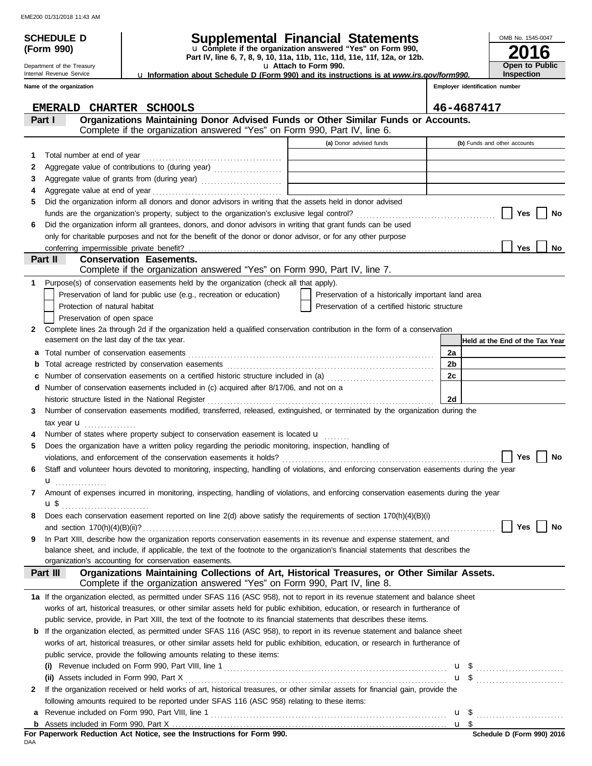Department of the Treasury Internal Revenue Service

**(Form 990)**

# **SCHEDULE D Supplemental Financial Statements**

u **Attach to Form 990. Part IV, line 6, 7, 8, 9, 10, 11a, 11b, 11c, 11d, 11e, 11f, 12a, or 12b.** u **Complete if the organization answered "Yes" on Form 990,**

u **Information about Schedule D (Form 990) and its instructions is at** *www.irs.gov/form990.*

**2016**

**Open to Public Inspection**

OMB No. 1545-0047

|    | Name of the organization                                                                                                                                                              |                                                    |    | Employer identification number  |
|----|---------------------------------------------------------------------------------------------------------------------------------------------------------------------------------------|----------------------------------------------------|----|---------------------------------|
|    | EMERALD CHARTER SCHOOLS                                                                                                                                                               |                                                    |    | 46-4687417                      |
|    | Organizations Maintaining Donor Advised Funds or Other Similar Funds or Accounts.<br>Part I<br>Complete if the organization answered "Yes" on Form 990, Part IV, line 6.              |                                                    |    |                                 |
|    |                                                                                                                                                                                       | (a) Donor advised funds                            |    | (b) Funds and other accounts    |
| 1  |                                                                                                                                                                                       |                                                    |    |                                 |
| 2  |                                                                                                                                                                                       |                                                    |    |                                 |
| З  |                                                                                                                                                                                       |                                                    |    |                                 |
| 4  |                                                                                                                                                                                       |                                                    |    |                                 |
| 5  | Did the organization inform all donors and donor advisors in writing that the assets held in donor advised                                                                            |                                                    |    |                                 |
|    |                                                                                                                                                                                       |                                                    |    | Yes<br>No                       |
| 6  | Did the organization inform all grantees, donors, and donor advisors in writing that grant funds can be used                                                                          |                                                    |    |                                 |
|    | only for charitable purposes and not for the benefit of the donor or donor advisor, or for any other purpose                                                                          |                                                    |    |                                 |
|    |                                                                                                                                                                                       |                                                    |    | Yes<br>No                       |
|    | <b>Conservation Easements.</b><br>Part II                                                                                                                                             |                                                    |    |                                 |
|    | Complete if the organization answered "Yes" on Form 990, Part IV, line 7.                                                                                                             |                                                    |    |                                 |
| 1. | Purpose(s) of conservation easements held by the organization (check all that apply).                                                                                                 |                                                    |    |                                 |
|    | Preservation of land for public use (e.g., recreation or education)                                                                                                                   | Preservation of a historically important land area |    |                                 |
|    | Protection of natural habitat                                                                                                                                                         | Preservation of a certified historic structure     |    |                                 |
|    | Preservation of open space                                                                                                                                                            |                                                    |    |                                 |
| 2  | Complete lines 2a through 2d if the organization held a qualified conservation contribution in the form of a conservation                                                             |                                                    |    |                                 |
|    | easement on the last day of the tax year.                                                                                                                                             |                                                    |    | Held at the End of the Tax Year |
| a  |                                                                                                                                                                                       |                                                    | 2a |                                 |
| b  |                                                                                                                                                                                       |                                                    | 2b |                                 |
| с  | Number of conservation easements on a certified historic structure included in (a) [[[[[[[[[[[[[[[[[[[[[[[[[]]]]]]]                                                                   |                                                    | 2c |                                 |
| d  | Number of conservation easements included in (c) acquired after 8/17/06, and not on a                                                                                                 |                                                    |    |                                 |
|    | historic structure listed in the National Register<br>Number of conservation easements modified, transferred, released, extinguished, or terminated by the organization during the    |                                                    | 2d |                                 |
| 3. |                                                                                                                                                                                       |                                                    |    |                                 |
|    | tax year <b>u</b><br>Number of states where property subject to conservation easement is located $\boldsymbol{\cup}$                                                                  |                                                    |    |                                 |
| 5  | Does the organization have a written policy regarding the periodic monitoring, inspection, handling of                                                                                |                                                    |    |                                 |
|    |                                                                                                                                                                                       |                                                    |    | <b>Yes</b><br>No                |
| 6  | Staff and volunteer hours devoted to monitoring, inspecting, handling of violations, and enforcing conservation easements during the year                                             |                                                    |    |                                 |
|    | u                                                                                                                                                                                     |                                                    |    |                                 |
| 7  | Amount of expenses incurred in monitoring, inspecting, handling of violations, and enforcing conservation easements during the year                                                   |                                                    |    |                                 |
|    | <b>u</b> \$                                                                                                                                                                           |                                                    |    |                                 |
|    | Does each conservation easement reported on line 2(d) above satisfy the requirements of section 170(h)(4)(B)(i)                                                                       |                                                    |    |                                 |
|    |                                                                                                                                                                                       |                                                    |    | Yes<br>No                       |
| 9  | In Part XIII, describe how the organization reports conservation easements in its revenue and expense statement, and                                                                  |                                                    |    |                                 |
|    | balance sheet, and include, if applicable, the text of the footnote to the organization's financial statements that describes the                                                     |                                                    |    |                                 |
|    | organization's accounting for conservation easements.                                                                                                                                 |                                                    |    |                                 |
|    | Organizations Maintaining Collections of Art, Historical Treasures, or Other Similar Assets.<br>Part III<br>Complete if the organization answered "Yes" on Form 990, Part IV, line 8. |                                                    |    |                                 |
|    | 1a If the organization elected, as permitted under SFAS 116 (ASC 958), not to report in its revenue statement and balance sheet                                                       |                                                    |    |                                 |
|    | works of art, historical treasures, or other similar assets held for public exhibition, education, or research in furtherance of                                                      |                                                    |    |                                 |
|    | public service, provide, in Part XIII, the text of the footnote to its financial statements that describes these items.                                                               |                                                    |    |                                 |
|    | <b>b</b> If the organization elected, as permitted under SFAS 116 (ASC 958), to report in its revenue statement and balance sheet                                                     |                                                    |    |                                 |
|    | works of art, historical treasures, or other similar assets held for public exhibition, education, or research in furtherance of                                                      |                                                    |    |                                 |
|    | public service, provide the following amounts relating to these items:                                                                                                                |                                                    |    |                                 |
|    |                                                                                                                                                                                       |                                                    |    | $\overline{u}$ \$               |
|    | (ii) Assets included in Form 990, Part X                                                                                                                                              |                                                    |    | U <sub>5</sub>                  |
| 2  | If the organization received or held works of art, historical treasures, or other similar assets for financial gain, provide the                                                      |                                                    |    |                                 |
|    | following amounts required to be reported under SFAS 116 (ASC 958) relating to these items:                                                                                           |                                                    |    |                                 |
| а  |                                                                                                                                                                                       |                                                    |    |                                 |
|    |                                                                                                                                                                                       |                                                    |    |                                 |

DAA **For Paperwork Reduction Act Notice, see the Instructions for Form 990.**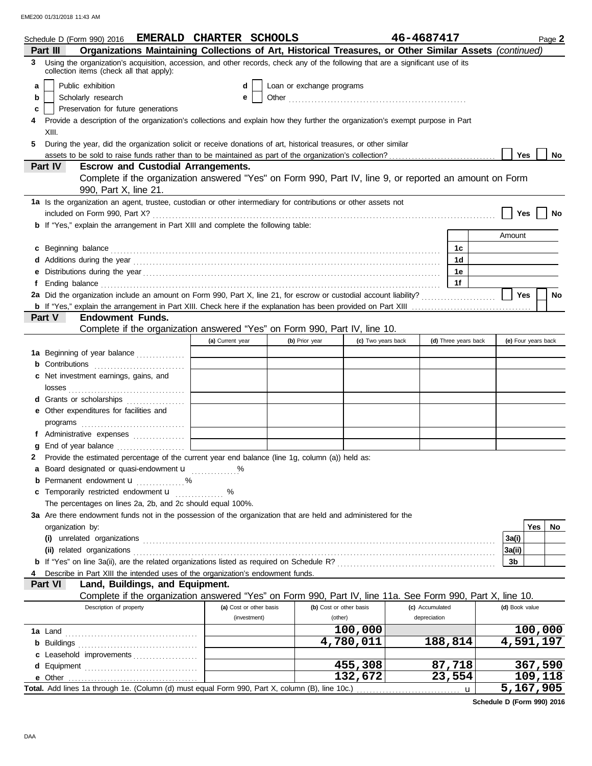|   | Schedule D (Form 990) 2016 EMERALD CHARTER SCHOOLS                                                                                                                                                                                  |                         |                           |                        | 46-4687417      |                      |                | Page 2              |
|---|-------------------------------------------------------------------------------------------------------------------------------------------------------------------------------------------------------------------------------------|-------------------------|---------------------------|------------------------|-----------------|----------------------|----------------|---------------------|
|   | Organizations Maintaining Collections of Art, Historical Treasures, or Other Similar Assets (continued)<br>Part III                                                                                                                 |                         |                           |                        |                 |                      |                |                     |
|   | 3 Using the organization's acquisition, accession, and other records, check any of the following that are a significant use of its<br>collection items (check all that apply):                                                      |                         |                           |                        |                 |                      |                |                     |
| a | Public exhibition                                                                                                                                                                                                                   | d                       | Loan or exchange programs |                        |                 |                      |                |                     |
| b | Scholarly research                                                                                                                                                                                                                  | е                       |                           |                        |                 |                      |                |                     |
| c | Preservation for future generations                                                                                                                                                                                                 |                         |                           |                        |                 |                      |                |                     |
|   | Provide a description of the organization's collections and explain how they further the organization's exempt purpose in Part                                                                                                      |                         |                           |                        |                 |                      |                |                     |
|   | XIII.                                                                                                                                                                                                                               |                         |                           |                        |                 |                      |                |                     |
| 5 | During the year, did the organization solicit or receive donations of art, historical treasures, or other similar                                                                                                                   |                         |                           |                        |                 |                      |                |                     |
|   |                                                                                                                                                                                                                                     |                         |                           |                        |                 |                      | Yes            | No                  |
|   | Part IV<br><b>Escrow and Custodial Arrangements.</b>                                                                                                                                                                                |                         |                           |                        |                 |                      |                |                     |
|   | Complete if the organization answered "Yes" on Form 990, Part IV, line 9, or reported an amount on Form                                                                                                                             |                         |                           |                        |                 |                      |                |                     |
|   | 990, Part X, line 21.                                                                                                                                                                                                               |                         |                           |                        |                 |                      |                |                     |
|   | 1a Is the organization an agent, trustee, custodian or other intermediary for contributions or other assets not                                                                                                                     |                         |                           |                        |                 |                      |                |                     |
|   |                                                                                                                                                                                                                                     |                         |                           |                        |                 |                      | Yes            | No                  |
|   | b If "Yes," explain the arrangement in Part XIII and complete the following table:                                                                                                                                                  |                         |                           |                        |                 |                      |                |                     |
|   |                                                                                                                                                                                                                                     |                         |                           |                        |                 |                      | Amount         |                     |
| c |                                                                                                                                                                                                                                     |                         |                           |                        |                 | 1c                   |                |                     |
| d | Additions during the year contains and according to the year contained and according the year contains and according the year contains and according to the year contains and according to the state of the state of the state      |                         |                           |                        |                 | 1d                   |                |                     |
| е |                                                                                                                                                                                                                                     |                         |                           |                        |                 | 1е                   |                |                     |
| f | Ending balance <b>constructs</b> and constructs and constructs and constructs and constructs and constructs and constructs of the construction of the construction of the construction of the construction of the construction of t |                         |                           |                        |                 | 1f                   |                |                     |
|   | 2a Did the organization include an amount on Form 990, Part X, line 21, for escrow or custodial account liability?                                                                                                                  |                         |                           |                        |                 |                      | Yes            | <b>No</b>           |
|   |                                                                                                                                                                                                                                     |                         |                           |                        |                 |                      |                |                     |
|   | <b>Endowment Funds.</b><br>Part V                                                                                                                                                                                                   |                         |                           |                        |                 |                      |                |                     |
|   | Complete if the organization answered "Yes" on Form 990, Part IV, line 10.                                                                                                                                                          |                         |                           |                        |                 |                      |                |                     |
|   |                                                                                                                                                                                                                                     | (a) Current year        | (b) Prior year            | (c) Two years back     |                 | (d) Three years back |                | (e) Four years back |
|   | 1a Beginning of year balance                                                                                                                                                                                                        |                         |                           |                        |                 |                      |                |                     |
|   |                                                                                                                                                                                                                                     |                         |                           |                        |                 |                      |                |                     |
| c | Net investment earnings, gains, and                                                                                                                                                                                                 |                         |                           |                        |                 |                      |                |                     |
|   |                                                                                                                                                                                                                                     |                         |                           |                        |                 |                      |                |                     |
|   | d Grants or scholarships                                                                                                                                                                                                            |                         |                           |                        |                 |                      |                |                     |
|   | e Other expenditures for facilities and                                                                                                                                                                                             |                         |                           |                        |                 |                      |                |                     |
|   |                                                                                                                                                                                                                                     |                         |                           |                        |                 |                      |                |                     |
|   | f Administrative expenses                                                                                                                                                                                                           |                         |                           |                        |                 |                      |                |                     |
| g |                                                                                                                                                                                                                                     |                         |                           |                        |                 |                      |                |                     |
| 2 | Provide the estimated percentage of the current year end balance (line 1g, column (a)) held as:<br>a Board designated or quasi-endowment u                                                                                          | %                       |                           |                        |                 |                      |                |                     |
|   | Permanent endowment <b>u</b> %                                                                                                                                                                                                      |                         |                           |                        |                 |                      |                |                     |
| c |                                                                                                                                                                                                                                     | %                       |                           |                        |                 |                      |                |                     |
|   | The percentages on lines 2a, 2b, and 2c should equal 100%.                                                                                                                                                                          |                         |                           |                        |                 |                      |                |                     |
|   | 3a Are there endowment funds not in the possession of the organization that are held and administered for the                                                                                                                       |                         |                           |                        |                 |                      |                |                     |
|   | organization by:                                                                                                                                                                                                                    |                         |                           |                        |                 |                      |                | Yes<br>No           |
|   |                                                                                                                                                                                                                                     |                         |                           |                        |                 |                      | 3a(i)          |                     |
|   |                                                                                                                                                                                                                                     |                         |                           |                        |                 |                      | 3a(ii)         |                     |
|   |                                                                                                                                                                                                                                     |                         |                           |                        |                 |                      | 3b             |                     |
|   | Describe in Part XIII the intended uses of the organization's endowment funds.                                                                                                                                                      |                         |                           |                        |                 |                      |                |                     |
|   | Land, Buildings, and Equipment.<br>Part VI                                                                                                                                                                                          |                         |                           |                        |                 |                      |                |                     |
|   | Complete if the organization answered "Yes" on Form 990, Part IV, line 11a. See Form 990, Part X, line 10.                                                                                                                          |                         |                           |                        |                 |                      |                |                     |
|   | Description of property                                                                                                                                                                                                             | (a) Cost or other basis | (b) Cost or other basis   |                        | (c) Accumulated |                      | (d) Book value |                     |
|   |                                                                                                                                                                                                                                     | (investment)            | (other)                   |                        | depreciation    |                      |                |                     |
|   |                                                                                                                                                                                                                                     |                         |                           | 100,000                |                 |                      |                | 100,000             |
|   |                                                                                                                                                                                                                                     |                         |                           | $\overline{4,780,011}$ |                 | 188,814              |                | 4,591,197           |
|   | Leasehold improvements                                                                                                                                                                                                              |                         |                           |                        |                 |                      |                |                     |
| d |                                                                                                                                                                                                                                     |                         |                           | 455,308                |                 | 87,718               |                | 367,590             |
|   |                                                                                                                                                                                                                                     |                         |                           | 132,672                |                 | 23,554               |                | 109, 118            |
|   |                                                                                                                                                                                                                                     |                         |                           |                        |                 | u                    |                | 5,167,905           |

**Schedule D (Form 990) 2016**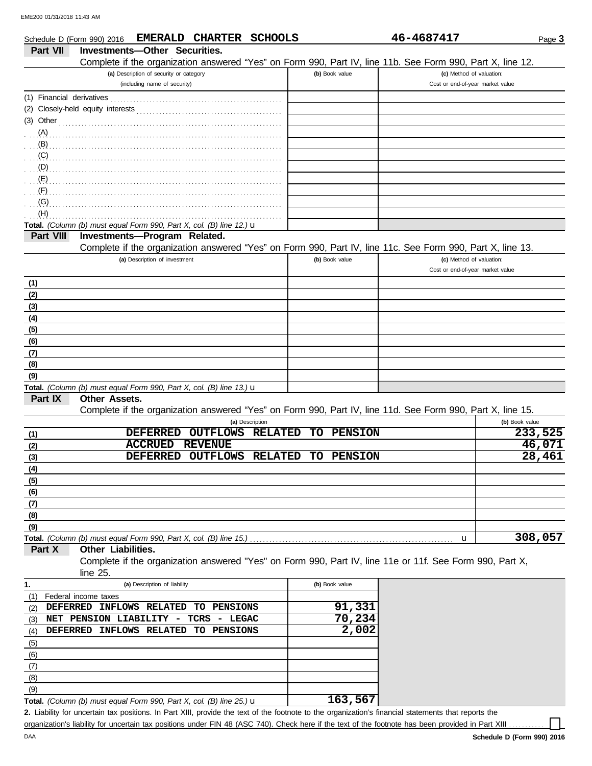|                           | EMERALD CHARTER SCHOOLS<br>Schedule D (Form 990) 2016                                                                                                                                                                                                 |                         |                 |                | 46-4687417                       | Page 3         |
|---------------------------|-------------------------------------------------------------------------------------------------------------------------------------------------------------------------------------------------------------------------------------------------------|-------------------------|-----------------|----------------|----------------------------------|----------------|
| <b>Part VII</b>           | Investments-Other Securities.                                                                                                                                                                                                                         |                         |                 |                |                                  |                |
|                           | Complete if the organization answered "Yes" on Form 990, Part IV, line 11b. See Form 990, Part X, line 12.                                                                                                                                            |                         |                 |                |                                  |                |
|                           | (a) Description of security or category                                                                                                                                                                                                               |                         |                 | (b) Book value | (c) Method of valuation:         |                |
|                           | (including name of security)                                                                                                                                                                                                                          |                         |                 |                | Cost or end-of-year market value |                |
| (1) Financial derivatives |                                                                                                                                                                                                                                                       |                         |                 |                |                                  |                |
|                           |                                                                                                                                                                                                                                                       |                         |                 |                |                                  |                |
| $(3)$ Other               |                                                                                                                                                                                                                                                       |                         |                 |                |                                  |                |
|                           |                                                                                                                                                                                                                                                       |                         |                 |                |                                  |                |
|                           |                                                                                                                                                                                                                                                       |                         |                 |                |                                  |                |
|                           | $(C)$ and $(C)$ and $(C)$ and $(C)$ and $(C)$ and $(C)$ and $(C)$ and $(C)$ and $(C)$ and $(C)$ and $(C)$ and $(C)$ and $(C)$ and $(C)$ and $(C)$ and $(C)$ and $(C)$ and $(C)$ and $(C)$ and $(C)$ and $(C)$ and $(C)$ and $(C)$ and $(C)$ and $(C)$ |                         |                 |                |                                  |                |
|                           |                                                                                                                                                                                                                                                       |                         |                 |                |                                  |                |
| $\mathbf{E}(\mathsf{E})$  |                                                                                                                                                                                                                                                       |                         |                 |                |                                  |                |
|                           |                                                                                                                                                                                                                                                       |                         |                 |                |                                  |                |
| (G)                       |                                                                                                                                                                                                                                                       |                         |                 |                |                                  |                |
| (H)                       |                                                                                                                                                                                                                                                       |                         |                 |                |                                  |                |
|                           | Total. (Column (b) must equal Form 990, Part X, col. (B) line 12.) $\mathbf u$                                                                                                                                                                        |                         |                 |                |                                  |                |
| <b>Part VIII</b>          | Investments-Program Related.                                                                                                                                                                                                                          |                         |                 |                |                                  |                |
|                           | Complete if the organization answered "Yes" on Form 990, Part IV, line 11c. See Form 990, Part X, line 13.                                                                                                                                            |                         |                 |                |                                  |                |
|                           | (a) Description of investment                                                                                                                                                                                                                         |                         |                 | (b) Book value | (c) Method of valuation:         |                |
|                           |                                                                                                                                                                                                                                                       |                         |                 |                | Cost or end-of-year market value |                |
| (1)                       |                                                                                                                                                                                                                                                       |                         |                 |                |                                  |                |
| (2)                       |                                                                                                                                                                                                                                                       |                         |                 |                |                                  |                |
| (3)                       |                                                                                                                                                                                                                                                       |                         |                 |                |                                  |                |
| (4)                       |                                                                                                                                                                                                                                                       |                         |                 |                |                                  |                |
| (5)                       |                                                                                                                                                                                                                                                       |                         |                 |                |                                  |                |
| (6)                       |                                                                                                                                                                                                                                                       |                         |                 |                |                                  |                |
| (7)                       |                                                                                                                                                                                                                                                       |                         |                 |                |                                  |                |
| (8)                       |                                                                                                                                                                                                                                                       |                         |                 |                |                                  |                |
| (9)                       |                                                                                                                                                                                                                                                       |                         |                 |                |                                  |                |
|                           | Total. (Column (b) must equal Form 990, Part X, col. (B) line 13.) u                                                                                                                                                                                  |                         |                 |                |                                  |                |
| Part IX                   | <b>Other Assets.</b>                                                                                                                                                                                                                                  |                         |                 |                |                                  |                |
|                           | Complete if the organization answered "Yes" on Form 990, Part IV, line 11d. See Form 990, Part X, line 15.                                                                                                                                            |                         |                 |                |                                  |                |
|                           |                                                                                                                                                                                                                                                       |                         | (a) Description |                |                                  | (b) Book value |
| (1)                       | DEFERRED OUTFLOWS RELATED                                                                                                                                                                                                                             |                         |                 | TO PENSION     |                                  | 233,525        |
| (2)                       | <b>ACCRUED</b>                                                                                                                                                                                                                                        | <b>REVENUE</b>          |                 |                |                                  | 46,071         |
| (3)                       | <b>DEFERRED</b>                                                                                                                                                                                                                                       | <b>OUTFLOWS RELATED</b> |                 | TO PENSION     |                                  | 28,461         |
| (4)                       |                                                                                                                                                                                                                                                       |                         |                 |                |                                  |                |
| (5)                       |                                                                                                                                                                                                                                                       |                         |                 |                |                                  |                |
| (6)                       |                                                                                                                                                                                                                                                       |                         |                 |                |                                  |                |
| (7)                       |                                                                                                                                                                                                                                                       |                         |                 |                |                                  |                |
| (8)                       |                                                                                                                                                                                                                                                       |                         |                 |                |                                  |                |
| (9)                       |                                                                                                                                                                                                                                                       |                         |                 |                |                                  |                |
|                           | Total. (Column (b) must equal Form 990, Part X, col. (B) line 15.)                                                                                                                                                                                    |                         |                 |                | u                                | 308,057        |
| Part X                    | Other Liabilities.                                                                                                                                                                                                                                    |                         |                 |                |                                  |                |
|                           | Complete if the organization answered "Yes" on Form 990, Part IV, line 11e or 11f. See Form 990, Part X,                                                                                                                                              |                         |                 |                |                                  |                |
|                           | line 25.                                                                                                                                                                                                                                              |                         |                 |                |                                  |                |
| 1.                        | (a) Description of liability                                                                                                                                                                                                                          |                         |                 | (b) Book value |                                  |                |
| (1)                       | Federal income taxes                                                                                                                                                                                                                                  |                         |                 |                |                                  |                |
| (2)                       | DEFERRED INFLOWS RELATED TO PENSIONS                                                                                                                                                                                                                  |                         |                 | 91,331         |                                  |                |
| (3)                       | NET PENSION LIABILITY - TCRS - LEGAC                                                                                                                                                                                                                  |                         |                 | 70,234         |                                  |                |
| (4)                       | DEFERRED INFLOWS RELATED TO PENSIONS                                                                                                                                                                                                                  |                         |                 | 2,002          |                                  |                |
| (5)                       |                                                                                                                                                                                                                                                       |                         |                 |                |                                  |                |
| (6)                       |                                                                                                                                                                                                                                                       |                         |                 |                |                                  |                |
| (7)                       |                                                                                                                                                                                                                                                       |                         |                 |                |                                  |                |
| (8)                       |                                                                                                                                                                                                                                                       |                         |                 |                |                                  |                |
| (9)                       |                                                                                                                                                                                                                                                       |                         |                 |                |                                  |                |
|                           | Total. (Column (b) must equal Form 990, Part X, col. (B) line 25.) u                                                                                                                                                                                  |                         |                 | 163,567        |                                  |                |

Liability for uncertain tax positions. In Part XIII, provide the text of the footnote to the organization's financial statements that reports the **2.** organization's liability for uncertain tax positions under FIN 48 (ASC 740). Check here if the text of the footnote has been provided in Part XIII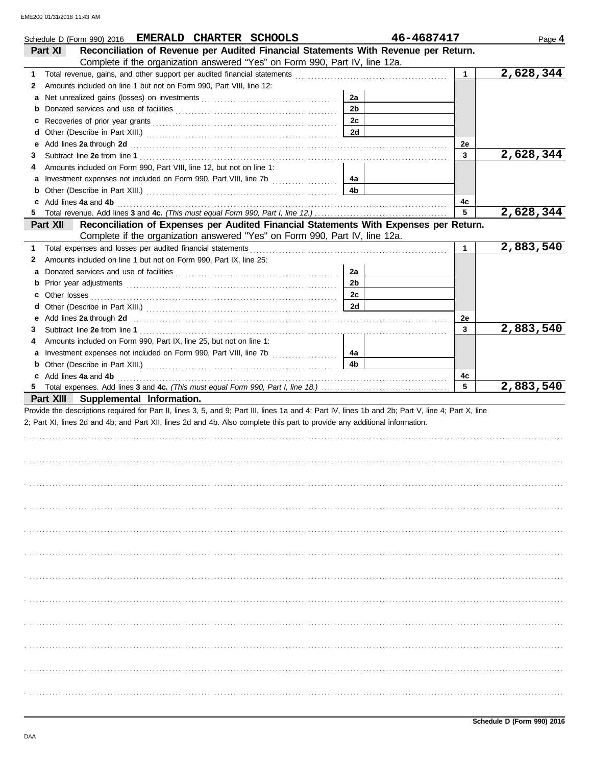|   | Schedule D (Form 990) 2016 EMERALD CHARTER SCHOOLS                                                                                                                                                                             |                | 46-4687417 |              | Page 4    |
|---|--------------------------------------------------------------------------------------------------------------------------------------------------------------------------------------------------------------------------------|----------------|------------|--------------|-----------|
|   | Reconciliation of Revenue per Audited Financial Statements With Revenue per Return.<br>Part XI                                                                                                                                 |                |            |              |           |
|   | Complete if the organization answered "Yes" on Form 990, Part IV, line 12a.                                                                                                                                                    |                |            |              |           |
| 1 | Total revenue, gains, and other support per audited financial statements                                                                                                                                                       |                |            | $\mathbf{1}$ | 2,628,344 |
| 2 | Amounts included on line 1 but not on Form 990, Part VIII, line 12:                                                                                                                                                            |                |            |              |           |
| а |                                                                                                                                                                                                                                | 2a             |            |              |           |
| b |                                                                                                                                                                                                                                | 2 <sub>b</sub> |            |              |           |
| c |                                                                                                                                                                                                                                | 2c             |            |              |           |
| d |                                                                                                                                                                                                                                | 2d             |            |              |           |
| е | Add lines 2a through 2d [11] Additional Property and Property and Property and Property and Property and Property and Property and Property and Property and Property and Property and Property and Property and Property and  |                |            | 2e           |           |
| 3 |                                                                                                                                                                                                                                |                |            | 3            | 2,628,344 |
| 4 | Amounts included on Form 990, Part VIII, line 12, but not on line 1:                                                                                                                                                           |                |            |              |           |
| a | Investment expenses not included on Form 990, Part VIII, line 7b [                                                                                                                                                             | 4a             |            |              |           |
| b |                                                                                                                                                                                                                                | 4b             |            |              |           |
| c | Add lines 4a and 4b                                                                                                                                                                                                            |                |            | 4c           |           |
|   |                                                                                                                                                                                                                                |                |            | 5            | 2,628,344 |
|   | Reconciliation of Expenses per Audited Financial Statements With Expenses per Return.<br>Part XII                                                                                                                              |                |            |              |           |
|   | Complete if the organization answered "Yes" on Form 990, Part IV, line 12a.                                                                                                                                                    |                |            |              |           |
| 1 | Total expenses and losses per audited financial statements                                                                                                                                                                     |                |            | 1            | 2,883,540 |
| 2 | Amounts included on line 1 but not on Form 990, Part IX, line 25:                                                                                                                                                              |                |            |              |           |
| a |                                                                                                                                                                                                                                | 2a             |            |              |           |
| b | Prior year adjustments [11, 11] All the contract of the contract of the contract of the contract of the contract of the contract of the contract of the contract of the contract of the contract of the contract of the contra | 2 <sub>b</sub> |            |              |           |
| c |                                                                                                                                                                                                                                | 2c             |            |              |           |
| d |                                                                                                                                                                                                                                | 2d             |            |              |           |
| е | Add lines 2a through 2d [11] March 2014 [12] March 2014 [12] March 2014 [12] March 2014 [12] March 2014 [12] March 2015 [12] March 2014 [12] March 2014 [12] March 2014 [12] March 2014 [12] March 2014 [12] March 2014 [12] M |                |            | 2e           |           |
| 3 |                                                                                                                                                                                                                                |                |            | 3            | 2,883,540 |
| 4 | Amounts included on Form 990, Part IX, line 25, but not on line 1:                                                                                                                                                             |                |            |              |           |
|   |                                                                                                                                                                                                                                | 4a             |            |              |           |
| b |                                                                                                                                                                                                                                | 4b             |            |              |           |
|   | c Add lines 4a and 4b                                                                                                                                                                                                          |                |            | 4с           |           |
|   |                                                                                                                                                                                                                                |                |            | 5            | 2,883,540 |
|   | Part XIII Supplemental Information.                                                                                                                                                                                            |                |            |              |           |
|   | Provide the descriptions required for Part II, lines 3, 5, and 9; Part III, lines 1a and 4; Part IV, lines 1b and 2b; Part V, line 4; Part X, line                                                                             |                |            |              |           |
|   | 2; Part XI, lines 2d and 4b; and Part XII, lines 2d and 4b. Also complete this part to provide any additional information.                                                                                                     |                |            |              |           |
|   |                                                                                                                                                                                                                                |                |            |              |           |
|   |                                                                                                                                                                                                                                |                |            |              |           |
|   |                                                                                                                                                                                                                                |                |            |              |           |
|   |                                                                                                                                                                                                                                |                |            |              |           |
|   |                                                                                                                                                                                                                                |                |            |              |           |
|   |                                                                                                                                                                                                                                |                |            |              |           |
|   |                                                                                                                                                                                                                                |                |            |              |           |
|   |                                                                                                                                                                                                                                |                |            |              |           |
|   |                                                                                                                                                                                                                                |                |            |              |           |
|   |                                                                                                                                                                                                                                |                |            |              |           |
|   |                                                                                                                                                                                                                                |                |            |              |           |
|   |                                                                                                                                                                                                                                |                |            |              |           |
|   |                                                                                                                                                                                                                                |                |            |              |           |
|   |                                                                                                                                                                                                                                |                |            |              |           |
|   |                                                                                                                                                                                                                                |                |            |              |           |
|   |                                                                                                                                                                                                                                |                |            |              |           |
|   |                                                                                                                                                                                                                                |                |            |              |           |
|   |                                                                                                                                                                                                                                |                |            |              |           |
|   |                                                                                                                                                                                                                                |                |            |              |           |
|   |                                                                                                                                                                                                                                |                |            |              |           |
|   |                                                                                                                                                                                                                                |                |            |              |           |
|   |                                                                                                                                                                                                                                |                |            |              |           |
|   |                                                                                                                                                                                                                                |                |            |              |           |
|   |                                                                                                                                                                                                                                |                |            |              |           |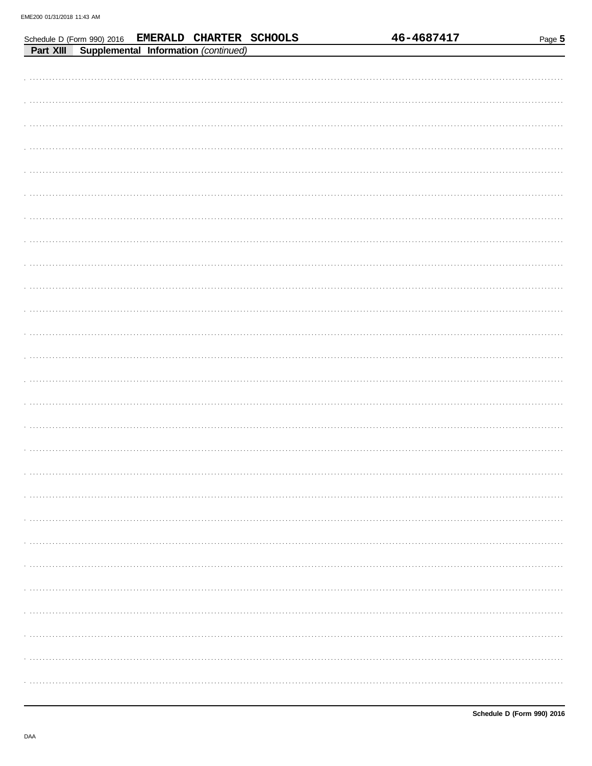|           | Schedule D (Form 990) 2016 |                                      | EMERALD CHARTER SCHOOLS |  | 46-4687417 | Page 5 |
|-----------|----------------------------|--------------------------------------|-------------------------|--|------------|--------|
| Part XIII |                            | Supplemental Information (continued) |                         |  |            |        |
|           |                            |                                      |                         |  |            |        |
|           |                            |                                      |                         |  |            |        |
|           |                            |                                      |                         |  |            |        |
|           |                            |                                      |                         |  |            |        |
|           |                            |                                      |                         |  |            |        |
|           |                            |                                      |                         |  |            |        |
|           |                            |                                      |                         |  |            |        |
|           |                            |                                      |                         |  |            |        |
|           |                            |                                      |                         |  |            |        |
|           |                            |                                      |                         |  |            |        |
|           |                            |                                      |                         |  |            |        |
|           |                            |                                      |                         |  |            |        |
|           |                            |                                      |                         |  |            |        |
|           |                            |                                      |                         |  |            |        |
|           |                            |                                      |                         |  |            |        |
|           |                            |                                      |                         |  |            |        |
|           |                            |                                      |                         |  |            |        |
|           |                            |                                      |                         |  |            |        |
|           |                            |                                      |                         |  |            |        |
|           |                            |                                      |                         |  |            |        |
|           |                            |                                      |                         |  |            |        |
|           |                            |                                      |                         |  |            |        |
|           |                            |                                      |                         |  |            |        |
|           |                            |                                      |                         |  |            |        |
|           |                            |                                      |                         |  |            |        |
|           |                            |                                      |                         |  |            |        |
|           |                            |                                      |                         |  |            |        |
|           |                            |                                      |                         |  |            |        |
|           |                            |                                      |                         |  |            |        |
|           |                            |                                      |                         |  |            |        |
|           |                            |                                      |                         |  |            |        |
|           |                            |                                      |                         |  |            |        |
|           |                            |                                      |                         |  |            |        |
|           |                            |                                      |                         |  |            |        |
|           |                            |                                      |                         |  |            |        |
|           |                            |                                      |                         |  |            |        |
|           |                            |                                      |                         |  |            |        |
|           |                            |                                      |                         |  |            |        |
|           |                            |                                      |                         |  |            |        |
|           |                            |                                      |                         |  |            |        |
|           |                            |                                      |                         |  |            |        |
|           |                            |                                      |                         |  |            |        |
|           |                            |                                      |                         |  |            |        |
|           |                            |                                      |                         |  |            |        |
|           |                            |                                      |                         |  |            |        |
|           |                            |                                      |                         |  |            |        |
|           |                            |                                      |                         |  |            |        |
|           |                            |                                      |                         |  |            |        |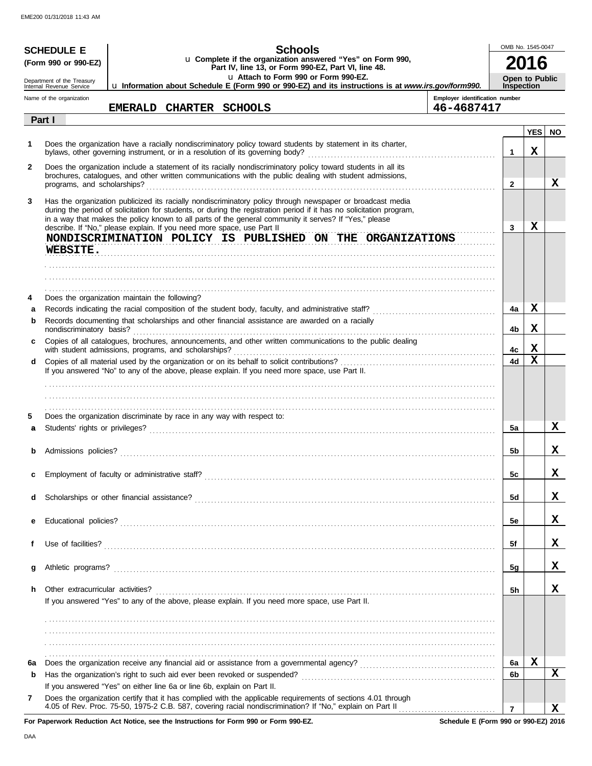|              | <b>Schools</b><br><b>SCHEDULE E</b><br>La Complete if the organization answered "Yes" on Form 990,<br>(Form 990 or 990-EZ)<br>Part IV, line 13, or Form 990-EZ, Part VI, line 48. |                                                                                                                                                                                                                                                                                                                                              |                                              |                                     |             |           |
|--------------|-----------------------------------------------------------------------------------------------------------------------------------------------------------------------------------|----------------------------------------------------------------------------------------------------------------------------------------------------------------------------------------------------------------------------------------------------------------------------------------------------------------------------------------------|----------------------------------------------|-------------------------------------|-------------|-----------|
|              | Department of the Treasury<br>Internal Revenue Service                                                                                                                            | La Attach to Form 990 or Form 990-EZ.<br>La Information about Schedule E (Form 990 or 990-EZ) and its instructions is at www.irs.gov/form990.                                                                                                                                                                                                |                                              | Open to Public<br><b>Inspection</b> |             |           |
|              | Name of the organization                                                                                                                                                          | EMERALD CHARTER SCHOOLS                                                                                                                                                                                                                                                                                                                      | Employer identification number<br>46-4687417 |                                     |             |           |
|              | Part I                                                                                                                                                                            |                                                                                                                                                                                                                                                                                                                                              |                                              |                                     |             |           |
| 1            |                                                                                                                                                                                   | Does the organization have a racially nondiscriminatory policy toward students by statement in its charter,                                                                                                                                                                                                                                  |                                              | $\mathbf{1}$                        | YES<br>X    | <b>NO</b> |
| $\mathbf{2}$ |                                                                                                                                                                                   | Does the organization include a statement of its racially nondiscriminatory policy toward students in all its<br>brochures, catalogues, and other written communications with the public dealing with student admissions,                                                                                                                    |                                              | $\mathbf{2}$                        |             | x         |
| 3            |                                                                                                                                                                                   | Has the organization publicized its racially nondiscriminatory policy through newspaper or broadcast media<br>during the period of solicitation for students, or during the registration period if it has no solicitation program,<br>in a way that makes the policy known to all parts of the general community it serves? If "Yes," please |                                              |                                     |             |           |
|              | WEBSITE.                                                                                                                                                                          | describe. If "No," please explain. If you need more space, use Part II<br>NONDISCRIMINATION POLICY IS PUBLISHED ON THE ORGANIZATIONS                                                                                                                                                                                                         |                                              | $\mathbf{3}$                        | $\mathbf x$ |           |
|              |                                                                                                                                                                                   |                                                                                                                                                                                                                                                                                                                                              |                                              |                                     |             |           |
| 4<br>а       |                                                                                                                                                                                   | Does the organization maintain the following?                                                                                                                                                                                                                                                                                                |                                              | 4a                                  | X           |           |
| b            | nondiscriminatory basis?                                                                                                                                                          | Records documenting that scholarships and other financial assistance are awarded on a racially                                                                                                                                                                                                                                               |                                              | 4b                                  | X           |           |
| c            |                                                                                                                                                                                   | Copies of all catalogues, brochures, announcements, and other written communications to the public dealing                                                                                                                                                                                                                                   |                                              | 4с                                  | X           |           |
| d            |                                                                                                                                                                                   | If you answered "No" to any of the above, please explain. If you need more space, use Part II.                                                                                                                                                                                                                                               |                                              | 4d                                  | $\mathbf x$ |           |
|              |                                                                                                                                                                                   |                                                                                                                                                                                                                                                                                                                                              |                                              |                                     |             |           |
| 5            |                                                                                                                                                                                   | Does the organization discriminate by race in any way with respect to:                                                                                                                                                                                                                                                                       |                                              |                                     |             |           |
| a            |                                                                                                                                                                                   |                                                                                                                                                                                                                                                                                                                                              |                                              | 5a                                  |             | x         |
| b            |                                                                                                                                                                                   |                                                                                                                                                                                                                                                                                                                                              |                                              | 5b                                  |             | x         |
|              |                                                                                                                                                                                   |                                                                                                                                                                                                                                                                                                                                              |                                              | 5c                                  |             | A         |
| d            |                                                                                                                                                                                   |                                                                                                                                                                                                                                                                                                                                              |                                              | 5d                                  |             | x         |
| е            |                                                                                                                                                                                   |                                                                                                                                                                                                                                                                                                                                              |                                              | 5e                                  |             | x         |
| f            |                                                                                                                                                                                   |                                                                                                                                                                                                                                                                                                                                              |                                              | 5f                                  |             | x         |
| g            |                                                                                                                                                                                   |                                                                                                                                                                                                                                                                                                                                              |                                              | 5g                                  |             | x         |
| h            | Other extracurricular activities?                                                                                                                                                 | If you answered "Yes" to any of the above, please explain. If you need more space, use Part II.                                                                                                                                                                                                                                              |                                              | 5h                                  |             | x         |
|              |                                                                                                                                                                                   |                                                                                                                                                                                                                                                                                                                                              |                                              |                                     |             |           |
|              |                                                                                                                                                                                   |                                                                                                                                                                                                                                                                                                                                              |                                              |                                     |             |           |
| 6а           |                                                                                                                                                                                   |                                                                                                                                                                                                                                                                                                                                              |                                              | 6a                                  | $\mathbf x$ | X         |
| b<br>7       |                                                                                                                                                                                   | If you answered "Yes" on either line 6a or line 6b, explain on Part II.<br>Does the organization certify that it has complied with the applicable requirements of sections 4.01 through                                                                                                                                                      |                                              | 6b                                  |             |           |
|              |                                                                                                                                                                                   |                                                                                                                                                                                                                                                                                                                                              |                                              | $\overline{7}$                      |             | x         |

**For Paperwork Reduction Act Notice, see the Instructions for Form 990 or Form 990-EZ.**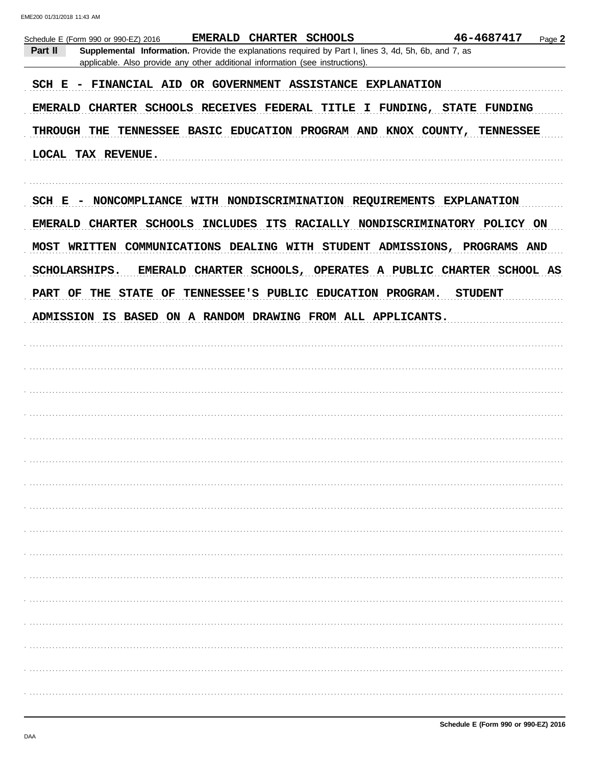| EMERALD CHARTER SCHOOLS<br>Schedule E (Form 990 or 990-EZ) 2016                                                                                                                                   | 46-4687417<br>Page 2 |
|---------------------------------------------------------------------------------------------------------------------------------------------------------------------------------------------------|----------------------|
| Supplemental Information. Provide the explanations required by Part I, lines 3, 4d, 5h, 6b, and 7, as<br>Part II<br>applicable. Also provide any other additional information (see instructions). |                      |
| SCH E - FINANCIAL AID OR GOVERNMENT ASSISTANCE EXPLANATION                                                                                                                                        |                      |
| EMERALD CHARTER SCHOOLS RECEIVES FEDERAL TITLE I FUNDING, STATE FUNDING                                                                                                                           |                      |
| THROUGH THE TENNESSEE BASIC EDUCATION PROGRAM AND KNOX COUNTY, TENNESSEE                                                                                                                          |                      |
| LOCAL TAX REVENUE.                                                                                                                                                                                |                      |
| SCH E - NONCOMPLIANCE WITH NONDISCRIMINATION REQUIREMENTS EXPLANATION                                                                                                                             |                      |
| EMERALD CHARTER SCHOOLS INCLUDES ITS RACIALLY NONDISCRIMINATORY POLICY ON                                                                                                                         |                      |
| MOST WRITTEN COMMUNICATIONS DEALING WITH STUDENT ADMISSIONS, PROGRAMS AND                                                                                                                         |                      |
| EMERALD CHARTER SCHOOLS, OPERATES A PUBLIC CHARTER SCHOOL AS<br><b>SCHOLARSHIPS.</b>                                                                                                              |                      |
| PART OF THE STATE OF TENNESSEE'S PUBLIC EDUCATION PROGRAM. STUDENT                                                                                                                                |                      |
| ADMISSION IS BASED ON A RANDOM DRAWING FROM ALL APPLICANTS.                                                                                                                                       |                      |
|                                                                                                                                                                                                   |                      |
|                                                                                                                                                                                                   |                      |
|                                                                                                                                                                                                   |                      |
|                                                                                                                                                                                                   |                      |
|                                                                                                                                                                                                   |                      |
|                                                                                                                                                                                                   |                      |
|                                                                                                                                                                                                   |                      |
|                                                                                                                                                                                                   |                      |
|                                                                                                                                                                                                   |                      |
|                                                                                                                                                                                                   |                      |
|                                                                                                                                                                                                   |                      |
|                                                                                                                                                                                                   |                      |
|                                                                                                                                                                                                   |                      |
|                                                                                                                                                                                                   |                      |
|                                                                                                                                                                                                   |                      |
|                                                                                                                                                                                                   |                      |
|                                                                                                                                                                                                   |                      |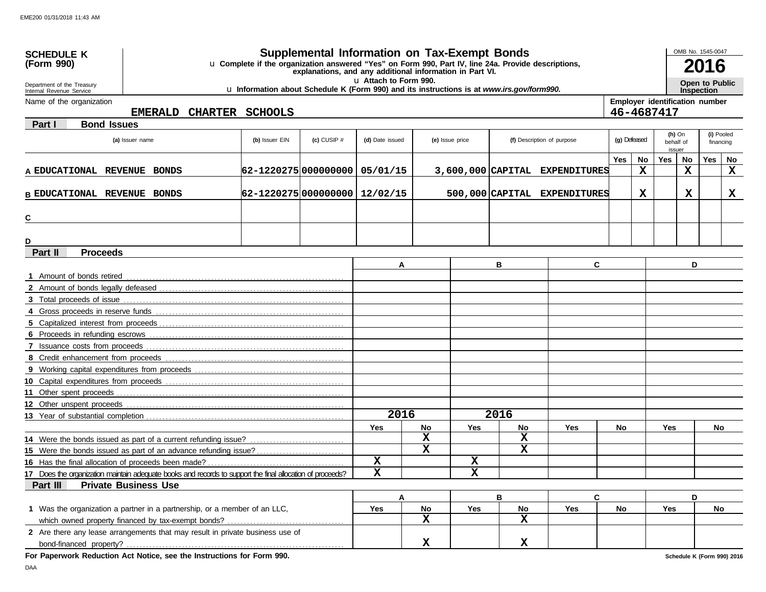# **SCHEDULE K**  $\bigcup_{\text{C} \in \text{C} \cup \text{C}} \text{Supplemental Information on Tax-Exempt Bonds}$  (Form 990)

**(Form 990)** u Complete if the organization answered "Yes" on Form 990, Part IV, line 24a. Provide descriptions,<br>explanations, and any additional information in Part VI.

u **Attach to Form 990.**

**Open to Public Inspection** u **Information about Schedule K (Form 990) and its instructions is at** *www.irs.gov/form990.*

Name of the organization **Employer identification number Employer identification number** 

Department of the Treasury<br>Internal Revenue Service

**EMERALD CHARTER SCHOOLS 46-4687417**

| $(h)$ On<br>(g) Defeased<br>(b) Issuer EIN<br>$(c)$ CUSIP $#$<br>(a) Issuer name<br>(d) Date issued<br>(e) Issue price<br>(f) Description of purpose<br>behalf of<br>issuer<br>Yes<br>No<br>Yes<br>$\mathbf x$<br>$ 62-1220275 0000000000 05/01/15$<br>3,600,000 CAPITAL EXPENDITURES<br>A EDUCATIONAL REVENUE BONDS<br>$\mathbf x$<br>$ 62-1220275 0000000000 12/02/15$<br>500,000 CAPITAL EXPENDITURES<br><b>B EDUCATIONAL REVENUE BONDS</b><br>C<br>D | (i) Pooled<br>financing<br>Yes<br><b>No</b><br>No<br>$\mathbf x$<br>$\mathbf{x}$<br>$\mathbf x$<br>$\mathbf x$ |
|----------------------------------------------------------------------------------------------------------------------------------------------------------------------------------------------------------------------------------------------------------------------------------------------------------------------------------------------------------------------------------------------------------------------------------------------------------|----------------------------------------------------------------------------------------------------------------|
|                                                                                                                                                                                                                                                                                                                                                                                                                                                          |                                                                                                                |
|                                                                                                                                                                                                                                                                                                                                                                                                                                                          |                                                                                                                |
|                                                                                                                                                                                                                                                                                                                                                                                                                                                          |                                                                                                                |
|                                                                                                                                                                                                                                                                                                                                                                                                                                                          |                                                                                                                |
|                                                                                                                                                                                                                                                                                                                                                                                                                                                          |                                                                                                                |
|                                                                                                                                                                                                                                                                                                                                                                                                                                                          |                                                                                                                |
|                                                                                                                                                                                                                                                                                                                                                                                                                                                          |                                                                                                                |
| Part II<br><b>Proceeds</b>                                                                                                                                                                                                                                                                                                                                                                                                                               |                                                                                                                |
| C<br>A<br>в                                                                                                                                                                                                                                                                                                                                                                                                                                              | D                                                                                                              |
| 1 Amount of bonds retired                                                                                                                                                                                                                                                                                                                                                                                                                                |                                                                                                                |
|                                                                                                                                                                                                                                                                                                                                                                                                                                                          |                                                                                                                |
| 3 Total proceeds of issue                                                                                                                                                                                                                                                                                                                                                                                                                                |                                                                                                                |
|                                                                                                                                                                                                                                                                                                                                                                                                                                                          |                                                                                                                |
|                                                                                                                                                                                                                                                                                                                                                                                                                                                          |                                                                                                                |
|                                                                                                                                                                                                                                                                                                                                                                                                                                                          |                                                                                                                |
|                                                                                                                                                                                                                                                                                                                                                                                                                                                          |                                                                                                                |
|                                                                                                                                                                                                                                                                                                                                                                                                                                                          |                                                                                                                |
|                                                                                                                                                                                                                                                                                                                                                                                                                                                          |                                                                                                                |
|                                                                                                                                                                                                                                                                                                                                                                                                                                                          |                                                                                                                |
|                                                                                                                                                                                                                                                                                                                                                                                                                                                          |                                                                                                                |
|                                                                                                                                                                                                                                                                                                                                                                                                                                                          |                                                                                                                |
| 2016<br>2016                                                                                                                                                                                                                                                                                                                                                                                                                                             |                                                                                                                |
| Yes<br><b>Yes</b><br>No<br>Yes<br><b>No</b><br>No<br><b>Yes</b>                                                                                                                                                                                                                                                                                                                                                                                          | No                                                                                                             |
| $\mathbf x$<br>$\mathbf x$                                                                                                                                                                                                                                                                                                                                                                                                                               |                                                                                                                |
| $\overline{\mathbf{x}}$<br>$\mathbf x$                                                                                                                                                                                                                                                                                                                                                                                                                   |                                                                                                                |
| $\mathbf x$<br>$\mathbf x$<br>16 Has the final allocation of proceeds been made?                                                                                                                                                                                                                                                                                                                                                                         |                                                                                                                |
| $\overline{\mathbf{x}}$<br>$\overline{\mathbf{x}}$<br>17 Does the organization maintain adequate books and records to support the final allocation of proceeds?                                                                                                                                                                                                                                                                                          |                                                                                                                |
| Part III<br><b>Private Business Use</b>                                                                                                                                                                                                                                                                                                                                                                                                                  |                                                                                                                |
| B<br>C<br>A                                                                                                                                                                                                                                                                                                                                                                                                                                              | D                                                                                                              |
| 1 Was the organization a partner in a partnership, or a member of an LLC,<br>No<br><b>No</b><br><b>Yes</b><br>Yes<br>Yes<br>No<br>Yes                                                                                                                                                                                                                                                                                                                    | No                                                                                                             |
| $\mathbf x$<br>X<br>which owned property financed by tax-exempt bonds?                                                                                                                                                                                                                                                                                                                                                                                   |                                                                                                                |
| 2 Are there any lease arrangements that may result in private business use of                                                                                                                                                                                                                                                                                                                                                                            |                                                                                                                |
| x<br>x                                                                                                                                                                                                                                                                                                                                                                                                                                                   |                                                                                                                |

**For Paperwork Reduction Act Notice, see the Instructions for Form 990.**

OMB No. 1545-0047

**2016**

DAA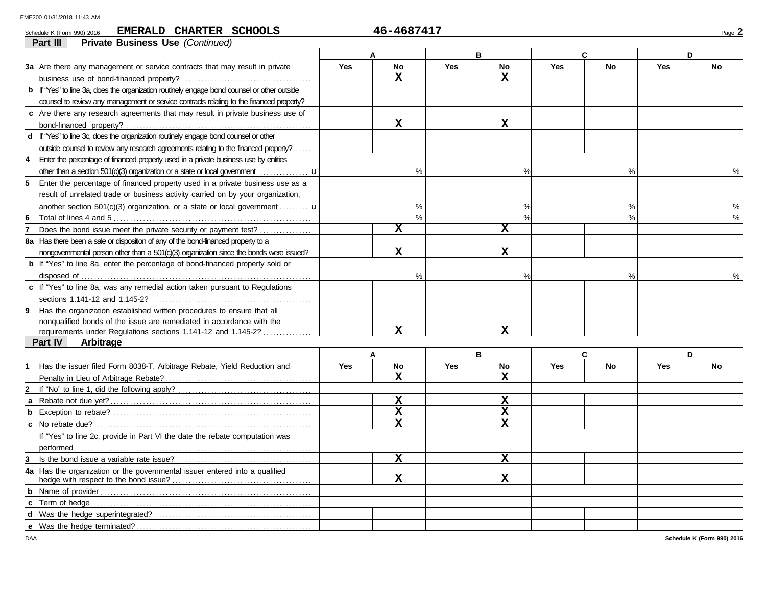|     |                                                                                                   |            | A                       |            | B                       |            | $\mathbf{C}$ |            | D                          |  |
|-----|---------------------------------------------------------------------------------------------------|------------|-------------------------|------------|-------------------------|------------|--------------|------------|----------------------------|--|
|     | 3a Are there any management or service contracts that may result in private                       | <b>Yes</b> | <b>No</b>               | <b>Yes</b> | No                      | <b>Yes</b> | No           | <b>Yes</b> | <b>No</b>                  |  |
|     |                                                                                                   |            | $\mathbf{x}$            |            | x                       |            |              |            |                            |  |
|     | b If "Yes" to line 3a, does the organization routinely engage bond counsel or other outside       |            |                         |            |                         |            |              |            |                            |  |
|     | counsel to review any management or service contracts relating to the financed property?          |            |                         |            |                         |            |              |            |                            |  |
|     | c Are there any research agreements that may result in private business use of                    |            |                         |            |                         |            |              |            |                            |  |
|     |                                                                                                   |            | x                       |            | X                       |            |              |            |                            |  |
|     | d If "Yes" to line 3c, does the organization routinely engage bond counsel or other               |            |                         |            |                         |            |              |            |                            |  |
|     | outside counsel to review any research agreements relating to the financed property?              |            |                         |            |                         |            |              |            |                            |  |
|     | 4 Enter the percentage of financed property used in a private business use by entities            |            |                         |            |                         |            |              |            |                            |  |
|     | other than a section 501(c)(3) organization or a state or local government $\ldots \ldots \ldots$ |            | %                       |            | %                       |            | %            |            | %                          |  |
|     | 5 Enter the percentage of financed property used in a private business use as a                   |            |                         |            |                         |            |              |            |                            |  |
|     | result of unrelated trade or business activity carried on by your organization,                   |            |                         |            |                         |            |              |            |                            |  |
|     | another section 501(c)(3) organization, or a state or local government $\mathbf{u}$               |            | %                       |            | $\frac{0}{0}$           |            | %            |            | %                          |  |
| 6   |                                                                                                   |            | $\%$                    |            | %                       |            | $\%$         |            |                            |  |
| 7   | Does the bond issue meet the private security or payment test?                                    |            | $\overline{\mathbf{x}}$ |            | $\overline{\mathbf{x}}$ |            |              |            |                            |  |
|     | 8a Has there been a sale or disposition of any of the bond-financed property to a                 |            |                         |            |                         |            |              |            |                            |  |
|     | nongovemmental person other than a 501(c)(3) organization since the bonds were issued?            |            | X                       |            | $\mathbf x$             |            |              |            |                            |  |
|     | <b>b</b> If "Yes" to line 8a, enter the percentage of bond-financed property sold or              |            |                         |            |                         |            |              |            |                            |  |
|     |                                                                                                   |            | %                       |            | $\frac{0}{c}$           |            | %            |            | %                          |  |
|     | c If "Yes" to line 8a, was any remedial action taken pursuant to Regulations                      |            |                         |            |                         |            |              |            |                            |  |
|     |                                                                                                   |            |                         |            |                         |            |              |            |                            |  |
| 9   | Has the organization established written procedures to ensure that all                            |            |                         |            |                         |            |              |            |                            |  |
|     | nonqualified bonds of the issue are remediated in accordance with the                             |            |                         |            |                         |            |              |            |                            |  |
|     | requirements under Regulations sections 1.141-12 and 1.145-2?                                     |            | x                       |            | $\mathbf x$             |            |              |            |                            |  |
|     | Part IV<br>Arbitrage                                                                              |            |                         |            |                         |            |              |            |                            |  |
|     |                                                                                                   |            | A                       |            | в                       |            | C            |            | D                          |  |
| 1   | Has the issuer filed Form 8038-T, Arbitrage Rebate, Yield Reduction and                           | <b>Yes</b> | <b>No</b>               | <b>Yes</b> | No                      | <b>Yes</b> | <b>No</b>    | <b>Yes</b> | <b>No</b>                  |  |
|     |                                                                                                   |            | $\mathbf x$             |            | X                       |            |              |            |                            |  |
|     |                                                                                                   |            |                         |            |                         |            |              |            |                            |  |
|     |                                                                                                   |            | $\mathbf x$             |            | $\mathbf x$             |            |              |            |                            |  |
|     |                                                                                                   |            | $\overline{\mathbf{x}}$ |            | $\overline{\mathbf{x}}$ |            |              |            |                            |  |
|     |                                                                                                   |            | $\mathbf x$             |            | $\mathbf x$             |            |              |            |                            |  |
|     | If "Yes" to line 2c, provide in Part VI the date the rebate computation was                       |            |                         |            |                         |            |              |            |                            |  |
|     | performed                                                                                         |            |                         |            |                         |            |              |            |                            |  |
| 3   | Is the bond issue a variable rate issue?                                                          |            | $\mathbf{x}$            |            | $\mathbf x$             |            |              |            |                            |  |
|     | 4a Has the organization or the governmental issuer entered into a qualified                       |            | x                       |            | x                       |            |              |            |                            |  |
|     |                                                                                                   |            |                         |            |                         |            |              |            |                            |  |
|     |                                                                                                   |            |                         |            |                         |            |              |            |                            |  |
|     |                                                                                                   |            |                         |            |                         |            |              |            |                            |  |
|     |                                                                                                   |            |                         |            |                         |            |              |            |                            |  |
| DAA |                                                                                                   |            |                         |            |                         |            |              |            | Schedule K (Form 990) 2016 |  |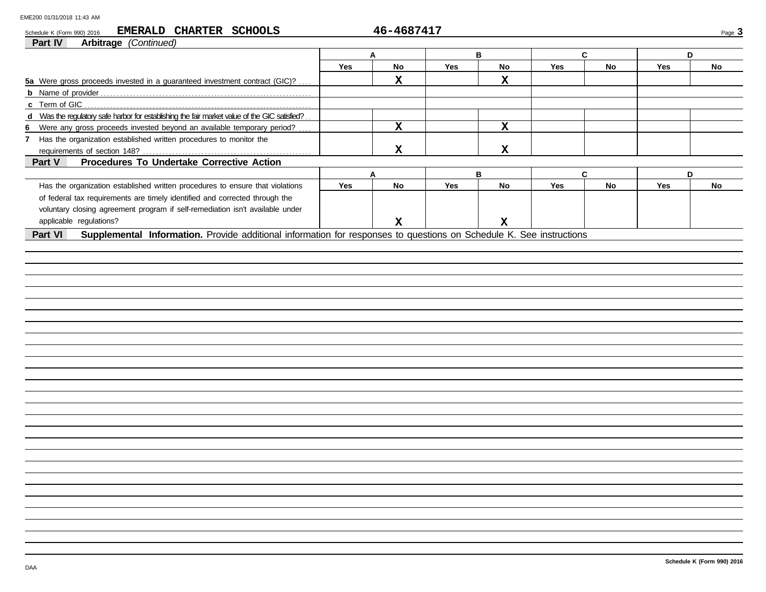| EME200 01/31/2018 11:43 AM                                                                    |     |                |            |             |     |         |            |         |  |
|-----------------------------------------------------------------------------------------------|-----|----------------|------------|-------------|-----|---------|------------|---------|--|
| EMERALD CHARTER SCHOOLS<br>Schedule K (Form 990) 2016                                         |     | 46-4687417     |            |             |     |         |            | Page 3  |  |
| Part IV<br>Arbitrage (Continued)                                                              |     |                |            |             |     |         |            |         |  |
|                                                                                               | Yes | A<br><b>No</b> | <b>Yes</b> | В<br>No     | Yes | C<br>No | <b>Yes</b> | D<br>No |  |
|                                                                                               |     |                |            |             |     |         |            |         |  |
| 5a Were gross proceeds invested in a guaranteed investment contract (GIC)?                    |     | $\mathbf x$    |            | X           |     |         |            |         |  |
|                                                                                               |     |                |            |             |     |         |            |         |  |
|                                                                                               |     |                |            |             |     |         |            |         |  |
| d Was the regulatory safe harbor for establishing the fair market value of the GIC satisfied? |     |                |            |             |     |         |            |         |  |
| 6 Were any gross proceeds invested beyond an available temporary period?                      |     | $\mathbf x$    |            | $\mathbf x$ |     |         |            |         |  |
| 7 Has the organization established written procedures to monitor the                          |     |                |            |             |     |         |            |         |  |
| requirements of section 148?                                                                  |     | $\mathbf x$    |            | $\mathbf x$ |     |         |            |         |  |
| Procedures To Undertake Corrective Action<br>Part V                                           |     |                |            |             |     |         |            |         |  |
|                                                                                               |     | A              |            | В           |     | C       | D          |         |  |
| Has the organization established written procedures to ensure that violations                 | Yes | <b>No</b>      | Yes        | No          | Yes | No      | Yes        | No      |  |
| of federal tax requirements are timely identified and corrected through the                   |     |                |            |             |     |         |            |         |  |
| voluntary closing agreement program if self-remediation isn't available under                 |     |                |            |             |     |         |            |         |  |
| applicable regulations?                                                                       |     | $\mathbf x$    |            | x           |     |         |            |         |  |
|                                                                                               |     |                |            |             |     |         |            |         |  |
|                                                                                               |     |                |            |             |     |         |            |         |  |
|                                                                                               |     |                |            |             |     |         |            |         |  |
|                                                                                               |     |                |            |             |     |         |            |         |  |
|                                                                                               |     |                |            |             |     |         |            |         |  |
|                                                                                               |     |                |            |             |     |         |            |         |  |
|                                                                                               |     |                |            |             |     |         |            |         |  |
|                                                                                               |     |                |            |             |     |         |            |         |  |
|                                                                                               |     |                |            |             |     |         |            |         |  |
|                                                                                               |     |                |            |             |     |         |            |         |  |
|                                                                                               |     |                |            |             |     |         |            |         |  |
|                                                                                               |     |                |            |             |     |         |            |         |  |
|                                                                                               |     |                |            |             |     |         |            |         |  |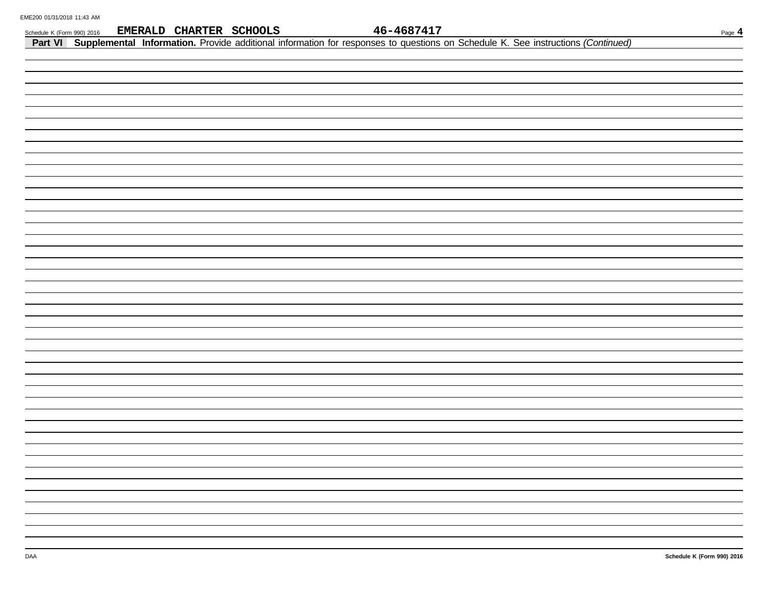| Schedule K (Form 990) 2016 EMERALD CHARTER SCHOOLS |  |  |  | 46-4687417                                                                                                                              |  |  |  | $Page$ 4 |
|----------------------------------------------------|--|--|--|-----------------------------------------------------------------------------------------------------------------------------------------|--|--|--|----------|
|                                                    |  |  |  | Part VI Supplemental Information. Provide additional information for responses to questions on Schedule K. See instructions (Continued) |  |  |  |          |
|                                                    |  |  |  |                                                                                                                                         |  |  |  |          |
|                                                    |  |  |  |                                                                                                                                         |  |  |  |          |
|                                                    |  |  |  |                                                                                                                                         |  |  |  |          |
|                                                    |  |  |  |                                                                                                                                         |  |  |  |          |
|                                                    |  |  |  |                                                                                                                                         |  |  |  |          |
|                                                    |  |  |  |                                                                                                                                         |  |  |  |          |
|                                                    |  |  |  |                                                                                                                                         |  |  |  |          |
|                                                    |  |  |  |                                                                                                                                         |  |  |  |          |
|                                                    |  |  |  |                                                                                                                                         |  |  |  |          |
|                                                    |  |  |  |                                                                                                                                         |  |  |  |          |
|                                                    |  |  |  |                                                                                                                                         |  |  |  |          |
|                                                    |  |  |  |                                                                                                                                         |  |  |  |          |
|                                                    |  |  |  |                                                                                                                                         |  |  |  |          |
|                                                    |  |  |  |                                                                                                                                         |  |  |  |          |
|                                                    |  |  |  |                                                                                                                                         |  |  |  |          |
|                                                    |  |  |  |                                                                                                                                         |  |  |  |          |
|                                                    |  |  |  |                                                                                                                                         |  |  |  |          |
|                                                    |  |  |  |                                                                                                                                         |  |  |  |          |
|                                                    |  |  |  |                                                                                                                                         |  |  |  |          |
|                                                    |  |  |  |                                                                                                                                         |  |  |  |          |
|                                                    |  |  |  |                                                                                                                                         |  |  |  |          |
|                                                    |  |  |  |                                                                                                                                         |  |  |  |          |
|                                                    |  |  |  |                                                                                                                                         |  |  |  |          |
|                                                    |  |  |  |                                                                                                                                         |  |  |  |          |
|                                                    |  |  |  |                                                                                                                                         |  |  |  |          |
|                                                    |  |  |  |                                                                                                                                         |  |  |  |          |
|                                                    |  |  |  |                                                                                                                                         |  |  |  |          |
|                                                    |  |  |  |                                                                                                                                         |  |  |  |          |
|                                                    |  |  |  |                                                                                                                                         |  |  |  |          |
|                                                    |  |  |  |                                                                                                                                         |  |  |  |          |
|                                                    |  |  |  |                                                                                                                                         |  |  |  |          |
|                                                    |  |  |  |                                                                                                                                         |  |  |  |          |
|                                                    |  |  |  |                                                                                                                                         |  |  |  |          |
|                                                    |  |  |  |                                                                                                                                         |  |  |  |          |
|                                                    |  |  |  |                                                                                                                                         |  |  |  |          |
|                                                    |  |  |  |                                                                                                                                         |  |  |  |          |
|                                                    |  |  |  |                                                                                                                                         |  |  |  |          |
|                                                    |  |  |  |                                                                                                                                         |  |  |  |          |
|                                                    |  |  |  |                                                                                                                                         |  |  |  |          |
|                                                    |  |  |  |                                                                                                                                         |  |  |  |          |
|                                                    |  |  |  |                                                                                                                                         |  |  |  |          |
|                                                    |  |  |  |                                                                                                                                         |  |  |  |          |
|                                                    |  |  |  |                                                                                                                                         |  |  |  |          |
|                                                    |  |  |  |                                                                                                                                         |  |  |  |          |
|                                                    |  |  |  |                                                                                                                                         |  |  |  |          |
|                                                    |  |  |  |                                                                                                                                         |  |  |  |          |
|                                                    |  |  |  |                                                                                                                                         |  |  |  |          |